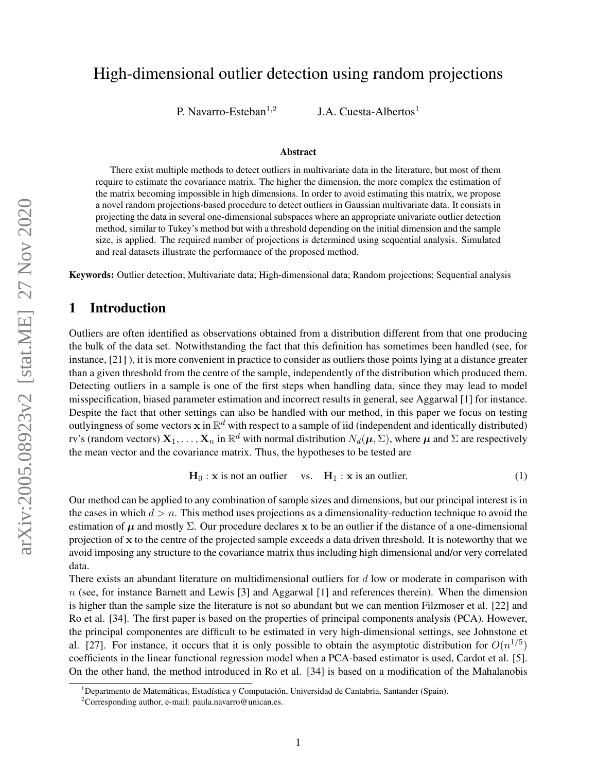# High-dimensional outlier detection using random projections

P. Navarro-Esteban $^{1,2}$ 

J.A. Cuesta-Albertos<sup>1</sup>

#### Abstract

There exist multiple methods to detect outliers in multivariate data in the literature, but most of them require to estimate the covariance matrix. The higher the dimension, the more complex the estimation of the matrix becoming impossible in high dimensions. In order to avoid estimating this matrix, we propose a novel random projections-based procedure to detect outliers in Gaussian multivariate data. It consists in projecting the data in several one-dimensional subspaces where an appropriate univariate outlier detection method, similar to Tukey's method but with a threshold depending on the initial dimension and the sample size, is applied. The required number of projections is determined using sequential analysis. Simulated and real datasets illustrate the performance of the proposed method.

Keywords: Outlier detection; Multivariate data; High-dimensional data; Random projections; Sequential analysis

# 1 Introduction

Outliers are often identified as observations obtained from a distribution different from that one producing the bulk of the data set. Notwithstanding the fact that this definition has sometimes been handled (see, for instance, [\[21\]](#page-19-0) ), it is more convenient in practice to consider as outliers those points lying at a distance greater than a given threshold from the centre of the sample, independently of the distribution which produced them. Detecting outliers in a sample is one of the first steps when handling data, since they may lead to model misspecification, biased parameter estimation and incorrect results in general, see Aggarwal [\[1\]](#page-18-0) for instance. Despite the fact that other settings can also be handled with our method, in this paper we focus on testing outlyingness of some vectors  $x$  in  $\mathbb{R}^d$  with respect to a sample of iid (independent and identically distributed) rv's (random vectors)  $X_1,\ldots,X_n$  in  $\mathbb{R}^d$  with normal distribution  $N_d(\mu,\Sigma)$ , where  $\mu$  and  $\Sigma$  are respectively the mean vector and the covariance matrix. Thus, the hypotheses to be tested are

<span id="page-0-0"></span>
$$
\mathbf{H}_0: \mathbf{x} \text{ is not an outlier} \quad \text{vs.} \quad \mathbf{H}_1: \mathbf{x} \text{ is an outlier.} \tag{1}
$$

Our method can be applied to any combination of sample sizes and dimensions, but our principal interest is in the cases in which  $d > n$ . This method uses projections as a dimensionality-reduction technique to avoid the estimation of  $\mu$  and mostly  $\Sigma$ . Our procedure declares x to be an outlier if the distance of a one-dimensional projection of x to the centre of the projected sample exceeds a data driven threshold. It is noteworthy that we avoid imposing any structure to the covariance matrix thus including high dimensional and/or very correlated data.

There exists an abundant literature on multidimensional outliers for  $d$  low or moderate in comparison with  $n$  (see, for instance Barnett and Lewis [\[3\]](#page-18-1) and Aggarwal [\[1\]](#page-18-0) and references therein). When the dimension is higher than the sample size the literature is not so abundant but we can mention Filzmoser et al. [\[22\]](#page-19-1) and Ro et al. [\[34\]](#page-20-0). The first paper is based on the properties of principal components analysis (PCA). However, the principal componentes are difficult to be estimated in very high-dimensional settings, see Johnstone et al. [\[27\]](#page-19-2). For instance, it occurs that it is only possible to obtain the asymptotic distribution for  $O(n^{1/5})$ coefficients in the linear functional regression model when a PCA-based estimator is used, Cardot et al. [\[5\]](#page-18-2). On the other hand, the method introduced in Ro et al. [\[34\]](#page-20-0) is based on a modification of the Mahalanobis

<sup>&</sup>lt;sup>1</sup>Departmento de Matemáticas, Estadística y Computación, Universidad de Cantabria, Santander (Spain).

<sup>&</sup>lt;sup>2</sup>Corresponding author, e-mail: [paula.navarro@unican.es.](mailto:paula.navarro@unican.es)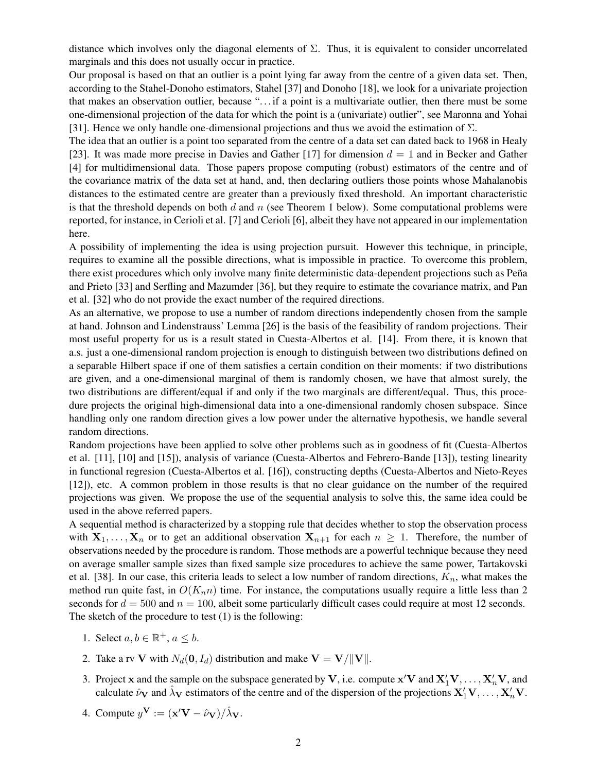distance which involves only the diagonal elements of  $\Sigma$ . Thus, it is equivalent to consider uncorrelated marginals and this does not usually occur in practice.

Our proposal is based on that an outlier is a point lying far away from the centre of a given data set. Then, according to the Stahel-Donoho estimators, Stahel [\[37\]](#page-20-1) and Donoho [\[18\]](#page-19-3), we look for a univariate projection that makes an observation outlier, because ". . . if a point is a multivariate outlier, then there must be some one-dimensional projection of the data for which the point is a (univariate) outlier", see Maronna and Yohai [\[31\]](#page-19-4). Hence we only handle one-dimensional projections and thus we avoid the estimation of  $\Sigma$ .

The idea that an outlier is a point too separated from the centre of a data set can dated back to 1968 in Healy [\[23\]](#page-19-5). It was made more precise in Davies and Gather [\[17\]](#page-19-6) for dimension  $d = 1$  and in Becker and Gather [\[4\]](#page-18-3) for multidimensional data. Those papers propose computing (robust) estimators of the centre and of the covariance matrix of the data set at hand, and, then declaring outliers those points whose Mahalanobis distances to the estimated centre are greater than a previously fixed threshold. An important characteristic is that the threshold depends on both  $d$  and  $n$  (see Theorem [1](#page-3-0) below). Some computational problems were reported, for instance, in Cerioli et al. [\[7\]](#page-18-4) and Cerioli [\[6\]](#page-18-5), albeit they have not appeared in our implementation here.

A possibility of implementing the idea is using projection pursuit. However this technique, in principle, requires to examine all the possible directions, what is impossible in practice. To overcome this problem, there exist procedures which only involve many finite deterministic data-dependent projections such as Peña and Prieto [\[33\]](#page-20-2) and Serfling and Mazumder [\[36\]](#page-20-3), but they require to estimate the covariance matrix, and Pan et al. [\[32\]](#page-20-4) who do not provide the exact number of the required directions.

As an alternative, we propose to use a number of random directions independently chosen from the sample at hand. Johnson and Lindenstrauss' Lemma [\[26\]](#page-19-7) is the basis of the feasibility of random projections. Their most useful property for us is a result stated in Cuesta-Albertos et al. [\[14\]](#page-19-8). From there, it is known that a.s. just a one-dimensional random projection is enough to distinguish between two distributions defined on a separable Hilbert space if one of them satisfies a certain condition on their moments: if two distributions are given, and a one-dimensional marginal of them is randomly chosen, we have that almost surely, the two distributions are different/equal if and only if the two marginals are different/equal. Thus, this procedure projects the original high-dimensional data into a one-dimensional randomly chosen subspace. Since handling only one random direction gives a low power under the alternative hypothesis, we handle several random directions.

Random projections have been applied to solve other problems such as in goodness of fit (Cuesta-Albertos et al. [\[11\]](#page-18-6), [\[10\]](#page-18-7) and [\[15\]](#page-19-9)), analysis of variance (Cuesta-Albertos and Febrero-Bande [\[13\]](#page-19-10)), testing linearity in functional regresion (Cuesta-Albertos et al. [\[16\]](#page-19-11)), constructing depths (Cuesta-Albertos and Nieto-Reyes [\[12\]](#page-19-12)), etc. A common problem in those results is that no clear guidance on the number of the required projections was given. We propose the use of the sequential analysis to solve this, the same idea could be used in the above referred papers.

A sequential method is characterized by a stopping rule that decides whether to stop the observation process with  $X_1, \ldots, X_n$  or to get an additional observation  $X_{n+1}$  for each  $n \geq 1$ . Therefore, the number of observations needed by the procedure is random. Those methods are a powerful technique because they need on average smaller sample sizes than fixed sample size procedures to achieve the same power, Tartakovski et al. [\[38\]](#page-20-5). In our case, this criteria leads to select a low number of random directions,  $K_n$ , what makes the method run quite fast, in  $O(K_n n)$  time. For instance, the computations usually require a little less than 2 seconds for  $d = 500$  and  $n = 100$ , albeit some particularly difficult cases could require at most 12 seconds. The sketch of the procedure to test [\(1\)](#page-0-0) is the following:

- 1. Select  $a, b \in \mathbb{R}^+, a \leq b$ .
- 2. Take a rv V with  $N_d(\mathbf{0}, I_d)$  distribution and make  $\mathbf{V} = \mathbf{V}/||\mathbf{V}||$ .
- 3. Project x and the sample on the subspace generated by V, i.e. compute  $x'V$  and  $X'_1V, \ldots, X'_nV$ , and calculate  $\hat{\nu}_V$  and  $\hat{\lambda}_V$  estimators of the centre and of the dispersion of the projections  $X'_1V, \ldots, X'_nV$ .
- 4. Compute  $y^{\mathbf{V}} := (\mathbf{x}' \mathbf{V} \hat{\nu}_{\mathbf{V}}) / \hat{\lambda}_{\mathbf{V}}$ .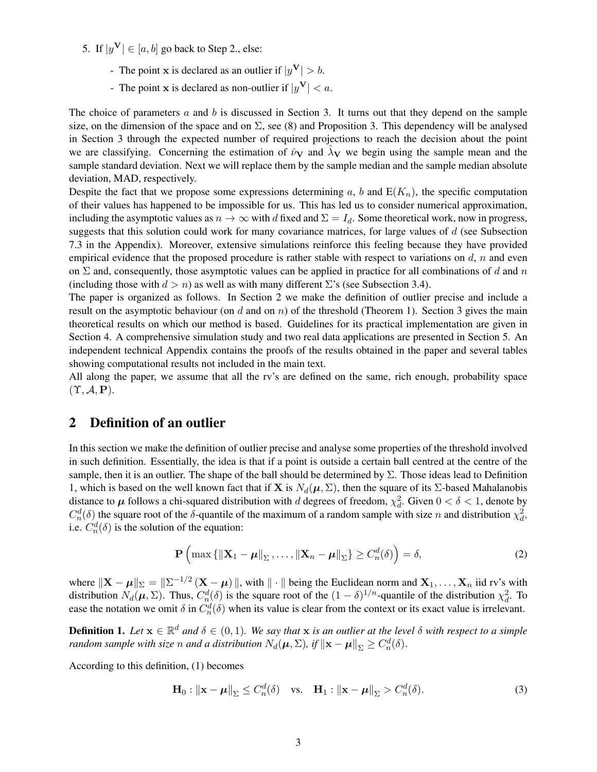5. If  $|y^{\mathbf{V}}| \in [a, b]$  go back to Step 2., else:

- The point **x** is declared as an outlier if  $|y^V| > b$ .
- The point **x** is declared as non-outlier if  $|y^V| < a$ .

The choice of parameters  $a$  and  $b$  is discussed in Section [3.](#page-3-1) It turns out that they depend on the sample size, on the dimension of the space and on  $\Sigma$ , see [\(8\)](#page-5-0) and Proposition [3.](#page-5-1) This dependency will be analysed in Section [3](#page-3-1) through the expected number of required projections to reach the decision about the point we are classifying. Concerning the estimation of  $\hat{\nu}_V$  and  $\lambda_V$  we begin using the sample mean and the sample standard deviation. Next we will replace them by the sample median and the sample median absolute deviation, MAD, respectively.

Despite the fact that we propose some expressions determining a, b and  $E(K_n)$ , the specific computation of their values has happened to be impossible for us. This has led us to consider numerical approximation, including the asymptotic values as  $n \to \infty$  with d fixed and  $\Sigma = I_d$ . Some theoretical work, now in progress, suggests that this solution could work for many covariance matrices, for large values of d (see Subsection [7.3](#page-33-0) in the Appendix). Moreover, extensive simulations reinforce this feeling because they have provided empirical evidence that the proposed procedure is rather stable with respect to variations on  $d$ , n and even on  $\Sigma$  and, consequently, those asymptotic values can be applied in practice for all combinations of d and n (including those with  $d > n$ ) as well as with many different  $\Sigma$ 's (see Subsection [3.4\)](#page-7-0).

The paper is organized as follows. In Section [2](#page-2-0) we make the definition of outlier precise and include a result on the asymptotic behaviour (on d and on  $n$ ) of the threshold (Theorem [1\)](#page-3-0). Section [3](#page-3-1) gives the main theoretical results on which our method is based. Guidelines for its practical implementation are given in Section [4.](#page-9-0) A comprehensive simulation study and two real data applications are presented in Section [5.](#page-11-0) An independent technical Appendix contains the proofs of the results obtained in the paper and several tables showing computational results not included in the main text.

All along the paper, we assume that all the rv's are defined on the same, rich enough, probability space  $(\Upsilon, \mathcal{A}, \mathbf{P}).$ 

# <span id="page-2-0"></span>2 Definition of an outlier

In this section we make the definition of outlier precise and analyse some properties of the threshold involved in such definition. Essentially, the idea is that if a point is outside a certain ball centred at the centre of the sample, then it is an outlier. The shape of the ball should be determined by  $\Sigma$ . Those ideas lead to Definition [1,](#page-2-1) which is based on the well known fact that if **X** is  $N_d(\mu, \Sigma)$ , then the square of its Σ-based Mahalanobis distance to  $\mu$  follows a chi-squared distribution with d degrees of freedom,  $\chi^2_d$ . Given  $0 < \delta < 1$ , denote by  $C_n^d(\delta)$  the square root of the  $\delta$ -quantile of the maximum of a random sample with size n and distribution  $\chi_d^2$ , i.e.  $C_n^d(\delta)$  is the solution of the equation:

<span id="page-2-2"></span>
$$
\mathbf{P}\left(\max\left\{\|\mathbf{X}_1-\boldsymbol{\mu}\|_{\Sigma},\ldots,\|\mathbf{X}_n-\boldsymbol{\mu}\|_{\Sigma}\right\}\geq C_n^d(\delta)\right)=\delta,\tag{2}
$$

where  $\|\mathbf{X} - \boldsymbol{\mu}\|_{\Sigma} = \|\Sigma^{-1/2} (\mathbf{X} - \boldsymbol{\mu})\|$ , with  $\|\cdot\|$  being the Euclidean norm and  $\mathbf{X}_1, \dots, \mathbf{X}_n$  iid rv's with distribution  $N_d(\mu, \Sigma)$ . Thus,  $C_n^d(\delta)$  is the square root of the  $(1 - \delta)^{1/n}$ -quantile of the distribution  $\chi_d^2$ . To ease the notation we omit  $\delta$  in  $C_n^d(\delta)$  when its value is clear from the context or its exact value is irrelevant.

<span id="page-2-1"></span>**Definition 1.** Let  $\mathbf{x} \in \mathbb{R}^d$  and  $\delta \in (0,1)$ . We say that  $\mathbf{x}$  is an outlier at the level  $\delta$  with respect to a simple *random sample with size n and a distribution*  $N_d(\mu, \Sigma)$ , *if*  $\|\mathbf{x} - \boldsymbol{\mu}\|_{\Sigma} \geq C_n^d(\delta)$ .

According to this definition, [\(1\)](#page-0-0) becomes

<span id="page-2-3"></span>
$$
\mathbf{H}_0: \|\mathbf{x} - \boldsymbol{\mu}\|_{\Sigma} \le C_n^d(\delta) \quad \text{vs.} \quad \mathbf{H}_1: \|\mathbf{x} - \boldsymbol{\mu}\|_{\Sigma} > C_n^d(\delta). \tag{3}
$$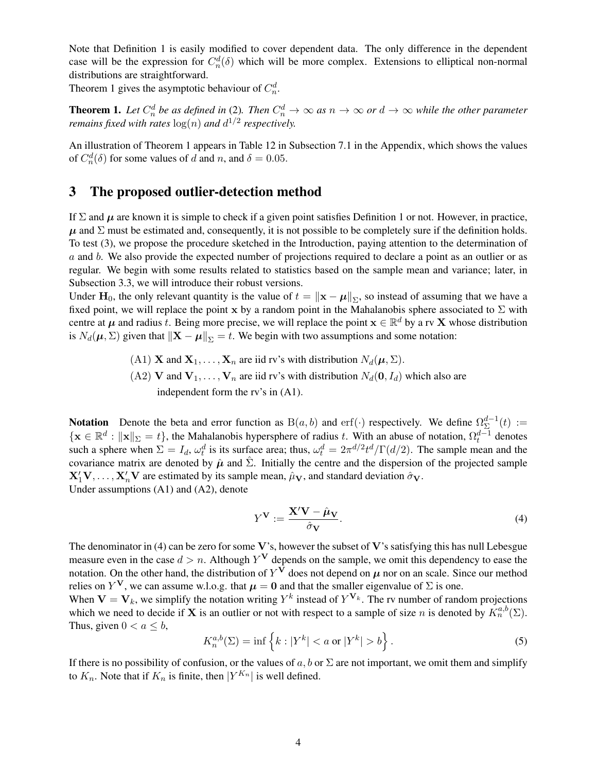Note that Definition [1](#page-2-1) is easily modified to cover dependent data. The only difference in the dependent case will be the expression for  $C_n^d(\delta)$  which will be more complex. Extensions to elliptical non-normal distributions are straightforward.

Theorem [1](#page-3-0) gives the asymptotic behaviour of  $C_n^d$ .

<span id="page-3-0"></span>**Theorem 1.** Let  $C_n^d$  be as defined in [\(2\)](#page-2-2). Then  $C_n^d \to \infty$  as  $n \to \infty$  or  $d \to \infty$  while the other parameter *remains fixed with rates*  $log(n)$  *and*  $d^{1/2}$  *respectively.* 

An illustration of Theorem [1](#page-3-0) appears in Table [12](#page-33-1) in Subsection [7.1](#page-33-2) in the Appendix, which shows the values of  $C_n^d(\delta)$  for some values of d and n, and  $\delta = 0.05$ .

# <span id="page-3-1"></span>3 The proposed outlier-detection method

If  $\Sigma$  and  $\mu$  are known it is simple to check if a given point satisfies Definition [1](#page-2-1) or not. However, in practice,  $\mu$  and  $\Sigma$  must be estimated and, consequently, it is not possible to be completely sure if the definition holds. To test [\(3\)](#page-2-3), we propose the procedure sketched in the Introduction, paying attention to the determination of a and b. We also provide the expected number of projections required to declare a point as an outlier or as regular. We begin with some results related to statistics based on the sample mean and variance; later, in Subsection [3.3,](#page-6-0) we will introduce their robust versions.

Under H<sub>0</sub>, the only relevant quantity is the value of  $t = ||x - \mu||_2$ , so instead of assuming that we have a fixed point, we will replace the point x by a random point in the Mahalanobis sphere associated to  $\Sigma$  with centre at  $\mu$  and radius t. Being more precise, we will replace the point  $\mathbf{x} \in \mathbb{R}^d$  by a rv X whose distribution is  $N_d(\mu, \Sigma)$  given that  $\|\mathbf{X} - \boldsymbol{\mu}\|_{\Sigma} = t$ . We begin with two assumptions and some notation:

> (A1) **X** and  $X_1, \ldots, X_n$  are iid rv's with distribution  $N_d(\mu, \Sigma)$ . (A2) V and  $V_1, \ldots, V_n$  are iid rv's with distribution  $N_d(\mathbf{0}, I_d)$  which also are independent form the rv's in (A1).

**Notation** Denote the beta and error function as  $B(a, b)$  and erf(·) respectively. We define  $\Omega_{\Sigma}^{d-1}$  $_{\Sigma}^{a-1}(t) :=$  $\{ \mathbf{x} \in \mathbb{R}^d : ||\mathbf{x}||_{\Sigma} = t \}$ , the Mahalanobis hypersphere of radius t. With an abuse of notation,  $\Omega_t^{d-1}$  denotes such a sphere when  $\Sigma = I_d$ ,  $\omega_t^d$  is its surface area; thus,  $\omega_t^d = 2\pi^{d/2}t^d/\Gamma(d/2)$ . The sample mean and the covariance matrix are denoted by  $\hat{\mu}$  and  $\hat{\Sigma}$ . Initially the centre and the dispersion of the projected sample  $X'_1V, \ldots, X'_nV$  are estimated by its sample mean,  $\hat{\mu}_V$ , and standard deviation  $\hat{\sigma}_V$ . Under assumptions (A1) and (A2), denote

<span id="page-3-2"></span>
$$
Y^{\mathbf{V}} := \frac{\mathbf{X}' \mathbf{V} - \hat{\boldsymbol{\mu}}_{\mathbf{V}}}{\hat{\sigma}_{\mathbf{V}}}.
$$
 (4)

The denominator in [\(4\)](#page-3-2) can be zero for some  $V$ 's, however the subset of  $V$ 's satisfying this has null Lebesgue measure even in the case  $d > n$ . Although  $Y^V$  depends on the sample, we omit this dependency to ease the notation. On the other hand, the distribution of  $Y^V$  does not depend on  $\mu$  nor on an scale. Since our method relies on  $Y^V$ , we can assume w.l.o.g. that  $\mu = 0$  and that the smaller eigenvalue of  $\Sigma$  is one.

When  $V = V_k$ , we simplify the notation writing  $Y^k$  instead of  $Y^{V_k}$ . The rv number of random projections which we need to decide if **X** is an outlier or not with respect to a sample of size n is denoted by  $K_n^{a,b}(\Sigma)$ . Thus, given  $0 < a \leq b$ ,

<span id="page-3-3"></span>
$$
K_n^{a,b}(\Sigma) = \inf \left\{ k : |Y^k| < a \text{ or } |Y^k| > b \right\}. \tag{5}
$$

If there is no possibility of confusion, or the values of  $a, b$  or  $\Sigma$  are not important, we omit them and simplify to  $K_n$ . Note that if  $K_n$  is finite, then  $|Y^{K_n}|$  is well defined.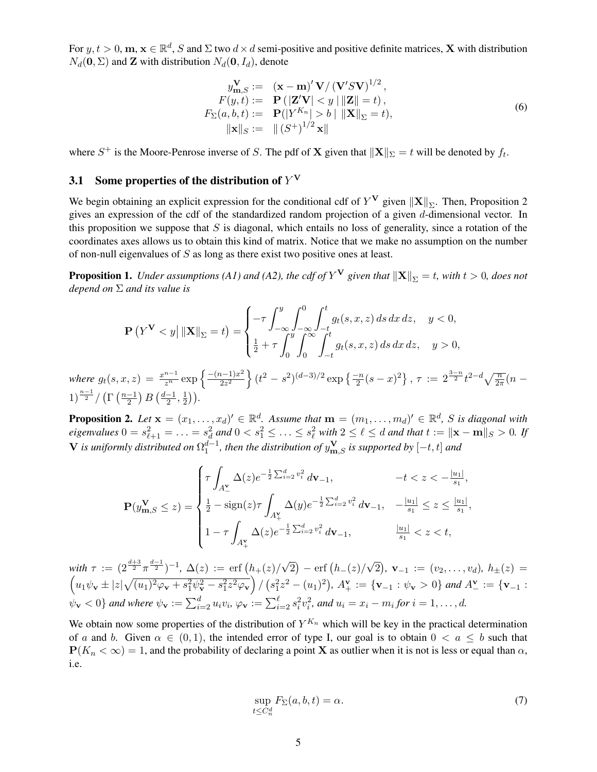For  $y, t > 0$ ,  $m, x \in \mathbb{R}^d$ , S and  $\Sigma$  two  $d \times d$  semi-positive and positive definite matrices, **X** with distribution  $N_d(\mathbf{0}, \Sigma)$  and **Z** with distribution  $N_d(\mathbf{0}, I_d)$ , denote

<span id="page-4-4"></span>
$$
y_{\mathbf{m},S}^{\mathbf{V}} := (\mathbf{x} - \mathbf{m})' \mathbf{V} / (\mathbf{V}' S \mathbf{V})^{1/2},
$$
  
\n
$$
F(y,t) := \mathbf{P} (|\mathbf{Z}' \mathbf{V}| < y ||\mathbf{Z}|| = t),
$$
  
\n
$$
F_{\Sigma}(a, b, t) := \mathbf{P} (|Y^{K_n}| > b ||\mathbf{X}||_{\Sigma} = t),
$$
  
\n
$$
||\mathbf{x}||_{S} := ||(S^+)^{1/2} \mathbf{x}||
$$
\n(6)

where  $S^+$  is the Moore-Penrose inverse of S. The pdf of **X** given that  $\|\mathbf{X}\|_{\Sigma} = t$  will be denoted by  $f_t$ .

# <span id="page-4-3"></span>3.1 Some properties of the distribution of  $Y^{\mathbf{V}}$

We begin obtaining an explicit expression for the conditional cdf of  $Y^V$  given  $\|\mathbf{X}\|_{\Sigma}$ . Then, Proposition [2](#page-4-0) gives an expression of the cdf of the standardized random projection of a given d-dimensional vector. In this proposition we suppose that  $S$  is diagonal, which entails no loss of generality, since a rotation of the coordinates axes allows us to obtain this kind of matrix. Notice that we make no assumption on the number of non-null eigenvalues of S as long as there exist two positive ones at least.

<span id="page-4-1"></span>**Proposition 1.** Under assumptions (A1) and (A2), the cdf of  $Y^V$  given that  $\|\mathbf{X}\|_{\Sigma} = t$ , with  $t > 0$ , does not *depend on* Σ *and its value is*

$$
\mathbf{P}\left(Y^{\mathbf{V}} < y\right| \|\mathbf{X}\|_{\Sigma} = t\right) = \begin{cases} -\tau \int_{-\infty}^{y} \int_{-\infty}^{0} \int_{-t}^{t} g_t(s, x, z) \, ds \, dx \, dz, & y < 0, \\ \frac{1}{2} + \tau \int_{0}^{y} \int_{0}^{\infty} \int_{-t}^{t} g_t(s, x, z) \, ds \, dx \, dz, & y > 0, \end{cases}
$$

*where*  $g_t(s, x, z) = \frac{x^{n-1}}{z^n} \exp \left\{ \frac{-(n-1)x^2}{2z^2} \right\}$  $\left\{ \frac{2a-1)x^2}{2z^2} \right\} (t^2-s^2)^{(d-3)/2} \exp \left\{ \frac{-n}{2} (s-x)^2 \right\}, \, \tau \, := \, 2^{\frac{3-n}{2}} t^{2-d} \sqrt{\frac{n}{2\pi}} (n-1)$  $1)^{\frac{n-1}{2}} / (\Gamma(\frac{n-1}{2}))$  $\frac{-1}{2}$ )  $B\left(\frac{d-1}{2}\right)$  $\frac{-1}{2}$ ,  $\frac{1}{2}$  $(\frac{1}{2})$ .

<span id="page-4-0"></span>**Proposition 2.** Let  $\mathbf{x} = (x_1, \ldots, x_d)' \in \mathbb{R}^d$ . Assume that  $\mathbf{m} = (m_1, \ldots, m_d)' \in \mathbb{R}^d$ , *S* is diagonal with  $eigenvalues$   $0 = s_{\ell+1}^2 = \ldots = s_d^2$  and  $0 < s_1^2 \leq \ldots \leq s_\ell^2$  with  $2 \leq \ell \leq d$  and that  $t := ||\mathbf{x} - \mathbf{m}||_S > 0$ . If  $V$  *is uniformly distributed on*  $\Omega_1^{d-1}$ , *then the distribution of*  $y_{\mathbf{m},S}^{\mathbf{V}}$  *is supported by*  $[-t,t]$  *and* 

$$
\mathbf{P}(y_{\mathbf{m},S}^{\mathbf{V}} \leq z) = \begin{cases} \tau \int_{A_{\frac{\mathbf{V}}{2}}} \Delta(z) e^{-\frac{1}{2} \sum_{i=2}^{d} v_{i}^{2}} d\mathbf{V}_{-1}, & -t < z < -\frac{|u_{1}|}{s_{1}}, \\ \frac{1}{2} - \text{sign}(z) \tau \int_{A_{+}^{V}} \Delta(y) e^{-\frac{1}{2} \sum_{i=2}^{d} v_{i}^{2}} d\mathbf{V}_{-1}, & -\frac{|u_{1}|}{s_{1}} \leq z \leq \frac{|u_{1}|}{s_{1}}, \\ 1 - \tau \int_{A_{+}^{V}} \Delta(z) e^{-\frac{1}{2} \sum_{i=2}^{d} v_{i}^{2}} d\mathbf{V}_{-1}, & \frac{|u_{1}|}{s_{1}} < z < t, \end{cases}
$$

with  $\tau := (2^{\frac{d+3}{2}} \pi^{\frac{d-1}{2}})^{-1}$ ,  $\Delta(z) := \text{erf}(h_+(z))$ √  $\overline{2}\big) - \text{erf}\big(h_{-}(z)/2\big)$ √  $\widehat{2}),\ \mathbf{v}_{-1}\,:=\,(v_2,\ldots,v_d),\ h_{\pm}(z)\,=\,$  $\left(u_1\psi_{\mathbf{v}}\pm|z|\sqrt{(u_1)^2\varphi_{\mathbf{v}}+s_1^2\psi_{\mathbf{v}}^2-s_1^2z^2\varphi_{\mathbf{v}}}\right)/\left(s_1^2z^2-(u_1)^2\right), A_{+}^{\mathbf{v}}:=\{\mathbf{v}_{-1}:\psi_{\mathbf{v}}>0\}$  and  $A_{-}^{\mathbf{v}}:=\{\mathbf{v}_{-1}:\psi_{\mathbf{v}}>\psi_{\mathbf{v}}>\psi_{\mathbf{v}}\}$  $\psi_{\mathbf{v}} < 0$  } and where  $\psi_{\mathbf{v}} := \sum_{i=2}^{d} u_i v_i$ ,  $\varphi_{\mathbf{v}} := \sum_{i=2}^{\ell} s_i^2 v_i^2$ , and  $u_i = x_i - m_i$  for  $i = 1, ..., d$ .

We obtain now some properties of the distribution of  $Y^{K_n}$  which will be key in the practical determination of a and b. Given  $\alpha \in (0,1)$ , the intended error of type I, our goal is to obtain  $0 < a \leq b$  such that  $P(K_n < \infty) = 1$ , and the probability of declaring a point **X** as outlier when it is not is less or equal than  $\alpha$ , i.e.

<span id="page-4-2"></span>
$$
\sup_{t \le C_n^d} F_\Sigma(a, b, t) = \alpha. \tag{7}
$$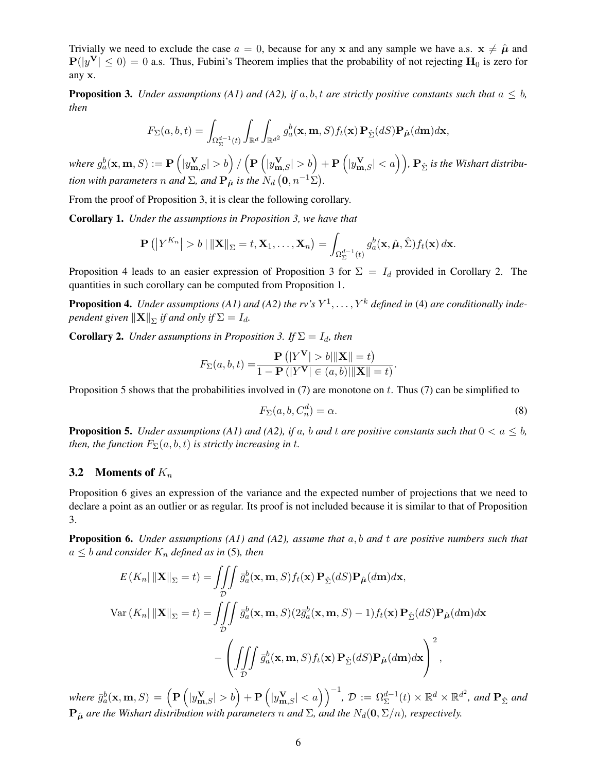Trivially we need to exclude the case  $a = 0$ , because for any x and any sample we have a.s.  $x \neq \hat{\mu}$  and  $P(|y^{\mathbf{V}}| \leq 0) = 0$  a.s. Thus, Fubini's Theorem implies that the probability of not rejecting  $\mathbf{H}_0$  is zero for any x.

<span id="page-5-1"></span>**Proposition 3.** *Under assumptions (A1) and (A2), if*  $a, b, t$  *are strictly positive constants such that*  $a \leq b$ , *then*

$$
F_{\Sigma}(a,b,t)=\int_{\Omega^{d-1}_{\Sigma}(t)}\int_{\mathbb{R}^d}\int_{\mathbb{R}^{d^2}}g_a^b(\mathbf{x},\mathbf{m},S)f_t(\mathbf{x})\,\mathbf{P}_{\hat{\Sigma}}(dS)\mathbf{P}_{\hat{\mu}}(d\mathbf{m})d\mathbf{x},
$$

 $where\ g_a^b(\mathbf{x},\mathbf{m},S):=\mathbf{P}\left(|y_{\mathbf{m},S}^{\mathbf{V}}|>b\right)/\left(\mathbf{P}\left(|y_{\mathbf{m},S}^{\mathbf{V}}|>b\right)+\mathbf{P}\left(|y_{\mathbf{m},S}^{\mathbf{V}}|$ *tion with parameters* n and  $\Sigma$ , and  $\mathbf{P}_{\hat{\boldsymbol{\mu}}}$  *is the*  $N_d$   $(\mathbf{0}, n^{-1}\Sigma)$ .

From the proof of Proposition [3,](#page-5-1) it is clear the following corollary.

Corollary 1. *Under the assumptions in Proposition [3,](#page-5-1) we have that*

$$
\mathbf{P}\left(\left|Y^{K_n}\right|>b\mid\left\|\mathbf{X}\right\|_{\Sigma}=t,\mathbf{X}_1,\ldots,\mathbf{X}_n\right)=\int_{\Omega_{\Sigma}^{d-1}(t)}g_a^b(\mathbf{x},\hat{\boldsymbol{\mu}},\hat{\Sigma})f_t(\mathbf{x})\,d\mathbf{x}.
$$

Proposition [4](#page-5-2) leads to an easier expression of Proposition [3](#page-5-1) for  $\Sigma = I_d$  provided in Corollary [2.](#page-5-3) The quantities in such corollary can be computed from Proposition [1.](#page-4-1)

<span id="page-5-2"></span>**Proposition 4.** Under assumptions (A1) and (A2) the rv's  $Y^1, \ldots, Y^k$  defined in [\(4\)](#page-3-2) are conditionally inde*pendent given*  $\|\mathbf{X}\|_{\Sigma}$  *if and only if*  $\Sigma = I_d$ *.* 

<span id="page-5-3"></span>**Corollary 2.** *Under assumptions in Proposition* [3.](#page-5-1) *If*  $\Sigma = I_d$ *, then* 

$$
F_{\Sigma}(a,b,t) = \frac{\mathbf{P}\left(\left|Y^{\mathbf{V}}\right| > b\right| \|\mathbf{X}\| = t\right)}{1 - \mathbf{P}\left(\left|Y^{\mathbf{V}}\right| \in (a,b)\right| \|\mathbf{X}\| = t\right)}.
$$

Proposition [5](#page-5-4) shows that the probabilities involved in  $(7)$  are monotone on t. Thus  $(7)$  can be simplified to

<span id="page-5-0"></span>
$$
F_{\Sigma}(a, b, C_n^d) = \alpha. \tag{8}
$$

<span id="page-5-4"></span>**Proposition 5.** *Under assumptions (A1) and (A2), if a, b and t are positive constants such that*  $0 < a \leq b$ , *then, the function*  $F_{\Sigma}(a, b, t)$  *is strictly increasing in t.* 

### <span id="page-5-6"></span>3.2 Moments of  $K_n$

Proposition [6](#page-5-5) gives an expression of the variance and the expected number of projections that we need to declare a point as an outlier or as regular. Its proof is not included because it is similar to that of Proposition [3.](#page-5-1)

<span id="page-5-5"></span>Proposition 6. *Under assumptions (A1) and (A2), assume that* a, b *and* t *are positive numbers such that*  $a \leq b$  *and consider*  $K_n$  *defined as in* [\(5\)](#page-3-3)*, then* 

$$
E(K_n||\mathbf{X}||_{\Sigma} = t) = \iiint_{\mathcal{D}} \bar{g}_a^b(\mathbf{x}, \mathbf{m}, S) f_t(\mathbf{x}) \mathbf{P}_{\hat{\Sigma}}(dS) \mathbf{P}_{\hat{\mu}}(d\mathbf{m}) d\mathbf{x},
$$
  
\n
$$
Var(K_n||\mathbf{X}||_{\Sigma} = t) = \iiint_{\mathcal{D}} \bar{g}_a^b(\mathbf{x}, \mathbf{m}, S) (2\bar{g}_a^b(\mathbf{x}, \mathbf{m}, S) - 1) f_t(\mathbf{x}) \mathbf{P}_{\hat{\Sigma}}(dS) \mathbf{P}_{\hat{\mu}}(d\mathbf{m}) d\mathbf{x}
$$

$$
- \left( \iiint_{\mathcal{D}} \bar{g}_a^b(\mathbf{x}, \mathbf{m}, S) f_t(\mathbf{x}) \mathbf{P}_{\hat{\Sigma}}(dS) \mathbf{P}_{\hat{\mu}}(d\mathbf{m}) d\mathbf{x} \right)^2,
$$

 $where \ \bar{g}_a^b(\mathbf{x},\mathbf{m},S) = \left( \mathbf{P}\left(|y_{\mathbf{m},S}^{\mathbf{V}}| > b \right) + \mathbf{P}\left(|y_{\mathbf{m},S}^{\mathbf{V}}| < a \right) \right)^{-1}, \ \mathcal{D} := \Omega^{d-1}_{\Sigma}(t) \times \mathbb{R}^d \times \mathbb{R}^{d^2}, \ and \ \mathbf{P}_{\hat{\Sigma}} \ and$  ${\bf P}_{\hat{\mu}}$  *are the Wishart distribution with parameters n and*  $\Sigma$ , *and the*  $N_d$ (**0**,  $\Sigma/n$ )*, respectively.*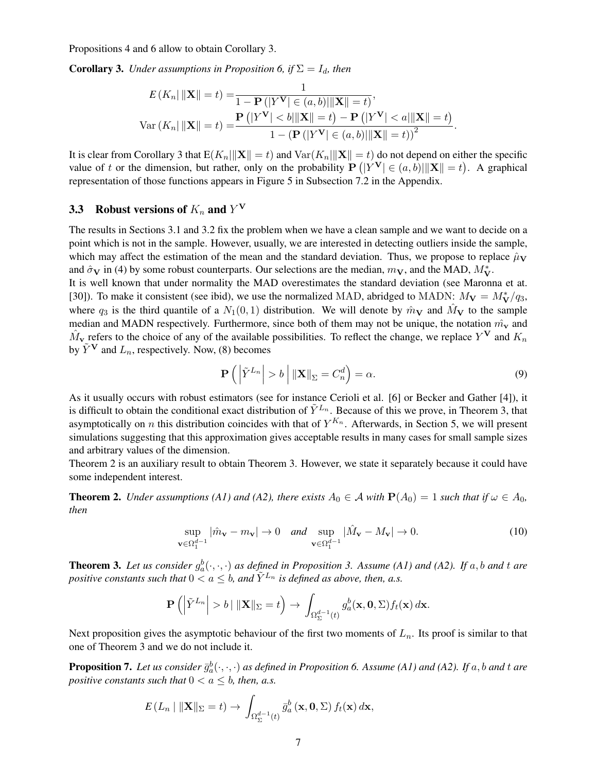Propositions [4](#page-5-2) and [6](#page-5-5) allow to obtain Corollary [3.](#page-6-1)

<span id="page-6-1"></span>**Corollary 3.** *Under assumptions in Proposition* [6,](#page-5-5) *if*  $\Sigma = I_d$ , *then* 

$$
E(K_n||\mathbf{X}|| = t) = \frac{1}{1 - \mathbf{P}(|Y^{\mathbf{V}}| \in (a, b)||\mathbf{X}|| = t)},
$$
  
Var $(K_n||\mathbf{X}|| = t) = \frac{\mathbf{P}(|Y^{\mathbf{V}}| < b||\mathbf{X}|| = t) - \mathbf{P}(|Y^{\mathbf{V}}| < a||\mathbf{X}|| = t)}{1 - (\mathbf{P}(|Y^{\mathbf{V}}| \in (a, b)||\mathbf{X}|| = t))^2}.$ 

It is clear from Corollary [3](#page-6-1) that  $E(K_n||X|| = t)$  and  $Var(K_n||X|| = t)$  do not depend on either the specific value of t or the dimension, but rather, only on the probability  $P(|Y^V| \in (a, b)|||X|| = t)$ . A graphical representation of those functions appears in Figure [5](#page-34-0) in Subsection [7.2](#page-33-3) in the Appendix.

# <span id="page-6-0"></span>3.3 Robust versions of  $K_n$  and  $Y^V$

The results in Sections [3.1](#page-4-3) and [3.2](#page-5-6) fix the problem when we have a clean sample and we want to decide on a point which is not in the sample. However, usually, we are interested in detecting outliers inside the sample, which may affect the estimation of the mean and the standard deviation. Thus, we propose to replace  $\hat{\mu}_{\bf V}$ and  $\hat{\sigma}_{V}$  in [\(4\)](#page-3-2) by some robust counterparts. Our selections are the median,  $m_{V}$ , and the MAD,  $M_{V}^{*}$ .

It is well known that under normality the MAD overestimates the standard deviation (see Maronna et at. [\[30\]](#page-19-13)). To make it consistent (see ibid), we use the normalized MAD, abridged to MADN:  $M_V = M_V^*/q_3$ , where  $q_3$  is the third quantile of a  $N_1(0,1)$  distribution. We will denote by  $\hat{m}_{\bf V}$  and  $\hat{M}_{\bf V}$  to the sample median and MADN respectively. Furthermore, since both of them may not be unique, the notation  $\hat{m}_{\bf v}$  and  $\hat{M}_{\bf v}$  refers to the choice of any of the available possibilities. To reflect the change, we replace  $Y^{\bf V}$  and  $K_n$ by  $\tilde{Y}^{\mathbf{V}}$  and  $L_n$ , respectively. Now, [\(8\)](#page-5-0) becomes

<span id="page-6-6"></span><span id="page-6-5"></span>
$$
\mathbf{P}\left(\left|\tilde{Y}^{L_n}\right| > b\right| \left\|\mathbf{X}\right\|_{\Sigma} = C_n^d\right) = \alpha. \tag{9}
$$

As it usually occurs with robust estimators (see for instance Cerioli et al. [\[6\]](#page-18-5) or Becker and Gather [\[4\]](#page-18-3)), it is difficult to obtain the conditional exact distribution of  $\tilde{Y}^{L_n}$ . Because of this we prove, in Theorem [3,](#page-6-2) that asymptotically on *n* this distribution coincides with that of  $Y^{K_n}$ . Afterwards, in Section [5,](#page-11-0) we will present simulations suggesting that this approximation gives acceptable results in many cases for small sample sizes and arbitrary values of the dimension.

Theorem [2](#page-6-3) is an auxiliary result to obtain Theorem [3.](#page-6-2) However, we state it separately because it could have some independent interest.

<span id="page-6-3"></span>**Theorem 2.** *Under assumptions (A1) and (A2), there exists*  $A_0 \in \mathcal{A}$  *with*  $P(A_0) = 1$  *such that if*  $\omega \in A_0$ *, then*

$$
\sup_{\mathbf{v}\in\Omega_1^{d-1}}|\hat{m}_{\mathbf{v}}-m_{\mathbf{v}}|\to 0 \quad and \quad \sup_{\mathbf{v}\in\Omega_1^{d-1}}|\hat{M}_{\mathbf{v}}-M_{\mathbf{v}}|\to 0.
$$
\n(10)

<span id="page-6-2"></span>**Theorem [3.](#page-5-1)** Let us consider  $g_a^b(\cdot, \cdot, \cdot)$  as defined in Proposition 3. Assume (A1) and (A2). If a, b and t are *positive constants such that*  $0 < a \leq b$ , and  $\tilde{Y}^{L_n}$  *is defined as above, then, a.s.* 

$$
\mathbf{P}\left(\left|\tilde{Y}^{L_n}\right| > b \mid \|\mathbf{X}\|_{\Sigma} = t\right) \to \int_{\Omega_{\Sigma}^{d-1}(t)} g_a^b(\mathbf{x}, \mathbf{0}, \Sigma) f_t(\mathbf{x}) d\mathbf{x}.
$$

Next proposition gives the asymptotic behaviour of the first two moments of  $L_n$ . Its proof is similar to that one of Theorem [3](#page-6-2) and we do not include it.

<span id="page-6-4"></span>**Proposition 7.** Let us consider  $\bar{g}_a^b(\cdot,\cdot,\cdot)$  as defined in Proposition [6.](#page-5-5) Assume (A1) and (A2). If  $a, b$  and  $t$  are *positive constants such that*  $0 < a \leq b$ *, then, a.s.* 

$$
E(L_n \mid \|\mathbf{X}\|_{\Sigma} = t) \to \int_{\Omega_{\Sigma}^{d-1}(t)} \bar{g}_a^b(\mathbf{x}, \mathbf{0}, \Sigma) f_t(\mathbf{x}) d\mathbf{x},
$$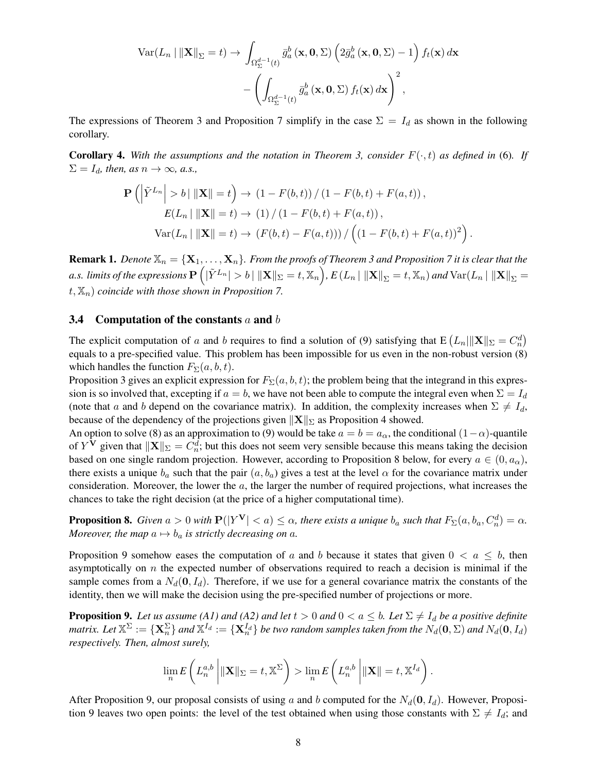$$
\operatorname{Var}(L_n \mid \|\mathbf{X}\|_{\Sigma} = t) \to \int_{\Omega_{\Sigma}^{d-1}(t)} \bar{g}_a^b(\mathbf{x}, \mathbf{0}, \Sigma) \left(2\bar{g}_a^b(\mathbf{x}, \mathbf{0}, \Sigma) - 1\right) f_t(\mathbf{x}) d\mathbf{x} - \left(\int_{\Omega_{\Sigma}^{d-1}(t)} \bar{g}_a^b(\mathbf{x}, \mathbf{0}, \Sigma) f_t(\mathbf{x}) d\mathbf{x}\right)^2,
$$

The expressions of Theorem [3](#page-6-2) and Proposition [7](#page-6-4) simplify in the case  $\Sigma = I_d$  as shown in the following corollary.

<span id="page-7-3"></span>**Corollary 4.** With the assumptions and the notation in Theorem [3,](#page-6-2) consider  $F(\cdot, t)$  as defined in [\(6\)](#page-4-4). If  $\Sigma = I_d$ *, then, as*  $n \to \infty$ *, a.s.,* 

$$
\mathbf{P}\left(\left|\tilde{Y}^{L_n}\right| > b \mid \|\mathbf{X}\| = t\right) \to (1 - F(b, t)) / (1 - F(b, t) + F(a, t)),
$$
  
\n
$$
E(L_n \mid \|\mathbf{X}\| = t) \to (1) / (1 - F(b, t) + F(a, t)),
$$
  
\n
$$
\text{Var}(L_n \mid \|\mathbf{X}\| = t) \to (F(b, t) - F(a, t)) / \left((1 - F(b, t) + F(a, t))^2\right).
$$

<span id="page-7-4"></span>**Remark 1.** *Denote*  $\mathbb{X}_n = {\mathbf{X}_1, \dots, \mathbf{X}_n}$ *. From the proofs of Theorem [3](#page-6-2) and Proposition [7](#page-6-4) it is clear that the* a.s. limits of the expressions  $\mathbf{P}\left(|\tilde{Y}^{L_n}|>b~|~\|\mathbf{X}\|_{\Sigma}=t, \mathbb{X}_n\right)$ ,  $E\left(L_n \left| ~\|\mathbf{X}\|_{\Sigma}=t, \mathbb{X}_n\right)$  and  $\text{Var}(L_n \left| ~\|\mathbf{X}\|_{\Sigma}=t, \mathbb{X}_n\right)$  $t, \mathbb{X}_n$  *coincide with those shown in Proposition* [7.](#page-6-4)

#### <span id="page-7-0"></span>3.4 Computation of the constants  $a$  and  $b$

The explicit computation of a and b requires to find a solution of [\(9\)](#page-6-5) satisfying that  $E(L_n||X||_{\Sigma} = C_n^d)$ equals to a pre-specified value. This problem has been impossible for us even in the non-robust version [\(8\)](#page-5-0) which handles the function  $F_{\Sigma}(a, b, t)$ .

Proposition [3](#page-5-1) gives an explicit expression for  $F_{\Sigma}(a, b, t)$ ; the problem being that the integrand in this expression is so involved that, excepting if  $a = b$ , we have not been able to compute the integral even when  $\Sigma = I_d$ (note that a and b depend on the covariance matrix). In addition, the complexity increases when  $\Sigma \neq I_d$ , because of the dependency of the projections given  $\|\mathbf{X}\|_{\Sigma}$  as Proposition [4](#page-5-2) showed.

An option to solve [\(8\)](#page-5-0) as an approximation to [\(9\)](#page-6-5) would be take  $a = b = a_{\alpha}$ , the conditional  $(1 - \alpha)$ -quantile of Y<sup>V</sup> given that  $\|\mathbf{X}\|_{\Sigma} = C_n^d$ ; but this does not seem very sensible because this means taking the decision based on one single random projection. However, according to Proposition [8](#page-7-1) below, for every  $a \in (0, a_{\alpha})$ , there exists a unique  $b_a$  such that the pair  $(a, b_a)$  gives a test at the level  $\alpha$  for the covariance matrix under consideration. Moreover, the lower the a, the larger the number of required projections, what increases the chances to take the right decision (at the price of a higher computational time).

<span id="page-7-1"></span>**Proposition 8.** *Given*  $a > 0$  *with*  $P(|Y^V| < a) \leq \alpha$ , *there exists a unique*  $b_a$  *such that*  $F_{\Sigma}(a, b_a, C_a^d) = \alpha$ . *Moreover, the map*  $a \mapsto b_a$  *is strictly decreasing on* a.

Proposition [9](#page-7-2) somehow eases the computation of a and b because it states that given  $0 < a \leq b$ , then asymptotically on  $n$  the expected number of observations required to reach a decision is minimal if the sample comes from a  $N_d(\mathbf{0}, I_d)$ . Therefore, if we use for a general covariance matrix the constants of the identity, then we will make the decision using the pre-specified number of projections or more.

<span id="page-7-2"></span>**Proposition 9.** Let us assume (A1) and (A2) and let  $t > 0$  and  $0 < a \leq b$ . Let  $\Sigma \neq I_d$  be a positive definite matrix. Let  $\mathbb{X}^\Sigma:=\{{\bf X}_n^\Sigma\}$  and  $\mathbb{X}^{I_d}:=\{{\bf X}_n^{I_d}\}$  be two random samples taken from the  $N_d({\bf 0},\Sigma)$  and  $N_d({\bf 0},I_d)$ *respectively. Then, almost surely,*

$$
\lim_{n} E\left(L_n^{a,b}\left|\|\mathbf{X}\|_{\Sigma}=t,\mathbb{X}^{\Sigma}\right|\right) > \lim_{n} E\left(L_n^{a,b}\left|\|\mathbf{X}\| = t,\mathbb{X}^{I_d}\right|\right).
$$

After Proposition [9,](#page-7-2) our proposal consists of using a and b computed for the  $N_d(\mathbf{0}, I_d)$ . However, Proposi-tion [9](#page-7-2) leaves two open points: the level of the test obtained when using those constants with  $\Sigma \neq I_d$ ; and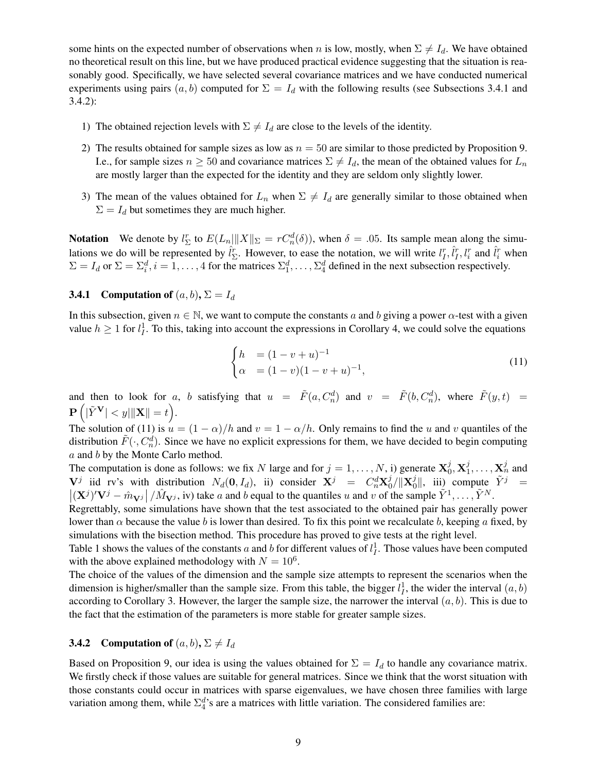some hints on the expected number of observations when n is low, mostly, when  $\Sigma \neq I_d$ . We have obtained no theoretical result on this line, but we have produced practical evidence suggesting that the situation is reasonably good. Specifically, we have selected several covariance matrices and we have conducted numerical experiments using pairs  $(a, b)$  computed for  $\Sigma = I_d$  with the following results (see Subsections [3.4.1](#page-8-0) and [3.4.2\)](#page-8-1):

- 1) The obtained rejection levels with  $\Sigma \neq I_d$  are close to the levels of the identity.
- 2) The results obtained for sample sizes as low as  $n = 50$  are similar to those predicted by Proposition [9.](#page-7-2) I.e., for sample sizes  $n \geq 50$  and covariance matrices  $\Sigma \neq I_d$ , the mean of the obtained values for  $L_n$ are mostly larger than the expected for the identity and they are seldom only slightly lower.
- 3) The mean of the values obtained for  $L_n$  when  $\Sigma \neq I_d$  are generally similar to those obtained when  $\Sigma = I_d$  but sometimes they are much higher.

**Notation** We denote by  $l_{\Sigma}^{r}$  to  $E(L_n|||X||_{\Sigma} = rC_n^d(\delta))$ , when  $\delta = .05$ . Its sample mean along the simulations we do will be represented by  $\hat{l}_{\Sigma}^{r}$ . However, to ease the notation, we will write  $l_I^r, \hat{l}_I^r, l_I^r$  and  $\hat{l}_i^r$  when  $\Sigma = I_d$  or  $\Sigma = \Sigma_i^d$ ,  $i = 1, \ldots, 4$  for the matrices  $\Sigma_1^d, \ldots, \Sigma_4^d$  defined in the next subsection respectively.

## <span id="page-8-0"></span>**3.4.1** Computation of  $(a, b)$ ,  $\Sigma = I_d$

In this subsection, given  $n \in \mathbb{N}$ , we want to compute the constants a and b giving a power  $\alpha$ -test with a given value  $h \geq 1$  for  $l_I^1$ . To this, taking into account the expressions in Corollary [4,](#page-7-3) we could solve the equations

<span id="page-8-2"></span>
$$
\begin{cases} h &= (1 - v + u)^{-1} \\ \alpha &= (1 - v)(1 - v + u)^{-1}, \end{cases} \tag{11}
$$

and then to look for a, b satisfying that  $u = \tilde{F}(a, C_n^d)$  and  $v = \tilde{F}(b, C_n^d)$ , where  $\tilde{F}(y, t) =$  $\mathbf{P}\left(|\tilde{Y}^{\mathbf{V}}| < y|\|\mathbf{X}\| = t\right).$ 

The solution of [\(11\)](#page-8-2) is  $u = (1 - \alpha)/h$  and  $v = 1 - \alpha/h$ . Only remains to find the u and v quantiles of the distribution  $\tilde{F}(\cdot, C_n^d)$ . Since we have no explicit expressions for them, we have decided to begin computing a and b by the Monte Carlo method.

The computation is done as follows: we fix N large and for  $j = 1, \ldots, N$ , i) generate  $\mathbf{X}_0^j$  $_0^j, \mathbf{X}_1^j$  $i_1^j, \ldots, \mathbf{X}_n^j$  and  $\mathbf{V}^j$  iid rv's with distribution  $N_d(\mathbf{0}, I_d)$ , ii) consider  $\mathbf{X}^j = C_n^d \mathbf{X}_0^j$  $_{0}^{j}/\Vert\mathbf{X}_{0}^{j}$  $\tilde{y}^j$ ||, iii) compute  $\tilde{Y}^j$  =  $\left| (\mathbf{X}^j)' \mathbf{V}^j - \hat{m}_{\mathbf{V}^j} \right| / \hat{M}_{\mathbf{V}^j}$ , iv) take a and b equal to the quantiles u and v of the sample  $\tilde{Y}^1, \ldots, \tilde{Y}^N$ .

Regrettably, some simulations have shown that the test associated to the obtained pair has generally power lower than  $\alpha$  because the value b is lower than desired. To fix this point we recalculate b, keeping a fixed, by simulations with the bisection method. This procedure has proved to give tests at the right level.

Table [1](#page-9-1) shows the values of the constants a and b for different values of  $l_I^1$ . Those values have been computed with the above explained methodology with  $N = 10^6$ .

The choice of the values of the dimension and the sample size attempts to represent the scenarios when the dimension is higher/smaller than the sample size. From this table, the bigger  $l_I^1$ , the wider the interval  $(a, b)$ according to Corollary [3.](#page-6-1) However, the larger the sample size, the narrower the interval  $(a, b)$ . This is due to the fact that the estimation of the parameters is more stable for greater sample sizes.

# <span id="page-8-1"></span>**3.4.2** Computation of  $(a, b)$ ,  $\Sigma \neq I_d$

Based on Proposition [9,](#page-7-2) our idea is using the values obtained for  $\Sigma = I_d$  to handle any covariance matrix. We firstly check if those values are suitable for general matrices. Since we think that the worst situation with those constants could occur in matrices with sparse eigenvalues, we have chosen three families with large variation among them, while  $\Sigma_4^d$ 's are a matrices with little variation. The considered families are: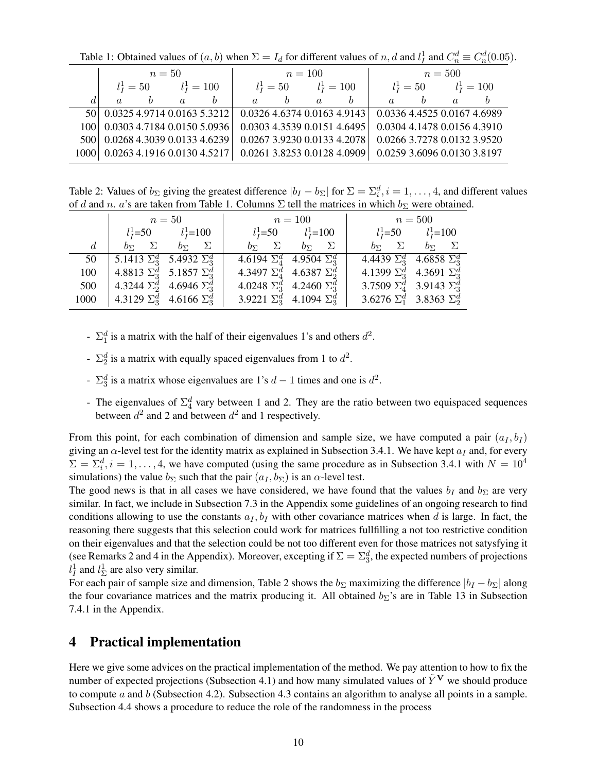|      |                                     | $n=50$ |          |                               |                             |  | $n = 100$     |              |  |   | $n=500$                     |  |
|------|-------------------------------------|--------|----------|-------------------------------|-----------------------------|--|---------------|--------------|--|---|-----------------------------|--|
|      | $l_{I}^{1}=100$<br>$l_{I}^{1} = 50$ |        |          |                               | $l_1^1 = 50$                |  | $l_I^1 = 100$ | $l_1^1 = 50$ |  |   | $lI1 = 100$                 |  |
|      | $\alpha$                            |        | $\alpha$ |                               | $\alpha$                    |  | $\alpha$      | h            |  | h | $\alpha$                    |  |
| 50 I | 0.03254.97140.01635.3212            |        |          |                               | 0.0326 4.6374 0.0163 4.9143 |  |               |              |  |   | 0.0336 4.4525 0.0167 4.6989 |  |
| 100  | 0.03034.71840.01505.0936            |        |          |                               | 0.0303 4.3539 0.0151 4.6495 |  |               |              |  |   | 0.0304 4.1478 0.0156 4.3910 |  |
| 500  |                                     |        |          | 0.0268 4.3039 0.0133 4.6239   | 0.0267 3.9230 0.0133 4.2078 |  |               |              |  |   | 0.0266 3.7278 0.0132 3.9520 |  |
| 1000 |                                     |        |          | $0.0263$ 4.1916 0.0130 4.5217 | 0.0261 3.8253 0.0128 4.0909 |  |               |              |  |   | 0.0259 3.6096 0.0130 3.8197 |  |

<span id="page-9-1"></span>Table 1: Obtained values of  $(a, b)$  when  $\Sigma = I_d$  for different values of n, d and  $l_I^1$  and  $C_n^d \equiv C_n^d(0.05)$ .

<span id="page-9-2"></span>Table 2: Values of  $b_{\Sigma}$  giving the greatest difference  $|b_I - b_{\Sigma}|$  for  $\Sigma = \Sigma_i^d$ ,  $i = 1, \dots, 4$ , and different values of d and n. a's are taken from Table [1.](#page-9-1) Columns  $\Sigma$  tell the matrices in which  $b_{\Sigma}$  were obtained.

|                |                                                           | $n=50$                                        | $n = 100$ |                                             | $n = 500$                               |                                             |
|----------------|-----------------------------------------------------------|-----------------------------------------------|-----------|---------------------------------------------|-----------------------------------------|---------------------------------------------|
|                |                                                           | $l_{I}^{1}=50$ $l_{I}^{1}=100$                |           | $l_{I}^{1} = 50$ $l_{I}^{1} = 100$          |                                         | $l_I^1 = 50$ $l_I^1 = 100$                  |
| $\overline{d}$ | $b_{\Sigma}$ $\Sigma$ $b_{\Sigma}$ $\Sigma$               |                                               |           | $b_{\Sigma}$ $\Sigma$ $b_{\Sigma}$ $\Sigma$ |                                         | $b_{\Sigma}$ $\Sigma$ $b_{\Sigma}$ $\Sigma$ |
|                | 50   5.1413 $\Sigma_3^d$ 5.4932 $\Sigma_3^d$              |                                               |           | 4.6194 $\Sigma_4^d$ 4.9504 $\Sigma_3^d$     | 4.4439 $\Sigma_3^d$ 4.6858 $\Sigma_3^d$ |                                             |
|                |                                                           | 100   4.8813 $\Sigma_3^d$ 5.1857 $\Sigma_3^d$ |           | 4.3497 $\Sigma_4^d$ 4.6387 $\Sigma_2^d$     | 4.1399 $\Sigma_3^d$ 4.3691 $\Sigma_3^d$ |                                             |
|                |                                                           | 500   4.3244 $\Sigma_2^d$ 4.6946 $\Sigma_3^d$ |           | 4.0248 $\Sigma_3^d$ 4.2460 $\Sigma_3^d$     | 3.7509 $\Sigma_4^d$ 3.9143 $\Sigma_3^d$ |                                             |
|                | 1000 $\left  4.3129 \Sigma_3^d \right  4.6166 \Sigma_3^d$ |                                               |           | 3.9221 $\Sigma_3^d$ 4.1094 $\Sigma_3^d$     | 3.6276 $\Sigma_1^d$ 3.8363 $\Sigma_2^d$ |                                             |

- $\Sigma_1^d$  is a matrix with the half of their eigenvalues 1's and others  $d^2$ .
- $\Sigma_2^d$  is a matrix with equally spaced eigenvalues from 1 to  $d^2$ .
- $\Sigma_3^d$  is a matrix whose eigenvalues are 1's  $d-1$  times and one is  $d^2$ .
- The eigenvalues of  $\Sigma_4^d$  vary between 1 and 2. They are the ratio between two equispaced sequences between  $d^2$  and 2 and between  $d^2$  and 1 respectively.

From this point, for each combination of dimension and sample size, we have computed a pair  $(a_I, b_I)$ giving an  $\alpha$ -level test for the identity matrix as explained in Subsection [3.4.1.](#page-8-0) We have kept  $a_I$  and, for every  $\Sigma = \Sigma_i^d$ ,  $i = 1, ..., 4$ , we have computed (using the same procedure as in Subsection [3.4.1](#page-8-0) with  $N = 10^4$ simulations) the value  $b_{\Sigma}$  such that the pair  $(a_{I}, b_{\Sigma})$  is an  $\alpha$ -level test.

The good news is that in all cases we have considered, we have found that the values  $b_I$  and  $b_{\Sigma}$  are very similar. In fact, we include in Subsection [7.3](#page-33-0) in the Appendix some guidelines of an ongoing research to find conditions allowing to use the constants  $a_I, b_I$  with other covariance matrices when d is large. In fact, the reasoning there suggests that this selection could work for matrices fullfilling a not too restrictive condition on their eigenvalues and that the selection could be not too different even for those matrices not satysfying it (see Remarks [2](#page-35-0) and [4](#page-36-0) in the Appendix). Moreover, excepting if  $\Sigma = \Sigma_3^d$ , the expected numbers of projections  $l_I^1$  and  $l_{\Sigma}^1$  are also very similar.

For each pair of sample size and dimension, Table [2](#page-9-2) shows the  $b_{\Sigma}$  maximizing the difference  $|b_I - b_{\Sigma}|$  along the four covariance matrices and the matrix producing it. All obtained  $b_{\Sigma}$ 's are in Table [13](#page-36-1) in Subsection [7.4.1](#page-36-2) in the Appendix.

# <span id="page-9-0"></span>4 Practical implementation

Here we give some advices on the practical implementation of the method. We pay attention to how to fix the number of expected projections (Subsection [4.1\)](#page-10-0) and how many simulated values of  $\tilde{Y}^V$  we should produce to compute a and b (Subsection [4.2\)](#page-10-1). Subsection [4.3](#page-10-2) contains an algorithm to analyse all points in a sample. Subsection [4.4](#page-11-1) shows a procedure to reduce the role of the randomness in the process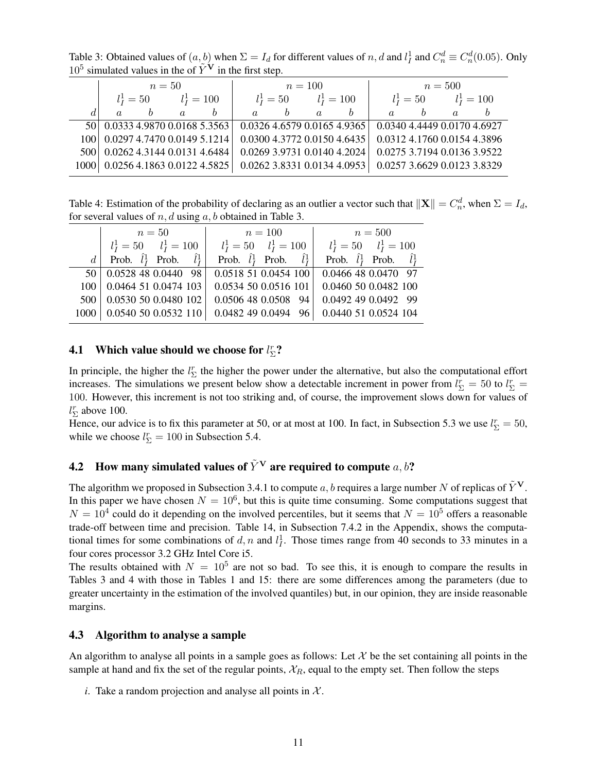<span id="page-10-3"></span>Table 3: Obtained values of  $(a, b)$  when  $\Sigma = I_d$  for different values of n, d and  $l_I^1$  and  $C_n^d \equiv C_n^d(0.05)$ . Only  $10^5$  simulated values in the of  $\tilde{Y}^{\mathbf{V}}$  in the first step.

|                  |                                  | $n=50$                        |          |   |          |              | $n = 100$     |                               | $n=500$                     |              |               |  |
|------------------|----------------------------------|-------------------------------|----------|---|----------|--------------|---------------|-------------------------------|-----------------------------|--------------|---------------|--|
|                  |                                  | $l_I^1 = 100$<br>$l_I^1 = 50$ |          |   |          | $l_1^1 = 50$ | $l_I^1 = 100$ |                               |                             | $l_I^1 = 50$ | $l_I^1 = 100$ |  |
|                  | $\alpha$                         |                               | $\alpha$ | h | $\alpha$ | h            | $\alpha$      | h                             | $\alpha$                    | h            | $\alpha$      |  |
|                  | 50 0.0333 4.9870 0.0168 5.3563   |                               |          |   |          |              |               | $0.0326$ 4.6579 0.0165 4.9365 | 0.0340 4.4449 0.0170 4.6927 |              |               |  |
| 100 <sup>1</sup> | 0.0297 4.7470 0.0149 5.1214      |                               |          |   |          |              |               | $0.0300$ 4.3772 0.0150 4.6435 | 0.0312 4.1760 0.0154 4.3896 |              |               |  |
| 500              | 0.0262 4.3144 0.0131 4.6484      |                               |          |   |          |              |               | $0.0269$ 3.9731 0.0140 4.2024 | 0.0275 3.7194 0.0136 3.9522 |              |               |  |
|                  | 1000 0.0256 4.1863 0.0122 4.5825 |                               |          |   |          |              |               | $0.0262$ 3.8331 0.0134 4.0953 | 0.0257 3.6629 0.0123 3.8329 |              |               |  |

<span id="page-10-4"></span>Table 4: Estimation of the probability of declaring as an outlier a vector such that  $\|\mathbf{X}\| = C_n^d$ , when  $\Sigma = I_d$ , for several values of  $n, d$  using  $a, b$  obtained in Table [3.](#page-10-3)

|          | $n=50$                                  | $n=100$                                 | $n = 500$                                   |
|----------|-----------------------------------------|-----------------------------------------|---------------------------------------------|
|          | $l_I^1 = 50$ $l_I^1 = 100$              | $l_I^1 = 50$ $l_I^1 = 100$              | $l_I^1 = 50$ $l_I^1 = 100$                  |
| $d \mid$ | Prob. $\hat{l}_I^1$ Prob. $\hat{l}_I^1$ | Prob. $\hat{l}_I^1$ Prob. $\hat{l}_I^1$ | Prob. $\hat{l}_I^1$ Prob. $\hat{l}_I^1$     |
|          | $\overline{50}$ 0.0528 48 0.0440 98     | 0.0518510.0454100                       | $\overline{0.0466}$ 48 0.0470 97            |
|          | $100 \mid 0.0464$ 51 0.0474 103         |                                         | $0.0534$ 50 0.0516 101 0.0460 50 0.0482 100 |
|          | 500   0.0530 50 0.0480 102              | 0.0506480.050894                        | 0.0492 49 0.0492 99                         |
|          | 1000   0.0540 50 0.0532 110             | 0.0482490.049496                        | 0.0440 51 0.0524 104                        |

# <span id="page-10-0"></span>**4.1** Which value should we choose for  $l_{\Sigma}^{r}$ ?

In principle, the higher the  $l_{\Sigma}^{r}$  the higher the power under the alternative, but also the computational effort increases. The simulations we present below show a detectable increment in power from  $l_{\Sigma}^r = 50$  to  $l_{\Sigma}^r =$ 100. However, this increment is not too striking and, of course, the improvement slows down for values of  $l_{\Sigma}^{r}$  above 100.

Hence, our advice is to fix this parameter at 50, or at most at 100. In fact, in Subsection [5.3](#page-13-0) we use  $l_{\Sigma}^r = 50$ , while we choose  $l_{\Sigma}^{r} = 100$  in Subsection [5.4.](#page-14-0)

# <span id="page-10-1"></span>4.2 How many simulated values of  $\tilde{Y}^V$  are required to compute a, b?

The algorithm we proposed in Subsection [3.4.1](#page-8-0) to compute a, b requires a large number N of replicas of  $\ddot{Y}^{\mathbf{V}}$ . In this paper we have chosen  $N = 10^6$ , but this is quite time consuming. Some computations suggest that  $N = 10^4$  could do it depending on the involved percentiles, but it seems that  $N = 10^5$  offers a reasonable trade-off between time and precision. Table [14,](#page-37-0) in Subsection [7.4.2](#page-36-3) in the Appendix, shows the computational times for some combinations of d, n and  $l_I^1$ . Those times range from 40 seconds to 33 minutes in a four cores processor 3.2 GHz Intel Core i5.

The results obtained with  $N = 10^5$  are not so bad. To see this, it is enough to compare the results in Tables [3](#page-10-3) and [4](#page-10-4) with those in Tables [1](#page-9-1) and [15:](#page-38-0) there are some differences among the parameters (due to greater uncertainty in the estimation of the involved quantiles) but, in our opinion, they are inside reasonable margins.

### <span id="page-10-2"></span>4.3 Algorithm to analyse a sample

An algorithm to analyse all points in a sample goes as follows: Let  $\mathcal X$  be the set containing all points in the sample at hand and fix the set of the regular points,  $\mathcal{X}_R$ , equal to the empty set. Then follow the steps

*i*. Take a random projection and analyse all points in  $X$ .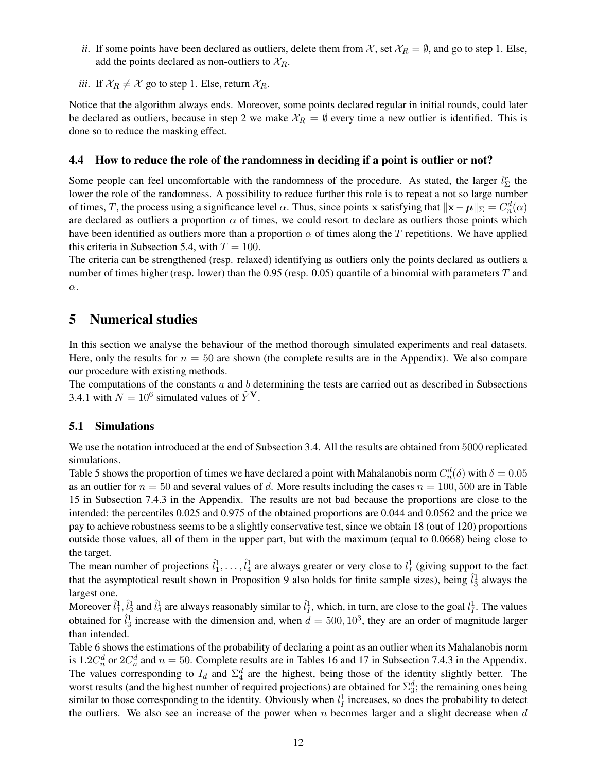- *ii*. If some points have been declared as outliers, delete them from X, set  $X_R = \emptyset$ , and go to step 1. Else, add the points declared as non-outliers to  $\mathcal{X}_R$ .
- *iii*. If  $X_R \neq X$  go to step 1. Else, return  $X_R$ .

Notice that the algorithm always ends. Moreover, some points declared regular in initial rounds, could later be declared as outliers, because in step 2 we make  $\mathcal{X}_R = \emptyset$  every time a new outlier is identified. This is done so to reduce the masking effect.

## <span id="page-11-1"></span>4.4 How to reduce the role of the randomness in deciding if a point is outlier or not?

Some people can feel uncomfortable with the randomness of the procedure. As stated, the larger  $l_{\Sigma}^{r}$  the lower the role of the randomness. A possibility to reduce further this role is to repeat a not so large number of times, T, the process using a significance level  $\alpha$ . Thus, since points x satisfying that  $\|\mathbf{x} - \boldsymbol{\mu}\|_{\Sigma} = C_n^d(\alpha)$ are declared as outliers a proportion  $\alpha$  of times, we could resort to declare as outliers those points which have been identified as outliers more than a proportion  $\alpha$  of times along the T repetitions. We have applied this criteria in Subsection [5.4,](#page-14-0) with  $T = 100$ .

The criteria can be strengthened (resp. relaxed) identifying as outliers only the points declared as outliers a number of times higher (resp. lower) than the  $0.95$  (resp.  $0.05$ ) quantile of a binomial with parameters  $T$  and α.

# <span id="page-11-0"></span>5 Numerical studies

In this section we analyse the behaviour of the method thorough simulated experiments and real datasets. Here, only the results for  $n = 50$  are shown (the complete results are in the Appendix). We also compare our procedure with existing methods.

The computations of the constants  $a$  and  $b$  determining the tests are carried out as described in Subsections [3.4.1](#page-8-0) with  $N = 10^6$  simulated values of  $\tilde{Y}^V$ .

## 5.1 Simulations

We use the notation introduced at the end of Subsection [3.4.](#page-7-0) All the results are obtained from 5000 replicated simulations.

Table [5](#page-12-0) shows the proportion of times we have declared a point with Mahalanobis norm  $C_n^d(\delta)$  with  $\delta = 0.05$ as an outlier for  $n = 50$  and several values of d. More results including the cases  $n = 100, 500$  are in Table [15](#page-38-0) in Subsection [7.4.3](#page-37-1) in the Appendix. The results are not bad because the proportions are close to the intended: the percentiles 0.025 and 0.975 of the obtained proportions are 0.044 and 0.0562 and the price we pay to achieve robustness seems to be a slightly conservative test, since we obtain 18 (out of 120) proportions outside those values, all of them in the upper part, but with the maximum (equal to 0.0668) being close to the target.

The mean number of projections  $\hat{l}_1^1, \dots, \hat{l}_4^1$  are always greater or very close to  $l_I^1$  (giving support to the fact that the asymptotical result shown in Proposition [9](#page-7-2) also holds for finite sample sizes), being  $\hat{l}_3^1$  always the largest one.

Moreover  $\hat{l}_1^1$ ,  $\hat{l}_2^1$  and  $\hat{l}_4^1$  are always reasonably similar to  $\hat{l}_1^1$ , which, in turn, are close to the goal  $l_I^1$ . The values obtained for  $\hat{l}_3^1$  increase with the dimension and, when  $d = 500, 10^3$ , they are an order of magnitude larger than intended.

Table [6](#page-12-1) shows the estimations of the probability of declaring a point as an outlier when its Mahalanobis norm is 1.2 $C_n^d$  or  $2C_n^d$  and  $n = 50$ . Complete results are in Tables [16](#page-39-0) and [17](#page-40-0) in Subsection [7.4.3](#page-37-1) in the Appendix. The values corresponding to  $I_d$  and  $\Sigma_4^d$  are the highest, being those of the identity slightly better. The worst results (and the highest number of required projections) are obtained for  $\Sigma_3^d$ ; the remaining ones being similar to those corresponding to the identity. Obviously when  $l_I^1$  increases, so does the probability to detect the outliers. We also see an increase of the power when  $n$  becomes larger and a slight decrease when  $d$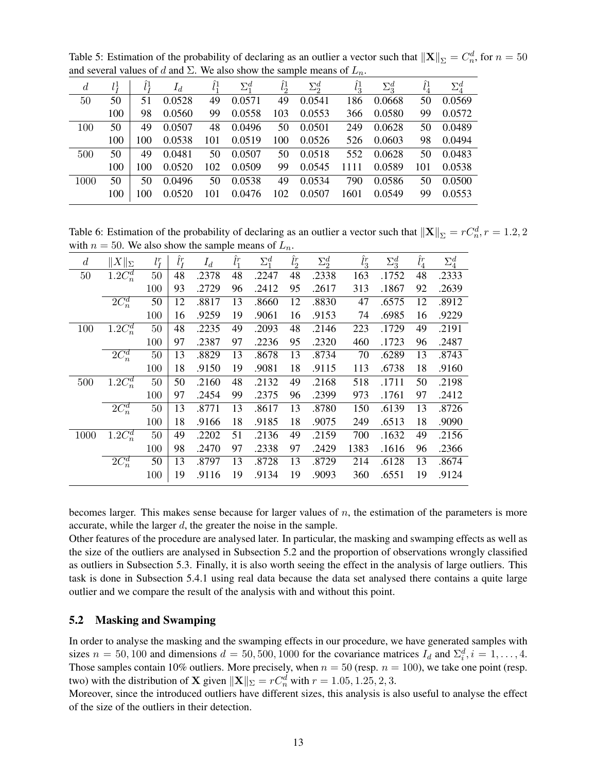<span id="page-12-0"></span>Table 5: Estimation of the probability of declaring as an outlier a vector such that  $\|\mathbf{X}\|_{\Sigma} = C_n^d$ , for  $n = 50$ and several values of d and  $\Sigma$ . We also show the sample means of  $L_n$ .

| $\boldsymbol{d}$ | $l^1_{\tau}$ |     |            | $\hat{l}^1$ | $\Sigma_1^d$     | $\hat{l}^1$ | $\Sigma_2^d$          | $\hat{l}_2^1$ | $\Sigma^d_3$ | $\hat{l}_4^1$ | $\Sigma_4^d$ |
|------------------|--------------|-----|------------|-------------|------------------|-------------|-----------------------|---------------|--------------|---------------|--------------|
| 50               | 50           | 51  | 0.0528     | 49          | 0.0571           | 49          | 0.0541                | 186           | 0.0668       | 50            | 0.0569       |
|                  | 100          | 98  | 0.0560     | 99          | 0.0558           | 103         | 0.0553                | 366           | 0.0580       | 99            | 0.0572       |
| 100              | 50           | 49  | 0.0507     |             | 48 0.0496        |             | 50 0.0501             | 249           | 0.0628       |               | 50 0.0489    |
|                  | 100          | 100 | 0.0538     |             | 101 0.0519       | 100         | 0.0526                |               | 526 0.0603   |               | 98 0.0494    |
| 500              | 50           | 49  | 0.0481     | 50          | 0.0507 50 0.0518 |             |                       |               | 552 0.0628   |               | 50 0.0483    |
|                  | 100          | 100 | 0.0520     |             | 102 0.0509       | 99          | 0.0545                | 1111          | 0.0589       |               | 101 0.0538   |
| 1000             | 50           | 50  | 0.0496     | 50          | 0.0538           | 49          | 0.0534                | 790           | 0.0586       |               | 50 0.0500    |
|                  | 100          |     | 100 0.0520 |             |                  |             | 101 0.0476 102 0.0507 |               | 1601 0.0549  |               | 99 0.0553    |
|                  |              |     |            |             |                  |             |                       |               |              |               |              |

<span id="page-12-1"></span>Table 6: Estimation of the probability of declaring as an outlier a vector such that  $\|\mathbf{X}\|_{\Sigma} = rC_n^d$ ,  $r = 1.2, 2$ with  $n = 50$ . We also show the sample means of  $L_n$ .

| $\overline{d}$ | $  X  _{\Sigma}$      | $l_I^r$ | $\hat{l}_I^r$ | $I_d$ | $\hat{l}_1^r$ | $\Sigma_1^d$ | $\hat{l}^r_2$ | $\Sigma_2^d$ | $\hat{l}_3^r$ | $\Sigma_3^d$ | $\hat l_4^r$ | $\Sigma_4^d$ |
|----------------|-----------------------|---------|---------------|-------|---------------|--------------|---------------|--------------|---------------|--------------|--------------|--------------|
| 50             | $1.2C_n^d$            | $50\,$  | 48            | .2378 | 48            | .2247        | 48            | .2338        | 163           | .1752        | 48           | .2333        |
|                |                       | 100     | 93            | .2729 | 96            | .2412        | 95            | .2617        | 313           | .1867        | 92           | .2639        |
|                | $2C_n^d$              | 50      | 12            | .8817 | 13            | .8660        | 12            | .8830        | 47            | .6575        | 12           | .8912        |
|                |                       | 100     | 16            | .9259 | 19            | .9061        | 16            | .9153        | 74            | .6985        | 16           | .9229        |
| 100            | $1.2C_n^d$            | $50\,$  | 48            | .2235 | 49            | .2093        | 48            | .2146        | 223           | .1729        | 49           | .2191        |
|                |                       | 100     | 97            | .2387 | 97            | .2236        | 95            | .2320        | 460           | .1723        | 96           | .2487        |
|                | $2C_n^d$              | $50\,$  | 13            | .8829 | 13            | .8678        | 13            | .8734        | 70            | .6289        | 13           | .8743        |
|                |                       | 100     | 18            | .9150 | 19            | .9081        | 18            | .9115        | 113           | .6738        | 18           | .9160        |
| 500            | $\overline{1.2C_n^d}$ | 50      | 50            | .2160 | 48            | .2132        | 49            | .2168        | 518           | .1711        | 50           | .2198        |
|                |                       | 100     | 97            | .2454 | 99            | .2375        | 96            | .2399        | 973           | .1761        | 97           | .2412        |
|                | $2C_n^d$              | 50      | 13            | .8771 | 13            | .8617        | 13            | .8780        | 150           | .6139        | 13           | .8726        |
|                |                       | 100     | 18            | .9166 | 18            | .9185        | 18            | .9075        | 249           | .6513        | 18           | .9090        |
| 1000           | $1.2C_n^d$            | $50\,$  | 49            | .2202 | 51            | .2136        | 49            | .2159        | 700           | .1632        | 49           | .2156        |
|                |                       | 100     | 98            | .2470 | 97            | .2338        | 97            | .2429        | 1383          | .1616        | 96           | .2366        |
|                | $2C_n^d$              | 50      | 13            | .8797 | 13            | .8728        | 13            | .8729        | 214           | .6128        | 13           | .8674        |
|                |                       | 100     | 19            | .9116 | 19            | .9134        | 19            | .9093        | 360           | .6551        | 19           | .9124        |
|                |                       |         |               |       |               |              |               |              |               |              |              |              |

becomes larger. This makes sense because for larger values of  $n$ , the estimation of the parameters is more accurate, while the larger  $d$ , the greater the noise in the sample.

Other features of the procedure are analysed later. In particular, the masking and swamping effects as well as the size of the outliers are analysed in Subsection [5.2](#page-12-2) and the proportion of observations wrongly classified as outliers in Subsection [5.3.](#page-13-0) Finally, it is also worth seeing the effect in the analysis of large outliers. This task is done in Subsection [5.4.1](#page-15-0) using real data because the data set analysed there contains a quite large outlier and we compare the result of the analysis with and without this point.

## <span id="page-12-2"></span>5.2 Masking and Swamping

In order to analyse the masking and the swamping effects in our procedure, we have generated samples with sizes  $n = 50, 100$  and dimensions  $d = 50, 500, 1000$  for the covariance matrices  $I_d$  and  $\Sigma_i^d$ ,  $i = 1, ..., 4$ . Those samples contain 10% outliers. More precisely, when  $n = 50$  (resp.  $n = 100$ ), we take one point (resp. two) with the distribution of **X** given  $\|\mathbf{X}\|_{\Sigma} = rC_n^d$  with  $r = 1.05, 1.25, 2, 3$ .

Moreover, since the introduced outliers have different sizes, this analysis is also useful to analyse the effect of the size of the outliers in their detection.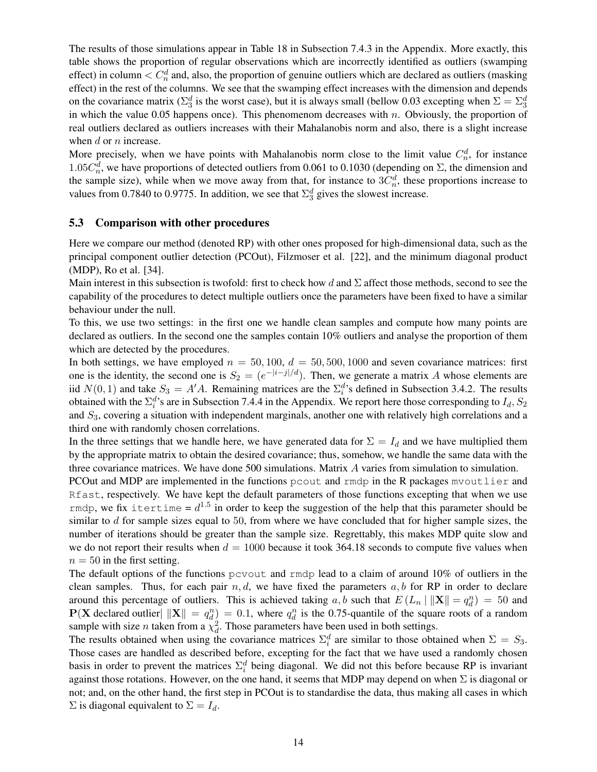The results of those simulations appear in Table [18](#page-41-0) in Subsection [7.4.3](#page-37-1) in the Appendix. More exactly, this table shows the proportion of regular observations which are incorrectly identified as outliers (swamping effect) in column  $\langle C_n^d \rangle$  and, also, the proportion of genuine outliers which are declared as outliers (masking effect) in the rest of the columns. We see that the swamping effect increases with the dimension and depends on the covariance matrix ( $\Sigma_3^d$  is the worst case), but it is always small (bellow 0.03 excepting when  $\Sigma = \Sigma_3^d$ in which the value 0.05 happens once). This phenomenom decreases with  $n$ . Obviously, the proportion of real outliers declared as outliers increases with their Mahalanobis norm and also, there is a slight increase when  $d$  or  $n$  increase.

More precisely, when we have points with Mahalanobis norm close to the limit value  $C_n^d$ , for instance 1.05 $C_n^d$ , we have proportions of detected outliers from 0.061 to 0.1030 (depending on  $\Sigma$ , the dimension and the sample size), while when we move away from that, for instance to  $3C_n^d$ , these proportions increase to values from 0.7840 to 0.9775. In addition, we see that  $\Sigma_3^d$  gives the slowest increase.

### <span id="page-13-0"></span>5.3 Comparison with other procedures

Here we compare our method (denoted RP) with other ones proposed for high-dimensional data, such as the principal component outlier detection (PCOut), Filzmoser et al. [\[22\]](#page-19-1), and the minimum diagonal product (MDP), Ro et al. [\[34\]](#page-20-0).

Main interest in this subsection is twofold: first to check how d and  $\Sigma$  affect those methods, second to see the capability of the procedures to detect multiple outliers once the parameters have been fixed to have a similar behaviour under the null.

To this, we use two settings: in the first one we handle clean samples and compute how many points are declared as outliers. In the second one the samples contain 10% outliers and analyse the proportion of them which are detected by the procedures.

In both settings, we have employed  $n = 50, 100, d = 50, 500, 1000$  and seven covariance matrices: first one is the identity, the second one is  $S_2 = (e^{-|i-j|/d})$ . Then, we generate a matrix A whose elements are iid  $N(0, 1)$  and take  $S_3 = A'A$ . Remaining matrices are the  $\Sigma_i^d$ 's defined in Subsection [3.4.2.](#page-8-1) The results obtained with the  $\Sigma_i^d$ 's are in Subsection [7.4.4](#page-37-2) in the Appendix. We report here those corresponding to  $I_d$ ,  $S_2$ and  $S_3$ , covering a situation with independent marginals, another one with relatively high correlations and a third one with randomly chosen correlations.

In the three settings that we handle here, we have generated data for  $\Sigma = I_d$  and we have multiplied them by the appropriate matrix to obtain the desired covariance; thus, somehow, we handle the same data with the three covariance matrices. We have done 500 simulations. Matrix A varies from simulation to simulation.

PCOut and MDP are implemented in the functions pcout and rmdp in the R packages mvoutlier and Rfast, respectively. We have kept the default parameters of those functions excepting that when we use rmdp, we fix itertime =  $d^{1.5}$  in order to keep the suggestion of the help that this parameter should be similar to  $d$  for sample sizes equal to 50, from where we have concluded that for higher sample sizes, the number of iterations should be greater than the sample size. Regrettably, this makes MDP quite slow and we do not report their results when  $d = 1000$  because it took 364.18 seconds to compute five values when  $n = 50$  in the first setting.

The default options of the functions pcvout and rmdp lead to a claim of around 10% of outliers in the clean samples. Thus, for each pair  $n, d$ , we have fixed the parameters  $a, b$  for RP in order to declare around this percentage of outliers. This is achieved taking a, b such that  $E(L_n \mid ||\mathbf{X}|| = q_d^n) = 50$  and  $P(X$  declared outlier  $||X|| = q_d^n$  = 0.1, where  $q_d^n$  is the 0.75-quantile of the square roots of a random sample with size *n* taken from a  $\chi_d^2$ . Those parameters have been used in both settings.

The results obtained when using the covariance matrices  $\Sigma_i^d$  are similar to those obtained when  $\Sigma = S_3$ . Those cases are handled as described before, excepting for the fact that we have used a randomly chosen basis in order to prevent the matrices  $\Sigma_i^d$  being diagonal. We did not this before because RP is invariant against those rotations. However, on the one hand, it seems that MDP may depend on when  $\Sigma$  is diagonal or not; and, on the other hand, the first step in PCOut is to standardise the data, thus making all cases in which  $\Sigma$  is diagonal equivalent to  $\Sigma = I_d$ .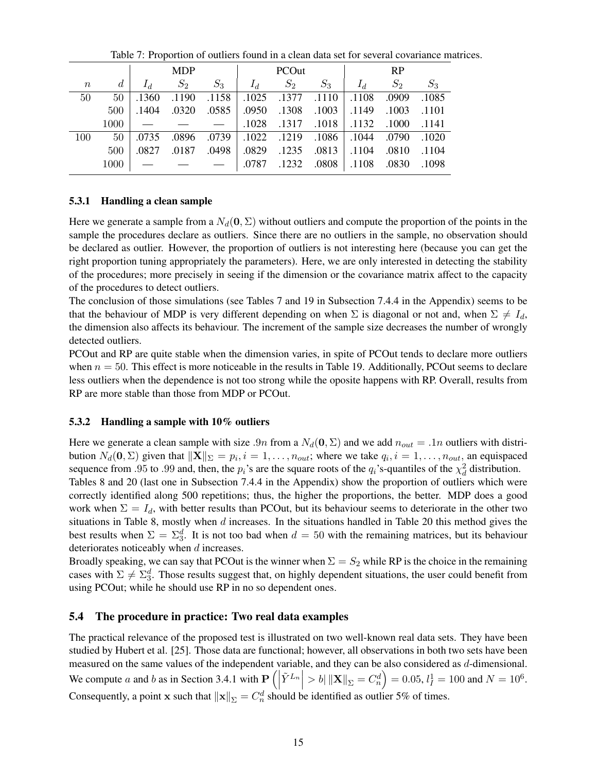|       |      |       | <b>MDP</b> |                                                         |       | PCOut |                                                 |       | <b>RP</b> |       |
|-------|------|-------|------------|---------------------------------------------------------|-------|-------|-------------------------------------------------|-------|-----------|-------|
| $\,n$ | d    | $I_d$ | $S_2$      | $S_3$                                                   | $I_d$ | $S_2$ | $S_3$                                           | $I_d$ | $S_2$     | $S_3$ |
| 50    | 50   |       |            | $.1360$ $.1190$ $.1158$ $.1025$ $.1377$ $.1110$ $.1108$ |       |       |                                                 |       | .0909     | .1085 |
|       | 500  | .1404 | .0320      | .0585 .0950 .1308 .1003 .1149 .1003 .1101               |       |       |                                                 |       |           |       |
|       | 1000 |       |            | _ _ _ _                                                 |       |       | $.1028$ $.1317$ $.1018$ $.1132$ $.1000$ $.1141$ |       |           |       |
| 100   | 50   | .0735 |            | .0896 .0739 .1022 .1219 .1086 .1044 .0790 .0896         |       |       |                                                 |       |           |       |
|       | 500  | .0827 | .0187      | .0498 0829 .1235 .0813 .1104 .0810 .1104                |       |       |                                                 |       |           |       |
|       | 1000 |       |            | $    .0787$ .1232 .0808 .1108 .0830                     |       |       |                                                 |       |           | .1098 |

<span id="page-14-1"></span>Table 7: Proportion of outliers found in a clean data set for several covariance matrices.

## 5.3.1 Handling a clean sample

Here we generate a sample from a  $N_d(\mathbf{0}, \Sigma)$  without outliers and compute the proportion of the points in the sample the procedures declare as outliers. Since there are no outliers in the sample, no observation should be declared as outlier. However, the proportion of outliers is not interesting here (because you can get the right proportion tuning appropriately the parameters). Here, we are only interested in detecting the stability of the procedures; more precisely in seeing if the dimension or the covariance matrix affect to the capacity of the procedures to detect outliers.

The conclusion of those simulations (see Tables [7](#page-14-1) and [19](#page-41-1) in Subsection [7.4.4](#page-37-2) in the Appendix) seems to be that the behaviour of MDP is very different depending on when  $\Sigma$  is diagonal or not and, when  $\Sigma \neq I_d$ , the dimension also affects its behaviour. The increment of the sample size decreases the number of wrongly detected outliers.

PCOut and RP are quite stable when the dimension varies, in spite of PCOut tends to declare more outliers when  $n = 50$ . This effect is more noticeable in the results in Table [19.](#page-41-1) Additionally, PCOut seems to declare less outliers when the dependence is not too strong while the oposite happens with RP. Overall, results from RP are more stable than those from MDP or PCOut.

## 5.3.2 Handling a sample with 10% outliers

Here we generate a clean sample with size .9n from a  $N_d(\mathbf{0}, \Sigma)$  and we add  $n_{out} = .1n$  outliers with distribution  $N_d(\mathbf{0}, \Sigma)$  given that  $\|\mathbf{X}\|_{\Sigma} = p_i$ ,  $i = 1, \ldots, n_{out}$ ; where we take  $q_i$ ,  $i = 1, \ldots, n_{out}$ , an equispaced sequence from .95 to .99 and, then, the  $p_i$ 's are the square roots of the  $q_i$ 's-quantiles of the  $\chi_d^2$  distribution.

Tables [8](#page-15-1) and [20](#page-42-0) (last one in Subsection [7.4.4](#page-37-2) in the Appendix) show the proportion of outliers which were correctly identified along 500 repetitions; thus, the higher the proportions, the better. MDP does a good work when  $\Sigma = I_d$ , with better results than PCOut, but its behaviour seems to deteriorate in the other two situations in Table [8,](#page-15-1) mostly when  $d$  increases. In the situations handled in Table [20](#page-42-0) this method gives the best results when  $\Sigma = \Sigma_3^d$ . It is not too bad when  $d = 50$  with the remaining matrices, but its behaviour deteriorates noticeably when d increases.

Broadly speaking, we can say that PCOut is the winner when  $\Sigma = S_2$  while RP is the choice in the remaining cases with  $\Sigma \neq \Sigma_3^d$ . Those results suggest that, on highly dependent situations, the user could benefit from using PCOut; while he should use RP in no so dependent ones.

## <span id="page-14-0"></span>5.4 The procedure in practice: Two real data examples

The practical relevance of the proposed test is illustrated on two well-known real data sets. They have been studied by Hubert et al. [\[25\]](#page-19-14). Those data are functional; however, all observations in both two sets have been measured on the same values of the independent variable, and they can be also considered as d-dimensional. We compute a and b as in Section [3.4.1](#page-8-0) with  $\mathbf{P}\left(\right)$  $\left| \tilde{Y}^{L_n} \right| > b \|\mathbf{X}\|_{\Sigma} = C_n^d \Big) = 0.05, l_I^1 = 100 \text{ and } N = 10^6.$ Consequently, a point x such that  $\|\mathbf{x}\|_{\Sigma} = C_n^d$  should be identified as outlier 5% of times.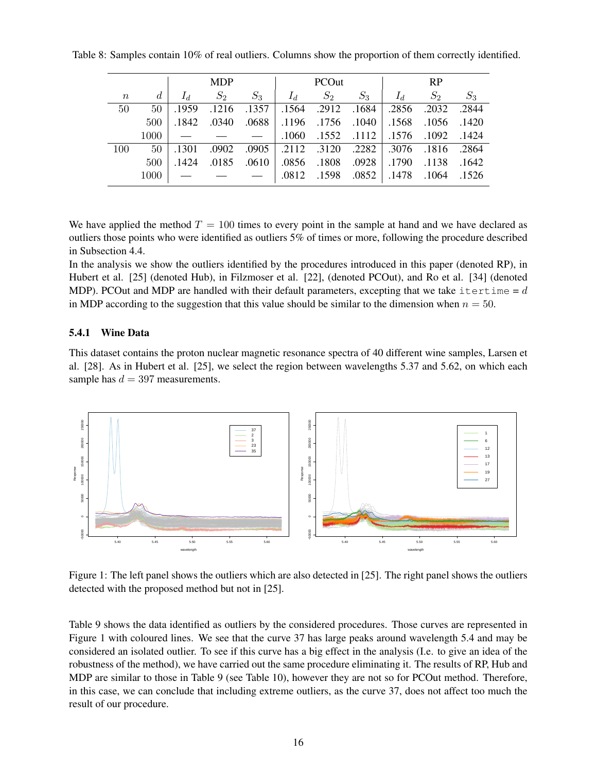Table 8: Samples contain 10% of real outliers. Columns show the proportion of them correctly identified.

<span id="page-15-1"></span>

|       |              |       | <b>MDP</b>                                                                                          |       |                                                 | <b>PCOut</b>                                    |       |       | <b>RP</b>   |       |
|-------|--------------|-------|-----------------------------------------------------------------------------------------------------|-------|-------------------------------------------------|-------------------------------------------------|-------|-------|-------------|-------|
| $\,n$ | d            |       | $S_2$                                                                                               | $S_3$ | $I_d$                                           | $S_2$                                           | $S_3$ | $I_d$ | $S_2$       | $S_3$ |
| 50    | $50^{\circ}$ | .1959 |                                                                                                     |       | $.1216$ $.1357$ $.1564$ $.2912$ $.1684$         |                                                 |       |       | .2856 .2032 | .2844 |
|       | 500          |       | .1420 .1568 .1056 .1842 .1756 .1756 .1756 .1842 .0340 .0688.                                        |       |                                                 |                                                 |       |       |             |       |
|       | 1000         |       | $    .1060$ .1552 .1112 .1576 .1092 .1424                                                           |       |                                                 |                                                 |       |       |             |       |
| 100   | 50           | .1301 |                                                                                                     |       | .0902 .0905 .2112 .3120 .2282 .3076 .1816 .2864 |                                                 |       |       |             |       |
|       | 500          | .1424 |                                                                                                     |       | .0185 .0610 .0856 .1808 .0928 .1790 .1138 .0185 |                                                 |       |       |             |       |
|       | 1000         |       | $\begin{array}{ccccccc} \text{---} & \text{---} & \text{---} & \text{---} & \text{---} \end{array}$ |       |                                                 | $.0812$ $.1598$ $.0852$ $.1478$ $.1064$ $.1526$ |       |       |             |       |

We have applied the method  $T = 100$  times to every point in the sample at hand and we have declared as outliers those points who were identified as outliers 5% of times or more, following the procedure described in Subsection [4.4.](#page-11-1)

In the analysis we show the outliers identified by the procedures introduced in this paper (denoted RP), in Hubert et al. [\[25\]](#page-19-14) (denoted Hub), in Filzmoser et al. [\[22\]](#page-19-1), (denoted PCOut), and Ro et al. [\[34\]](#page-20-0) (denoted MDP). PCOut and MDP are handled with their default parameters, excepting that we take itertime =  $d$ in MDP according to the suggestion that this value should be similar to the dimension when  $n = 50$ .

### <span id="page-15-0"></span>5.4.1 Wine Data

This dataset contains the proton nuclear magnetic resonance spectra of 40 different wine samples, Larsen et al. [\[28\]](#page-19-15). As in Hubert et al. [\[25\]](#page-19-14), we select the region between wavelengths 5.37 and 5.62, on which each sample has  $d = 397$  measurements.



<span id="page-15-2"></span>Figure 1: The left panel shows the outliers which are also detected in [\[25\]](#page-19-14). The right panel shows the outliers detected with the proposed method but not in [\[25\]](#page-19-14).

Table [9](#page-16-0) shows the data identified as outliers by the considered procedures. Those curves are represented in Figure [1](#page-15-2) with coloured lines. We see that the curve 37 has large peaks around wavelength 5.4 and may be considered an isolated outlier. To see if this curve has a big effect in the analysis (I.e. to give an idea of the robustness of the method), we have carried out the same procedure eliminating it. The results of RP, Hub and MDP are similar to those in Table [9](#page-16-0) (see Table [10\)](#page-16-1), however they are not so for PCOut method. Therefore, in this case, we can conclude that including extreme outliers, as the curve 37, does not affect too much the result of our procedure.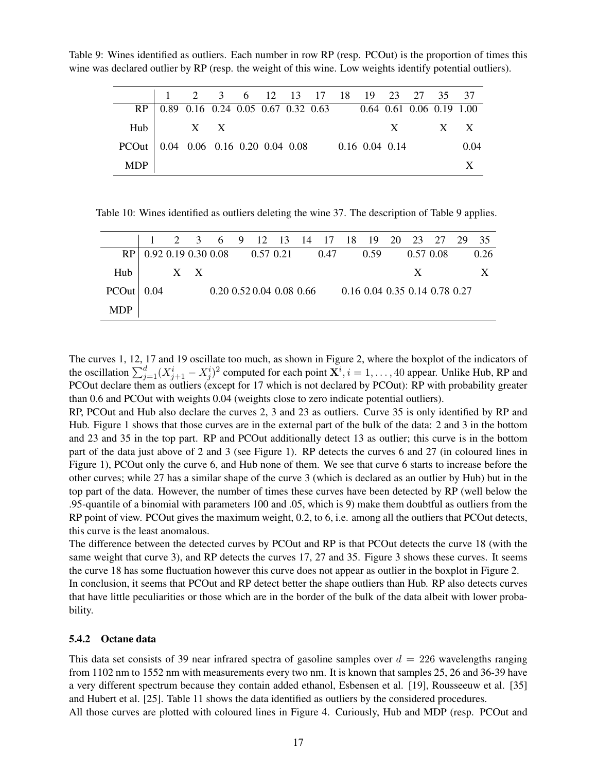<span id="page-16-0"></span>Table 9: Wines identified as outliers. Each number in row RP (resp. PCOut) is the proportion of times this wine was declared outlier by RP (resp. the weight of this wine. Low weights identify potential outliers).

|                                                         |                                                                  | 1 2 3 6 12 13 17 18 19 23 27 35 37 |  |  |  |  |             |  |
|---------------------------------------------------------|------------------------------------------------------------------|------------------------------------|--|--|--|--|-------------|--|
|                                                         | RP   0.89 0.16 0.24 0.05 0.67 0.32 0.63 0.64 0.61 0.06 0.19 1.00 |                                    |  |  |  |  |             |  |
|                                                         | $Hub$ $X$ $X$                                                    |                                    |  |  |  |  | $X$ $X$ $X$ |  |
| PCOut 0.04 0.06 0.16 0.20 0.04 0.08 0.16 0.04 0.14 0.04 |                                                                  |                                    |  |  |  |  |             |  |
| <b>MDP</b>                                              |                                                                  |                                    |  |  |  |  |             |  |

<span id="page-16-1"></span>Table 10: Wines identified as outliers deleting the wine 37. The description of Table [9](#page-16-0) applies.

|                |                                      |       |  |  |                                |  | 1 2 3 6 9 12 13 14 17 18 19 20 23 27 29 35 |   |  |      |
|----------------|--------------------------------------|-------|--|--|--------------------------------|--|--------------------------------------------|---|--|------|
|                | $RP$   0.92 0.19 0.30 0.08 0.57 0.21 |       |  |  |                                |  | $0.47$ $0.59$ $0.57$ $0.08$                |   |  | 0.26 |
| $H$ ub $\perp$ |                                      | $X$ X |  |  |                                |  |                                            | X |  |      |
| PCOut   0.04   |                                      |       |  |  | $0.20\;0.52\;0.04\;0.08\;0.66$ |  | 0.16 0.04 0.35 0.14 0.78 0.27              |   |  |      |
| <b>MDP</b>     |                                      |       |  |  |                                |  |                                            |   |  |      |

The curves 1, 12, 17 and 19 oscillate too much, as shown in Figure [2,](#page-17-0) where the boxplot of the indicators of the oscillation  $\sum_{j=1}^d (X_{j+1}^i - X_j^i)^2$  computed for each point  $\mathbf{X}^i$ ,  $i = 1, ..., 40$  appear. Unlike Hub, RP and PCOut declare them as outliers (except for 17 which is not declared by PCOut): RP with probability greater than 0.6 and PCOut with weights 0.04 (weights close to zero indicate potential outliers).

RP, PCOut and Hub also declare the curves 2, 3 and 23 as outliers. Curve 35 is only identified by RP and Hub. Figure [1](#page-15-2) shows that those curves are in the external part of the bulk of the data: 2 and 3 in the bottom and 23 and 35 in the top part. RP and PCOut additionally detect 13 as outlier; this curve is in the bottom part of the data just above of 2 and 3 (see Figure [1\)](#page-15-2). RP detects the curves 6 and 27 (in coloured lines in Figure [1\)](#page-15-2), PCOut only the curve 6, and Hub none of them. We see that curve 6 starts to increase before the other curves; while 27 has a similar shape of the curve 3 (which is declared as an outlier by Hub) but in the top part of the data. However, the number of times these curves have been detected by RP (well below the .95-quantile of a binomial with parameters 100 and .05, which is 9) make them doubtful as outliers from the RP point of view. PCOut gives the maximum weight, 0.2, to 6, i.e. among all the outliers that PCOut detects, this curve is the least anomalous.

The difference between the detected curves by PCOut and RP is that PCOut detects the curve 18 (with the same weight that curve [3](#page-17-1)), and RP detects the curves 17, 27 and 35. Figure 3 shows these curves. It seems the curve 18 has some fluctuation however this curve does not appear as outlier in the boxplot in Figure [2.](#page-17-0) In conclusion, it seems that PCOut and RP detect better the shape outliers than Hub. RP also detects curves that have little peculiarities or those which are in the border of the bulk of the data albeit with lower probability.

#### 5.4.2 Octane data

This data set consists of 39 near infrared spectra of gasoline samples over  $d = 226$  wavelengths ranging from 1102 nm to 1552 nm with measurements every two nm. It is known that samples 25, 26 and 36-39 have a very different spectrum because they contain added ethanol, Esbensen et al. [\[19\]](#page-19-16), Rousseeuw et al. [\[35\]](#page-20-6) and Hubert et al. [\[25\]](#page-19-14). Table [11](#page-17-2) shows the data identified as outliers by the considered procedures. All those curves are plotted with coloured lines in Figure [4.](#page-18-8) Curiously, Hub and MDP (resp. PCOut and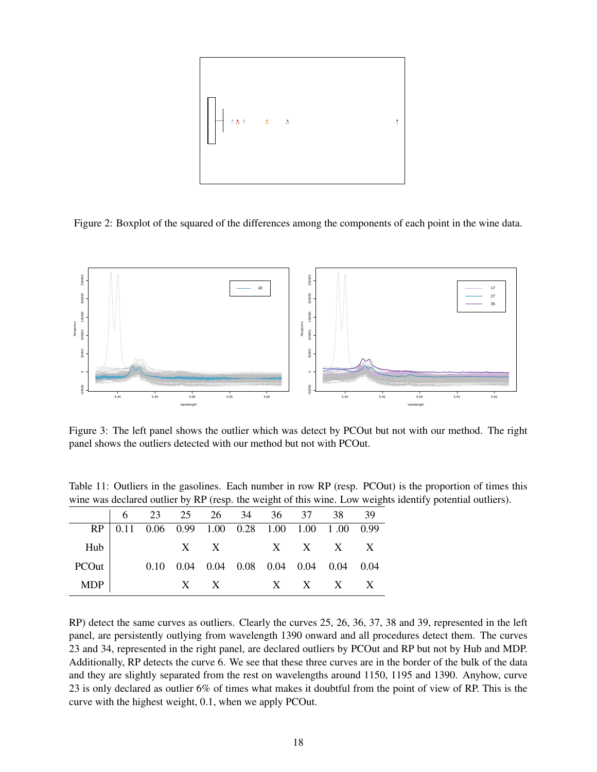

<span id="page-17-0"></span>Figure 2: Boxplot of the squared of the differences among the components of each point in the wine data.



<span id="page-17-1"></span>Figure 3: The left panel shows the outlier which was detect by PCOut but not with our method. The right panel shows the outliers detected with our method but not with PCOut.

<span id="page-17-2"></span>Table 11: Outliers in the gasolines. Each number in row RP (resp. PCOut) is the proportion of times this wine was declared outlier by RP (resp. the weight of this wine. Low weights identify potential outliers).

|       |  |  |  | RP 0.11 0.06 0.99 1.00 0.28 1.00 1.00 1.00 0.99         |  |
|-------|--|--|--|---------------------------------------------------------|--|
| Hub   |  |  |  | $X$ X X X X X                                           |  |
| PCOut |  |  |  | $0.10$ $0.04$ $0.04$ $0.08$ $0.04$ $0.04$ $0.04$ $0.04$ |  |
| MDP   |  |  |  | $X$ X X X X X                                           |  |

RP) detect the same curves as outliers. Clearly the curves 25, 26, 36, 37, 38 and 39, represented in the left panel, are persistently outlying from wavelength 1390 onward and all procedures detect them. The curves 23 and 34, represented in the right panel, are declared outliers by PCOut and RP but not by Hub and MDP. Additionally, RP detects the curve 6. We see that these three curves are in the border of the bulk of the data and they are slightly separated from the rest on wavelengths around 1150, 1195 and 1390. Anyhow, curve 23 is only declared as outlier 6% of times what makes it doubtful from the point of view of RP. This is the curve with the highest weight, 0.1, when we apply PCOut.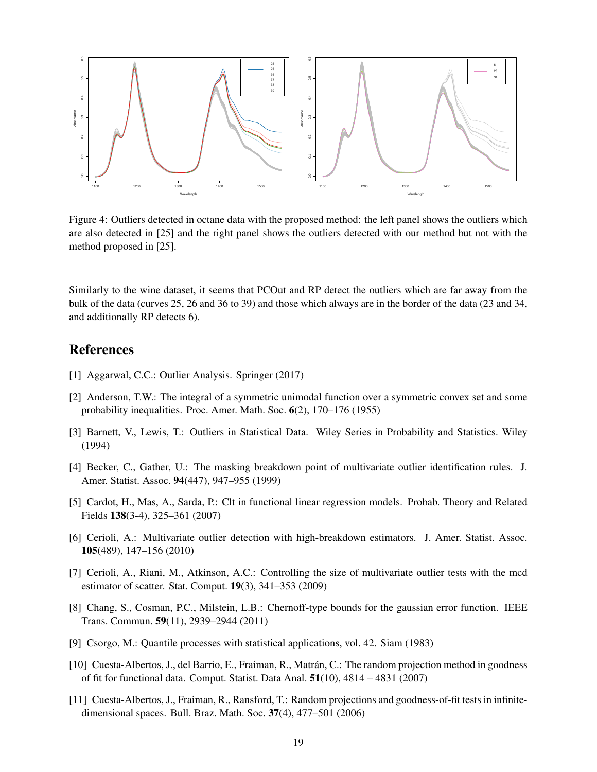

<span id="page-18-8"></span>Figure 4: Outliers detected in octane data with the proposed method: the left panel shows the outliers which are also detected in [\[25\]](#page-19-14) and the right panel shows the outliers detected with our method but not with the method proposed in [\[25\]](#page-19-14).

Similarly to the wine dataset, it seems that PCOut and RP detect the outliers which are far away from the bulk of the data (curves 25, 26 and 36 to 39) and those which always are in the border of the data (23 and 34, and additionally RP detects 6).

# References

- <span id="page-18-0"></span>[1] Aggarwal, C.C.: Outlier Analysis. Springer (2017)
- <span id="page-18-10"></span>[2] Anderson, T.W.: The integral of a symmetric unimodal function over a symmetric convex set and some probability inequalities. Proc. Amer. Math. Soc. 6(2), 170–176 (1955)
- <span id="page-18-1"></span>[3] Barnett, V., Lewis, T.: Outliers in Statistical Data. Wiley Series in Probability and Statistics. Wiley (1994)
- <span id="page-18-3"></span>[4] Becker, C., Gather, U.: The masking breakdown point of multivariate outlier identification rules. J. Amer. Statist. Assoc. 94(447), 947–955 (1999)
- <span id="page-18-2"></span>[5] Cardot, H., Mas, A., Sarda, P.: Clt in functional linear regression models. Probab. Theory and Related Fields 138(3-4), 325–361 (2007)
- <span id="page-18-5"></span>[6] Cerioli, A.: Multivariate outlier detection with high-breakdown estimators. J. Amer. Statist. Assoc. 105(489), 147–156 (2010)
- <span id="page-18-4"></span>[7] Cerioli, A., Riani, M., Atkinson, A.C.: Controlling the size of multivariate outlier tests with the mcd estimator of scatter. Stat. Comput. 19(3), 341–353 (2009)
- <span id="page-18-9"></span>[8] Chang, S., Cosman, P.C., Milstein, L.B.: Chernoff-type bounds for the gaussian error function. IEEE Trans. Commun. 59(11), 2939–2944 (2011)
- <span id="page-18-11"></span>[9] Csorgo, M.: Quantile processes with statistical applications, vol. 42. Siam (1983)
- <span id="page-18-7"></span>[10] Cuesta-Albertos, J., del Barrio, E., Fraiman, R., Matrán, C.: The random projection method in goodness of fit for functional data. Comput. Statist. Data Anal. 51(10), 4814 – 4831 (2007)
- <span id="page-18-6"></span>[11] Cuesta-Albertos, J., Fraiman, R., Ransford, T.: Random projections and goodness-of-fit tests in infinitedimensional spaces. Bull. Braz. Math. Soc. 37(4), 477–501 (2006)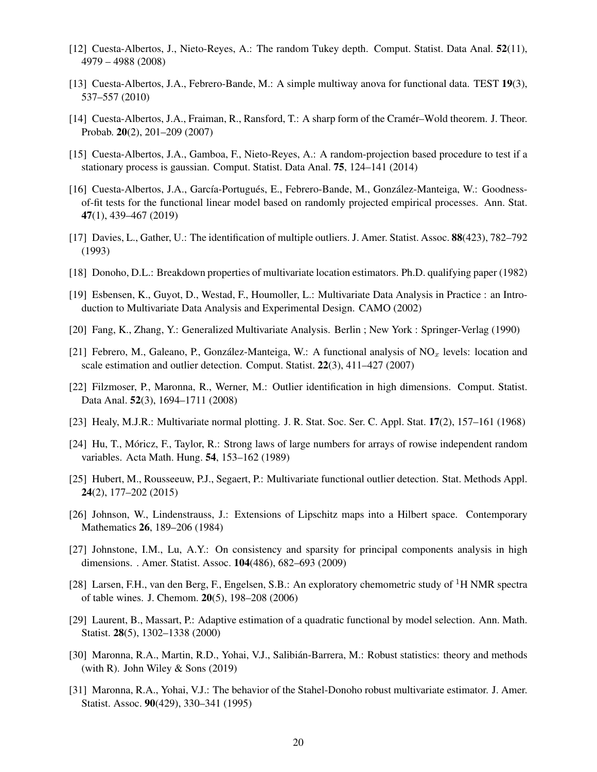- <span id="page-19-12"></span>[12] Cuesta-Albertos, J., Nieto-Reyes, A.: The random Tukey depth. Comput. Statist. Data Anal. 52(11), 4979 – 4988 (2008)
- <span id="page-19-10"></span>[13] Cuesta-Albertos, J.A., Febrero-Bande, M.: A simple multiway anova for functional data. TEST 19(3), 537–557 (2010)
- <span id="page-19-8"></span>[14] Cuesta-Albertos, J.A., Fraiman, R., Ransford, T.: A sharp form of the Cramér–Wold theorem. J. Theor. Probab. 20(2), 201–209 (2007)
- <span id="page-19-9"></span>[15] Cuesta-Albertos, J.A., Gamboa, F., Nieto-Reyes, A.: A random-projection based procedure to test if a stationary process is gaussian. Comput. Statist. Data Anal. 75, 124–141 (2014)
- <span id="page-19-11"></span>[16] Cuesta-Albertos, J.A., García-Portugués, E., Febrero-Bande, M., González-Manteiga, W.: Goodnessof-fit tests for the functional linear model based on randomly projected empirical processes. Ann. Stat. 47(1), 439–467 (2019)
- <span id="page-19-6"></span>[17] Davies, L., Gather, U.: The identification of multiple outliers. J. Amer. Statist. Assoc. 88(423), 782–792 (1993)
- <span id="page-19-3"></span>[18] Donoho, D.L.: Breakdown properties of multivariate location estimators. Ph.D. qualifying paper (1982)
- <span id="page-19-16"></span>[19] Esbensen, K., Guyot, D., Westad, F., Houmoller, L.: Multivariate Data Analysis in Practice : an Introduction to Multivariate Data Analysis and Experimental Design. CAMO (2002)
- <span id="page-19-18"></span>[20] Fang, K., Zhang, Y.: Generalized Multivariate Analysis. Berlin ; New York : Springer-Verlag (1990)
- <span id="page-19-0"></span>[21] Febrero, M., Galeano, P., González-Manteiga, W.: A functional analysis of  $NO<sub>x</sub>$  levels: location and scale estimation and outlier detection. Comput. Statist. 22(3), 411–427 (2007)
- <span id="page-19-1"></span>[22] Filzmoser, P., Maronna, R., Werner, M.: Outlier identification in high dimensions. Comput. Statist. Data Anal. 52(3), 1694–1711 (2008)
- <span id="page-19-5"></span>[23] Healy, M.J.R.: Multivariate normal plotting. J. R. Stat. Soc. Ser. C. Appl. Stat. 17(2), 157–161 (1968)
- <span id="page-19-19"></span>[24] Hu, T., Móricz, F., Taylor, R.: Strong laws of large numbers for arrays of rowise independent random variables. Acta Math. Hung. 54, 153–162 (1989)
- <span id="page-19-14"></span>[25] Hubert, M., Rousseeuw, P.J., Segaert, P.: Multivariate functional outlier detection. Stat. Methods Appl. 24(2), 177–202 (2015)
- <span id="page-19-7"></span>[26] Johnson, W., Lindenstrauss, J.: Extensions of Lipschitz maps into a Hilbert space. Contemporary Mathematics 26, 189–206 (1984)
- <span id="page-19-2"></span>[27] Johnstone, I.M., Lu, A.Y.: On consistency and sparsity for principal components analysis in high dimensions. . Amer. Statist. Assoc. 104(486), 682–693 (2009)
- <span id="page-19-15"></span>[28] Larsen, F.H., van den Berg, F., Engelsen, S.B.: An exploratory chemometric study of <sup>1</sup>H NMR spectra of table wines. J. Chemom. 20(5), 198–208 (2006)
- <span id="page-19-17"></span>[29] Laurent, B., Massart, P.: Adaptive estimation of a quadratic functional by model selection. Ann. Math. Statist. 28(5), 1302–1338 (2000)
- <span id="page-19-13"></span>[30] Maronna, R.A., Martin, R.D., Yohai, V.J., Salibián-Barrera, M.: Robust statistics: theory and methods (with R). John Wiley  $&$  Sons (2019)
- <span id="page-19-4"></span>[31] Maronna, R.A., Yohai, V.J.: The behavior of the Stahel-Donoho robust multivariate estimator. J. Amer. Statist. Assoc. 90(429), 330–341 (1995)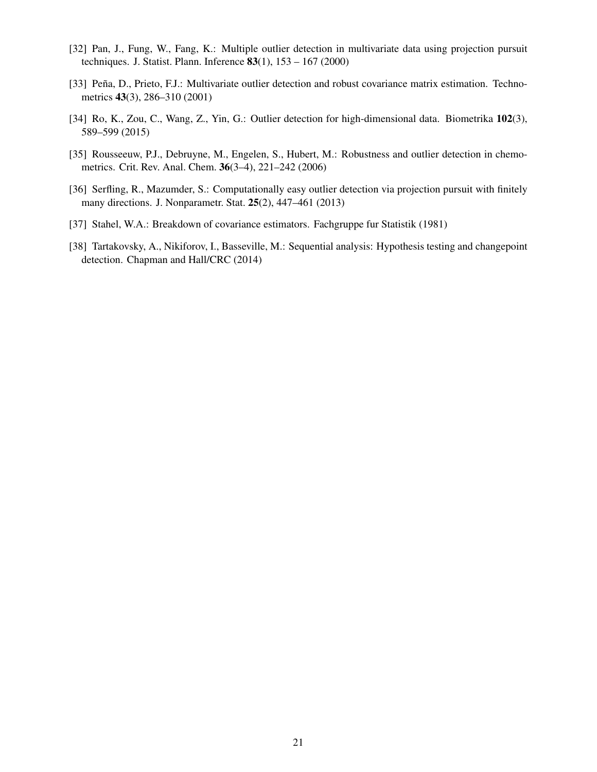- <span id="page-20-4"></span>[32] Pan, J., Fung, W., Fang, K.: Multiple outlier detection in multivariate data using projection pursuit techniques. J. Statist. Plann. Inference  $83(1)$ ,  $153 - 167 (2000)$
- <span id="page-20-2"></span>[33] Peña, D., Prieto, F.J.: Multivariate outlier detection and robust covariance matrix estimation. Technometrics 43(3), 286–310 (2001)
- <span id="page-20-0"></span>[34] Ro, K., Zou, C., Wang, Z., Yin, G.: Outlier detection for high-dimensional data. Biometrika 102(3), 589–599 (2015)
- <span id="page-20-6"></span>[35] Rousseeuw, P.J., Debruyne, M., Engelen, S., Hubert, M.: Robustness and outlier detection in chemometrics. Crit. Rev. Anal. Chem. 36(3–4), 221–242 (2006)
- <span id="page-20-3"></span>[36] Serfling, R., Mazumder, S.: Computationally easy outlier detection via projection pursuit with finitely many directions. J. Nonparametr. Stat. 25(2), 447–461 (2013)
- <span id="page-20-1"></span>[37] Stahel, W.A.: Breakdown of covariance estimators. Fachgruppe fur Statistik (1981)
- <span id="page-20-5"></span>[38] Tartakovsky, A., Nikiforov, I., Basseville, M.: Sequential analysis: Hypothesis testing and changepoint detection. Chapman and Hall/CRC (2014)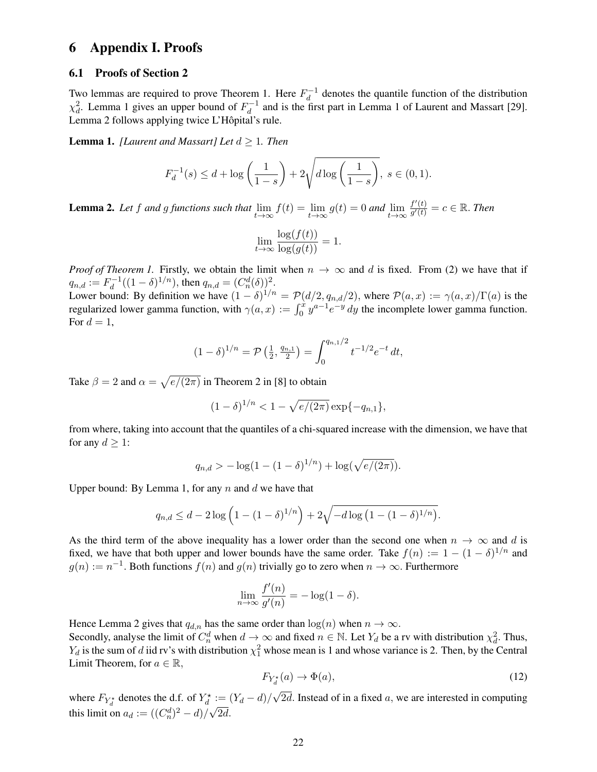## 6 Appendix I. Proofs

#### 6.1 Proofs of Section [2](#page-2-0)

Two lemmas are required to prove Theorem [1.](#page-3-0) Here  $F_d^{-1}$  $d_d^{-1}$  denotes the quantile function of the distribution  $\chi_d^2$ . Lemma [1](#page-21-0) gives an upper bound of  $F_d^{-1}$  $\frac{d}{d}$  and is the first part in Lemma 1 of Laurent and Massart [\[29\]](#page-19-17). Lemma [2](#page-21-1) follows applying twice L'Hôpital's rule.

<span id="page-21-0"></span>Lemma 1. *[Laurent and Massart] Let* d ≥ 1*. Then*

$$
F_d^{-1}(s) \le d + \log\left(\frac{1}{1-s}\right) + 2\sqrt{d\log\left(\frac{1}{1-s}\right)}, \ s \in (0,1).
$$

<span id="page-21-1"></span>**Lemma 2.** Let f and g functions such that  $\lim_{t\to\infty} f(t) = \lim_{t\to\infty} g(t) = 0$  and  $\lim_{t\to\infty}$  $f'(t)$  $\frac{f'(t)}{g'(t)} = c \in \mathbb{R}$ . Then

$$
\lim_{t \to \infty} \frac{\log(f(t))}{\log(g(t))} = 1.
$$

*Proof of Theorem [1.](#page-3-0)* Firstly, we obtain the limit when  $n \to \infty$  and d is fixed. From [\(2\)](#page-2-2) we have that if  $q_{n,d}:=F_d^{-1}$  $d_d^{-1}((1-\delta)^{1/n})$ , then  $q_{n,d} = (C_n^d(\delta))^2$ .

Lower bound: By definition we have  $(1 - \delta)^{1/n} = \mathcal{P}(d/2, q_{n,d}/2)$ , where  $\mathcal{P}(a, x) := \gamma(a, x)/\Gamma(a)$  is the regularized lower gamma function, with  $\gamma(a, x) := \int_0^x y^{a-1} e^{-y} dy$  the incomplete lower gamma function. For  $d=1$ ,

$$
(1 - \delta)^{1/n} = \mathcal{P}\left(\frac{1}{2}, \frac{q_{n,1}}{2}\right) = \int_0^{q_{n,1}/2} t^{-1/2} e^{-t} dt,
$$

Take  $\beta = 2$  and  $\alpha = \sqrt{e/(2\pi)}$  in Theorem 2 in [\[8\]](#page-18-9) to obtain

$$
(1 - \delta)^{1/n} < 1 - \sqrt{e/(2\pi)} \exp\{-q_{n,1}\},
$$

from where, taking into account that the quantiles of a chi-squared increase with the dimension, we have that for any  $d \geq 1$ :

$$
q_{n,d} > -\log(1 - (1 - \delta)^{1/n}) + \log(\sqrt{e/(2\pi)}).
$$

Upper bound: By Lemma [1,](#page-21-0) for any  $n$  and  $d$  we have that

$$
q_{n,d} \leq d - 2 \log \left( 1 - (1 - \delta)^{1/n} \right) + 2 \sqrt{-d \log \left( 1 - (1 - \delta)^{1/n} \right)}.
$$

As the third term of the above inequality has a lower order than the second one when  $n \to \infty$  and d is fixed, we have that both upper and lower bounds have the same order. Take  $f(n) := 1 - (1 - \delta)^{1/n}$  and  $g(n) := n^{-1}$ . Both functions  $f(n)$  and  $g(n)$  trivially go to zero when  $n \to \infty$ . Furthermore

$$
\lim_{n \to \infty} \frac{f'(n)}{g'(n)} = -\log(1 - \delta).
$$

Hence Lemma [2](#page-21-1) gives that  $q_{d,n}$  has the same order than  $\log(n)$  when  $n \to \infty$ .

Secondly, analyse the limit of  $C_n^d$  when  $d \to \infty$  and fixed  $n \in \mathbb{N}$ . Let  $Y_d$  be a rv with distribution  $\chi_d^2$ . Thus,  $Y_d$  is the sum of d iid rv's with distribution  $\chi_1^2$  whose mean is 1 and whose variance is 2. Then, by the Central Limit Theorem, for  $a \in \mathbb{R}$ ,

<span id="page-21-2"></span>
$$
F_{Y_d^*}(a) \to \Phi(a),\tag{12}
$$

where  $F_{Y_d^*}$  denotes the d.f. of  $Y_d^* := (Y_d - d)$ / √  $\chi^* := (Y_d - d) / \sqrt{2d}$ . Instead of in a fixed a, we are interested in computing this limit on  $a_d := ((C_n^d)^2 - d) / \sqrt{2d}$ .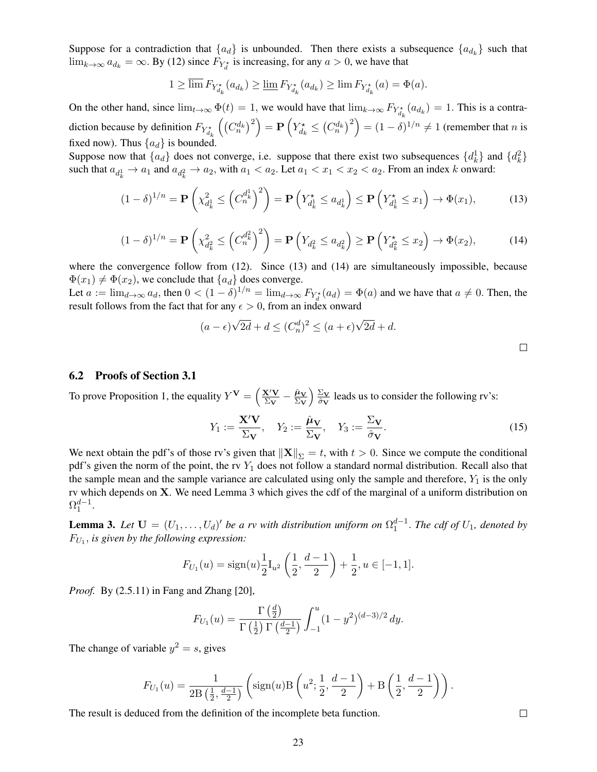Suppose for a contradiction that  ${a_d}$  is unbounded. Then there exists a subsequence  ${a_{d_k}}$  such that  $\lim_{k\to\infty} a_{d_k} = \infty$ . By [\(12\)](#page-21-2) since  $F_{Y_d^*}$  is increasing, for any  $a > 0$ , we have that

$$
1 \ge \overline{\lim} F_{Y_{d_k}^{\star}}(a_{d_k}) \ge \underline{\lim} F_{Y_{d_k}^{\star}}(a_{d_k}) \ge \lim F_{Y_{d_k}^{\star}}(a) = \Phi(a).
$$

On the other hand, since  $\lim_{t\to\infty} \Phi(t) = 1$ , we would have that  $\lim_{k\to\infty} F_{Y_{d_k}^*}(a_{d_k}) = 1$ . This is a contradiction because by definition  $F_{Y_{d_k}^*}\left(\left(C_n^{d_k}\right)^2\right) = \mathbf{P}\left(Y_{d_k}^* \leq \left(C_n^{d_k}\right)^2\right) = (1 - \delta)^{1/n} \neq 1$  (remember that *n* is fixed now). Thus  ${a_d}$  is bounded.

Suppose now that  $\{a_d\}$  does not converge, i.e. suppose that there exist two subsequences  $\{d_k^1\}$  and  $\{d_k^2\}$ such that  $a_{d_k^1} \to a_1$  and  $a_{d_k^2} \to a_2$ , with  $a_1 < a_2$ . Let  $a_1 < x_1 < x_2 < a_2$ . From an index k onward:

$$
(1 - \delta)^{1/n} = \mathbf{P}\left(\chi_{d_k^1}^2 \le \left(C_n^{d_k^1}\right)^2\right) = \mathbf{P}\left(Y_{d_k^1} \le a_{d_k^1}\right) \le \mathbf{P}\left(Y_{d_k^1} \le x_1\right) \to \Phi(x_1),\tag{13}
$$

$$
(1 - \delta)^{1/n} = \mathbf{P}\left(\chi_{d_k^2}^2 \le \left(C_n^{d_k^2}\right)^2\right) = \mathbf{P}\left(Y_{d_k^2} \le a_{d_k^2}\right) \ge \mathbf{P}\left(Y_{d_k^2} \le x_2\right) \to \Phi(x_2),\tag{14}
$$

where the convergence follow from [\(12\)](#page-21-2). Since [\(13\)](#page-22-0) and [\(14\)](#page-22-1) are simultaneously impossible, because  $\Phi(x_1) \neq \Phi(x_2)$ , we conclude that  $\{a_d\}$  does converge.

Let  $a := \lim_{d \to \infty} a_d$ , then  $0 < (1 - \delta)^{1/n} = \lim_{d \to \infty} F_{Y_d^*}(a_d) = \Phi(a)$  and we have that  $a \neq 0$ . Then, the result follows from the fact that for any  $\epsilon > 0$ , from an index onward

$$
(a - \epsilon)\sqrt{2d} + d \le (C_n^d)^2 \le (a + \epsilon)\sqrt{2d} + d.
$$

#### 6.2 Proofs of Section [3.1](#page-4-3)

To prove Proposition [1,](#page-4-1) the equality  $Y^V = \left(\frac{X'V}{\sum_{V}y}\right)^2$  $\frac{\mathbf{X}'\mathbf{V}}{\Sigma_\mathbf{V}} - \frac{\hat{\boldsymbol{\mu}}_\mathbf{V}}{\Sigma_\mathbf{V}}$  $\Sigma_{\mathbf{V}}$  $\sum$  $\frac{\partial \Delta V}{\partial y}$  leads us to consider the following rv's:

$$
Y_1 := \frac{\mathbf{X}'\mathbf{V}}{\Sigma_{\mathbf{V}}}, \quad Y_2 := \frac{\hat{\boldsymbol{\mu}}_{\mathbf{V}}}{\Sigma_{\mathbf{V}}}, \quad Y_3 := \frac{\Sigma_{\mathbf{V}}}{\hat{\sigma}_{\mathbf{V}}}.
$$
 (15)

We next obtain the pdf's of those rv's given that  $\|\mathbf{X}\|_{\Sigma} = t$ , with  $t > 0$ . Since we compute the conditional pdf's given the norm of the point, the rv  $Y_1$  does not follow a standard normal distribution. Recall also that the sample mean and the sample variance are calculated using only the sample and therefore,  $Y_1$  is the only rv which depends on X. We need Lemma [3](#page-22-2) which gives the cdf of the marginal of a uniform distribution on  $\Omega_1^{d-1}.$ 

<span id="page-22-2"></span>**Lemma 3.** Let  $\mathbf{U} = (U_1, \ldots, U_d)'$  be a rv with distribution uniform on  $\Omega_1^{d-1}$ . The cdf of  $U_1$ , denoted by  $F_{U_1}$ , is given by the following expression:

$$
F_{U_1}(u) = \text{sign}(u) \frac{1}{2} I_{u^2} \left( \frac{1}{2}, \frac{d-1}{2} \right) + \frac{1}{2}, u \in [-1, 1].
$$

*Proof.* By (2.5.11) in Fang and Zhang [\[20\]](#page-19-18),

$$
F_{U_1}(u) = \frac{\Gamma\left(\frac{d}{2}\right)}{\Gamma\left(\frac{1}{2}\right)\Gamma\left(\frac{d-1}{2}\right)} \int_{-1}^{u} (1 - y^2)^{(d-3)/2} dy.
$$

The change of variable  $y^2 = s$ , gives

$$
F_{U_1}(u) = \frac{1}{2B\left(\frac{1}{2}, \frac{d-1}{2}\right)} \left( \text{sign}(u) B\left(u^2; \frac{1}{2}, \frac{d-1}{2}\right) + B\left(\frac{1}{2}, \frac{d-1}{2}\right) \right).
$$

The result is deduced from the definition of the incomplete beta function.

<span id="page-22-3"></span><span id="page-22-1"></span><span id="page-22-0"></span> $\Box$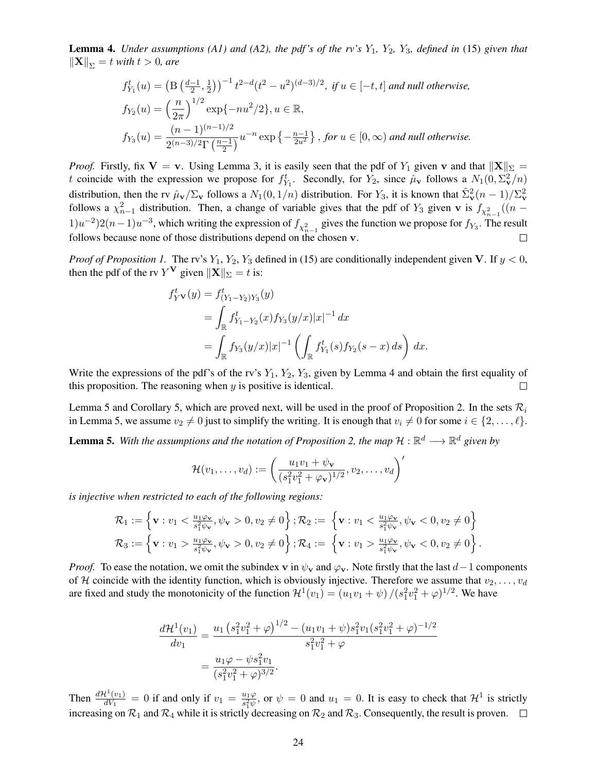<span id="page-23-0"></span>**Lemma 4.** *Under assumptions (A1) and (A2), the pdf's of the rv's*  $Y_1$ ,  $Y_2$ ,  $Y_3$ *, defined in [\(15\)](#page-22-3) given that*  $\|\mathbf{X}\|_{\Sigma} = t$  *with*  $t > 0$ *, are* 

$$
f_{Y_1}^t(u) = \left(\mathcal{B}\left(\frac{d-1}{2}, \frac{1}{2}\right)\right)^{-1} t^{2-d} (t^2 - u^2)^{(d-3)/2}, \text{ if } u \in [-t, t] \text{ and null otherwise,}
$$
  
\n
$$
f_{Y_2}(u) = \left(\frac{n}{2\pi}\right)^{1/2} \exp\{-nu^2/2\}, u \in \mathbb{R},
$$
  
\n
$$
f_{Y_3}(u) = \frac{(n-1)^{(n-1)/2}}{2^{(n-3)/2} \Gamma\left(\frac{n-1}{2}\right)} u^{-n} \exp\left\{-\frac{n-1}{2u^2}\right\}, \text{ for } u \in [0, \infty) \text{ and null otherwise.}
$$

*Proof.* Firstly, fix  $V = v$ . Using Lemma [3,](#page-22-2) it is easily seen that the pdf of  $Y_1$  given v and that  $||X||_{\Sigma} =$ t coincide with the expression we propose for  $f_{Y_1}^t$ . Secondly, for  $Y_2$ , since  $\hat{\mu}_v$  follows a  $N_1(0, \Sigma_v^2/n)$ distribution, then the rv  $\hat{\mu}_v / \Sigma_v$  follows a  $N_1(0, 1/n)$  distribution. For  $Y_3$ , it is known that  $\hat{\Sigma}_v^2(n-1)/\Sigma_v^2$ follows a  $\chi^2_{n-1}$  distribution. Then, a change of variable gives that the pdf of  $Y_3$  given v is  $f_{\chi^2_{n-1}}((n-1)$  $(1)u^{-2}$ ) $(2(n-1)u^{-3}$ , which writing the expression of  $f_{\chi^2_{n-1}}$  gives the function we propose for  $f_{Y_3}$ . The result follows because none of those distributions depend on the chosen v.

*Proof of Proposition [1.](#page-4-1)* The rv's  $Y_1, Y_2, Y_3$  defined in [\(15\)](#page-22-3) are conditionally independent given V. If  $y < 0$ , then the pdf of the rv  $Y^{\mathbf{V}}$  given  $\|\mathbf{X}\|_{\Sigma} = t$  is:

$$
f_{Y}^{t}(y) = f_{(Y_{1} - Y_{2})Y_{3}}^{t}(y)
$$
  
= 
$$
\int_{\mathbb{R}} f_{Y_{1} - Y_{2}}^{t}(x) f_{Y_{3}}(y/x) |x|^{-1} dx
$$
  
= 
$$
\int_{\mathbb{R}} f_{Y_{3}}(y/x) |x|^{-1} \left( \int_{\mathbb{R}} f_{Y_{1}}^{t}(s) f_{Y_{2}}(s-x) ds \right) dx.
$$

Write the expressions of the pdf's of the rv's  $Y_1$ ,  $Y_2$ ,  $Y_3$ , given by Lemma [4](#page-23-0) and obtain the first equality of this proposition. The reasoning when  $y$  is positive is identical.  $\Box$ 

Lemma [5](#page-23-1) and Corollary [5,](#page-24-0) which are proved next, will be used in the proof of Proposition [2.](#page-4-0) In the sets  $\mathcal{R}_i$ in Lemma [5,](#page-23-1) we assume  $v_2 \neq 0$  just to simplify the writing. It is enough that  $v_i \neq 0$  for some  $i \in \{2, \ldots, \ell\}$ .

<span id="page-23-1"></span>**Lemma 5.** With the assumptions and the notation of Proposition [2,](#page-4-0) the map  $H : \mathbb{R}^d \longrightarrow \mathbb{R}^d$  given by

$$
\mathcal{H}(v_1,\ldots,v_d):=\left(\frac{u_1v_1+\psi_{\mathbf{v}}}{(s_1^2v_1^2+\varphi_{\mathbf{v}})^{1/2}},v_2,\ldots,v_d\right)'
$$

*is injective when restricted to each of the following regions:*

$$
\mathcal{R}_1 := \left\{ \mathbf{v} : v_1 < \frac{u_1 \varphi_\mathbf{v}}{s_1^2 \psi_\mathbf{v}}, \psi_\mathbf{v} > 0, v_2 \neq 0 \right\}; \mathcal{R}_2 := \left\{ \mathbf{v} : v_1 < \frac{u_1 \varphi_\mathbf{v}}{s_1^2 \psi_\mathbf{v}}, \psi_\mathbf{v} < 0, v_2 \neq 0 \right\} \n\mathcal{R}_3 := \left\{ \mathbf{v} : v_1 > \frac{u_1 \varphi_\mathbf{v}}{s_1^2 \psi_\mathbf{v}}, \psi_\mathbf{v} > 0, v_2 \neq 0 \right\}; \mathcal{R}_4 := \left\{ \mathbf{v} : v_1 > \frac{u_1 \varphi_\mathbf{v}}{s_1^2 \psi_\mathbf{v}}, \psi_\mathbf{v} < 0, v_2 \neq 0 \right\}.
$$

*Proof.* To ease the notation, we omit the subindex v in  $\psi_v$  and  $\varphi_v$ . Note firstly that the last  $d-1$  components of H coincide with the identity function, which is obviously injective. Therefore we assume that  $v_2, \ldots, v_d$ are fixed and study the monotonicity of the function  $\mathcal{H}^1(v_1) = (u_1v_1 + \psi)/(s_1^2v_1^2 + \varphi)^{1/2}$ . We have

$$
\frac{d\mathcal{H}^1(v_1)}{dv_1} = \frac{u_1 (s_1^2 v_1^2 + \varphi)^{1/2} - (u_1 v_1 + \psi) s_1^2 v_1 (s_1^2 v_1^2 + \varphi)^{-1/2}}{s_1^2 v_1^2 + \varphi}
$$

$$
= \frac{u_1 \varphi - \psi s_1^2 v_1}{(s_1^2 v_1^2 + \varphi)^{3/2}}.
$$

Then  $\frac{d\mathcal{H}^1(v_1)}{dV_1}$  $\frac{d^1(v_1)}{dV_1} = 0$  if and only if  $v_1 = \frac{u_1\varphi}{s_1^2\psi}$  $\frac{u_1\varphi}{s_1^2\psi}$ , or  $\psi = 0$  and  $u_1 = 0$ . It is easy to check that  $\mathcal{H}^1$  is strictly increasing on  $\mathcal{R}_1$  and  $\mathcal{R}_4$  while it is strictly decreasing on  $\mathcal{R}_2$  and  $\mathcal{R}_3$ . Consequently, the result is proven.  $\Box$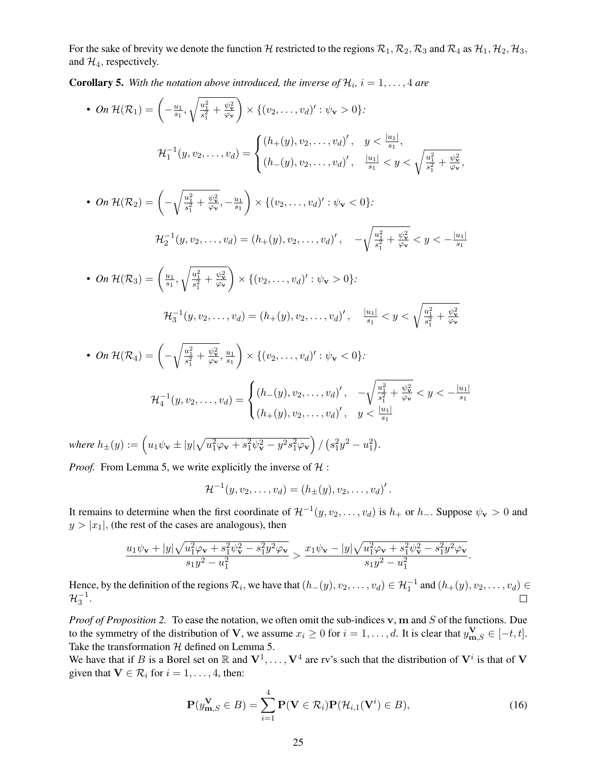For the sake of brevity we denote the function H restricted to the regions  $\mathcal{R}_1, \mathcal{R}_2, \mathcal{R}_3$  and  $\mathcal{R}_4$  as  $\mathcal{H}_1, \mathcal{H}_2, \mathcal{H}_3$ , and  $\mathcal{H}_4$ , respectively.

<span id="page-24-0"></span>**Corollary 5.** With the notation above introduced, the inverse of  $\mathcal{H}_i$ ,  $i = 1, \ldots, 4$  are

• On 
$$
\mathcal{H}(\mathcal{R}_1) = \left(-\frac{u_1}{s_1}, \sqrt{\frac{u_1^2}{s_1^2} + \frac{\psi_1^2}{\varphi \mathbf{v}}}\right) \times \left\{(v_2, \ldots, v_d)': \psi_{\mathbf{v}} > 0\right\}
$$
:  
\n
$$
\mathcal{H}_1^{-1}(y, v_2, \ldots, v_d) = \begin{cases} (h_+(y), v_2, \ldots, v_d)', & y < \frac{|u_1|}{s_1}, \\ (h_-(y), v_2, \ldots, v_d)', & \frac{|u_1|}{s_1} < y < \sqrt{\frac{u_1^2}{s_1^2} + \frac{\psi_1^2}{\varphi \mathbf{v}}}, \\ (h_-(y), v_2, \ldots, v_d)' : \psi_{\mathbf{v}} < 0\}
$$
:  
\n• On  $\mathcal{H}(\mathcal{R}_2) = \left(-\sqrt{\frac{u_1^2}{s_1^2} + \frac{\psi_2^2}{\varphi \mathbf{v}}}, -\frac{u_1}{s_1}\right) \times \left\{(v_2, \ldots, v_d)': \psi_{\mathbf{v}} < 0\right\}$ :  
\n
$$
\mathcal{H}_2^{-1}(y, v_2, \ldots, v_d) = (h_+(y), v_2, \ldots, v_d)', \quad -\sqrt{\frac{u_1^2}{s_1^2} + \frac{\psi_2^2}{\varphi \mathbf{v}}} \times y < -\frac{|u_1|}{s_1}
$$
  
\n• On  $\mathcal{H}(\mathcal{R}_3) = \left(\frac{u_1}{s_1}, \sqrt{\frac{u_1^2}{s_1^2} + \frac{\psi_1^2}{\varphi \mathbf{v}}}\right) \times \left\{(v_2, \ldots, v_d)': \psi_{\mathbf{v}} > 0\right\}$ :  
\n
$$
\mathcal{H}_3^{-1}(y, v_2, \ldots, v_d) = (h_+(y), v_2, \ldots, v_d)', \quad \frac{|u_1|}{s_1} < y < \sqrt{\frac{u_1^2}{s_1^2} + \frac{\psi_1^2}{\varphi \mathbf{v}}} \times y < -\frac{|u_1|}{s_1}
$$
  
\n• On  $\mathcal{H}(\mathcal{R}_4) = \left(-\sqrt{\$ 

 $\textit{where } h_{\pm}(y) := \left(u_1 \psi_{\mathbf{v}} \pm |y| \sqrt{u_1^2 \varphi_{\mathbf{v}} + s_1^2 \psi_{\mathbf{v}}^2 - y^2 s_1^2 \varphi_{\mathbf{v}}} \right) / \left(s_1^2 y^2 - u_1^2\right).$ 

*Proof.* From Lemma [5,](#page-23-1) we write explicitly the inverse of  $H$ :

$$
\mathcal{H}^{-1}(y, v_2, \dots, v_d) = (h_{\pm}(y), v_2, \dots, v_d)'.
$$

It remains to determine when the first coordinate of  $\mathcal{H}^{-1}(y, v_2, \dots, v_d)$  is  $h_+$  or  $h_-$ . Suppose  $\psi_{\mathbf{v}} > 0$  and  $y > |x_1|$ , (the rest of the cases are analogous), then

$$
\frac{u_1\psi_{\mathbf{v}}+|y|\sqrt{u_1^2\varphi_{\mathbf{v}}+s_1^2\psi_{\mathbf{v}}^2-s_1^2y^2\varphi_{\mathbf{v}}}}{s_1y^2-u_1^2} > \frac{x_1\psi_{\mathbf{v}}-|y|\sqrt{u_1^2\varphi_{\mathbf{v}}+s_1^2\psi_{\mathbf{v}}^2-s_1^2y^2\varphi_{\mathbf{v}}}}{s_1y^2-u_1^2}.
$$

Hence, by the definition of the regions  $\mathcal{R}_i$ , we have that  $(h_-(y), v_2, \ldots, v_d) \in \mathcal{H}_1^{-1}$  and  $(h_+(y), v_2, \ldots, v_d) \in$  $\mathcal{H}_{3}^{-1}.$  $\Box$ 

*Proof of Proposition [2.](#page-4-0)* To ease the notation, we often omit the sub-indices v, m and S of the functions. Due to the symmetry of the distribution of V, we assume  $x_i \ge 0$  for  $i = 1, \ldots, d$ . It is clear that  $y_{m,S}^V \in [-t, t]$ . Take the transformation  $H$  defined on Lemma [5.](#page-23-1)

We have that if B is a Borel set on  $\mathbb R$  and  $V^1, \ldots, V^4$  are rv's such that the distribution of  $V^i$  is that of V given that  $V \in \mathcal{R}_i$  for  $i = 1, \ldots, 4$ , then:

<span id="page-24-1"></span>
$$
\mathbf{P}(y_{\mathbf{m},S}^{\mathbf{V}} \in B) = \sum_{i=1}^{4} \mathbf{P}(\mathbf{V} \in \mathcal{R}_i) \mathbf{P}(\mathcal{H}_{i,1}(\mathbf{V}^i) \in B), \tag{16}
$$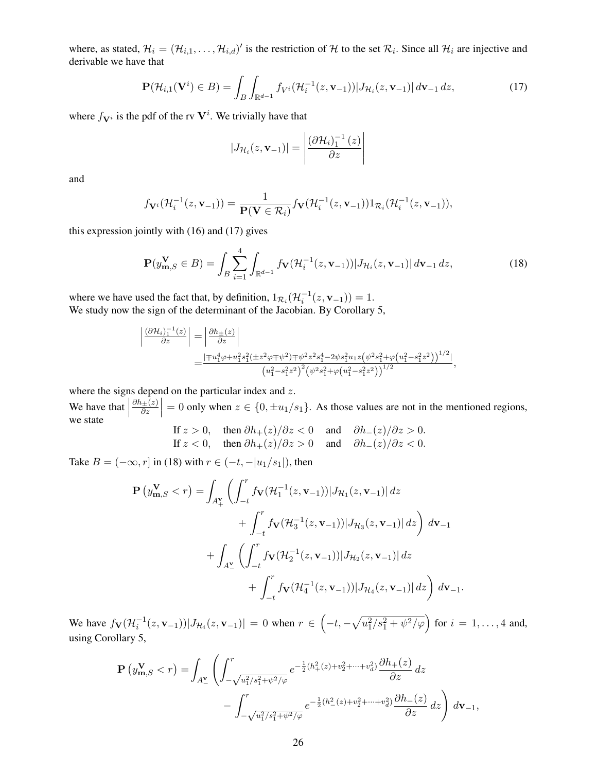where, as stated,  $\mathcal{H}_i = (\mathcal{H}_{i,1}, \dots, \mathcal{H}_{i,d})'$  is the restriction of H to the set  $\mathcal{R}_i$ . Since all  $\mathcal{H}_i$  are injective and derivable we have that

<span id="page-25-0"></span>
$$
\mathbf{P}(\mathcal{H}_{i,1}(\mathbf{V}^i) \in B) = \int_B \int_{\mathbb{R}^{d-1}} f_{V^i}(\mathcal{H}_i^{-1}(z, \mathbf{v}_{-1})) |J_{\mathcal{H}_i}(z, \mathbf{v}_{-1})| \, d\mathbf{v}_{-1} \, dz,
$$
\n(17)

where  $f_{\mathbf{V}^i}$  is the pdf of the rv  $\mathbf{V}^i$ . We trivially have that

$$
|J_{\mathcal{H}_i}(z, \mathbf{v}_{-1})| = \left| \frac{\left(\partial \mathcal{H}_i\right)_1^{-1}(z)}{\partial z} \right|
$$

and

$$
f_{\mathbf{V}^i}(\mathcal{H}_i^{-1}(z,\mathbf{v}_{-1})) = \frac{1}{\mathbf{P}(\mathbf{V}\in\mathcal{R}_i)} f_{\mathbf{V}}(\mathcal{H}_i^{-1}(z,\mathbf{v}_{-1})) \mathbb{1}_{\mathcal{R}_i}(\mathcal{H}_i^{-1}(z,\mathbf{v}_{-1})),
$$

this expression jointly with [\(16\)](#page-24-1) and [\(17\)](#page-25-0) gives

<span id="page-25-1"></span>
$$
\mathbf{P}(y_{\mathbf{m},S}^{\mathbf{V}} \in B) = \int_{B} \sum_{i=1}^{4} \int_{\mathbb{R}^{d-1}} f_{\mathbf{V}}(\mathcal{H}_i^{-1}(z,\mathbf{v}_{-1})) |J_{\mathcal{H}_i}(z,\mathbf{v}_{-1})| \, d\mathbf{v}_{-1} \, dz,
$$
\n(18)

where we have used the fact that, by definition,  $1_{\mathcal{R}_i}(\mathcal{H}_i^{-1}(z, v_{-1})) = 1$ . We study now the sign of the determinant of the Jacobian. By Corollary [5,](#page-24-0)

$$
\begin{split} \left| \frac{(\partial \mathcal{H}_i)_1^{-1}(z)}{\partial z} \right| &= \left| \frac{\partial h_{\pm}(z)}{\partial z} \right| \\ &= \frac{\left| \mp u_1^4 \varphi + u_1^2 s_1^2 ( \pm z^2 \varphi \mp \psi^2 ) \mp \psi^2 z^2 s_1^4 - 2 \psi s_1^2 u_1 z \left( \psi^2 s_1^2 + \varphi \left( u_1^2 - s_1^2 z^2 \right) \right)^{1/2} \right|}{\left( u_1^2 - s_1^2 z^2 \right)^2 \left( \psi^2 s_1^2 + \varphi \left( u_1^2 - s_1^2 z^2 \right) \right)^{1/2}}, \end{split}
$$

where the signs depend on the particular index and  $z$ .

We have that  $\left| \begin{array}{c} 0 \end{array} \right|$  $\partial h_\pm(z)$  $\left|\frac{\partial z}{\partial z}\right| = 0$  only when  $z \in \{0, \pm u_1/s_1\}$ . As those values are not in the mentioned regions, we state

If 
$$
z > 0
$$
, then  $\partial h_+(z)/\partial z < 0$  and  $\partial h_-(z)/\partial z > 0$ .  
If  $z < 0$ , then  $\partial h_+(z)/\partial z > 0$  and  $\partial h_-(z)/\partial z < 0$ .

Take  $B = (-\infty, r]$  in [\(18\)](#page-25-1) with  $r \in (-t, -|u_1/s_1|)$ , then

$$
\mathbf{P}\left(y_{\mathbf{m},S}^{\mathbf{V}} < r\right) = \int_{A_{+}^{\mathbf{V}}} \left( \int_{-t}^{r} f_{\mathbf{V}}(\mathcal{H}_{1}^{-1}(z,\mathbf{v}_{-1})) |J_{\mathcal{H}_{1}}(z,\mathbf{v}_{-1})| \, dz \right. \\
\left. + \int_{-t}^{r} f_{\mathbf{V}}(\mathcal{H}_{3}^{-1}(z,\mathbf{v}_{-1})) |J_{\mathcal{H}_{3}}(z,\mathbf{v}_{-1})| \, dz \right) \, d\mathbf{v}_{-1} \\
+ \int_{A_{-}^{\mathbf{V}}} \left( \int_{-t}^{r} f_{\mathbf{V}}(\mathcal{H}_{2}^{-1}(z,\mathbf{v}_{-1})) |J_{\mathcal{H}_{2}}(z,\mathbf{v}_{-1})| \, dz \right. \\
\left. + \int_{-t}^{r} f_{\mathbf{V}}(\mathcal{H}_{4}^{-1}(z,\mathbf{v}_{-1})) |J_{\mathcal{H}_{4}}(z,\mathbf{v}_{-1})| \, dz \right) \, d\mathbf{v}_{-1}.
$$

We have  $f_{\mathbf{V}}(\mathcal{H}_i^{-1}(z, \mathbf{v}_{-1})) | J_{\mathcal{H}_i}(z, \mathbf{v}_{-1})| = 0$  when  $r \in \left(-t, -\sqrt{u_1^2/s_1^2 + \psi^2/\varphi}\right)$  for  $i = 1, ..., 4$  and, using Corollary [5,](#page-24-0)

$$
\mathbf{P}\left(y_{\mathbf{m},S}^{\mathbf{V}}< r\right) = \int_{A_{-}^{\mathbf{V}}} \left( \int_{-\sqrt{u_1^2/s_1^2 + \psi^2/\varphi}}^{r} e^{-\frac{1}{2}(h_+^2(z) + v_2^2 + \dots + v_d^2)} \frac{\partial h_+(z)}{\partial z} dz - \int_{-\sqrt{u_1^2/s_1^2 + \psi^2/\varphi}}^{r} e^{-\frac{1}{2}(h_-^2(z) + v_2^2 + \dots + v_d^2)} \frac{\partial h_-(z)}{\partial z} dz \right) d\mathbf{v}_{-1},
$$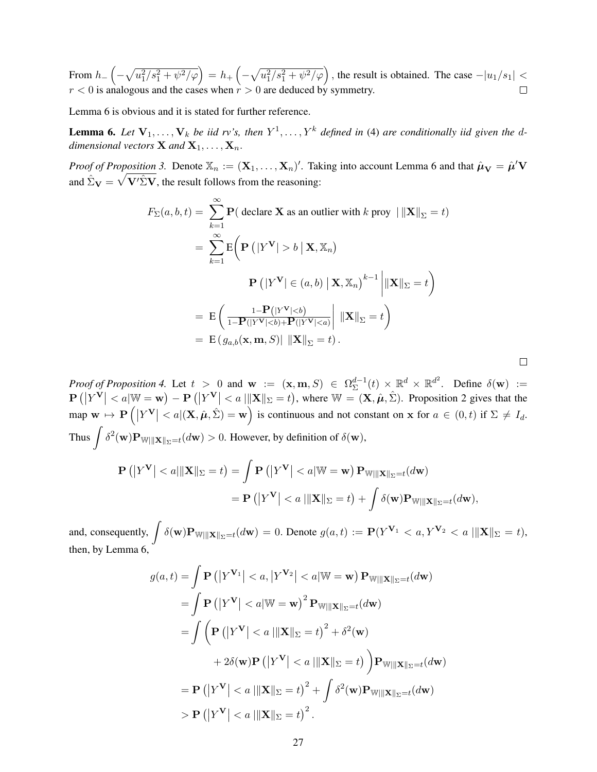From  $h = \left(-\sqrt{u_1^2/s_1^2 + \psi^2/\varphi}\right) = h_+\left(-\sqrt{u_1^2/s_1^2 + \psi^2/\varphi}\right)$ , the result is obtained. The case  $-|u_1/s_1| <$  $r < 0$  is analogous and the cases when  $r > 0$  are deduced by symmetry.

Lemma [6](#page-26-0) is obvious and it is stated for further reference.

<span id="page-26-0"></span>**Lemma 6.** Let  $V_1, \ldots, V_k$  be iid rv's, then  $Y^1, \ldots, Y^k$  defined in [\(4\)](#page-3-2) are conditionally iid given the d*dimensional vectors* **X** and **X**<sub>1</sub>, . . . , **X**<sub>n</sub>.

*Proof of Proposition [3.](#page-5-1)* Denote  $\mathbb{X}_n := (\mathbf{X}_1, \dots, \mathbf{X}_n)'$ . Taking into account Lemma [6](#page-26-0) and that  $\hat{\boldsymbol{\mu}}_{\mathbf{V}} = \hat{\boldsymbol{\mu}}' \mathbf{V}$ and  $\hat{\Sigma}_{\mathbf{V}} = \sqrt{\mathbf{V}' \hat{\Sigma} \mathbf{V}}$ , the result follows from the reasoning:

$$
F_{\Sigma}(a, b, t) = \sum_{k=1}^{\infty} \mathbf{P}(\text{ declare } \mathbf{X} \text{ as an outlier with } k \text{ proy } ||\|\mathbf{X}\|_{\Sigma} = t)
$$
  
= 
$$
\sum_{k=1}^{\infty} \mathbf{E} \Big( \mathbf{P} \left( |Y^{\mathbf{V}}| > b \mid \mathbf{X}, \mathbb{X}_n \right)
$$
  

$$
\mathbf{P} \left( |Y^{\mathbf{V}}| \in (a, b) \mid \mathbf{X}, \mathbb{X}_n \right)^{k-1} \Big| ||\mathbf{X}||_{\Sigma} = t \Big)
$$
  
= 
$$
\mathbf{E} \Big( \frac{1 - \mathbf{P}(|Y^{\mathbf{V}}| < b)}{1 - \mathbf{P}(|Y^{\mathbf{V}}| < b) + \mathbf{P}(|Y^{\mathbf{V}}| < a)} \Big| ||\mathbf{X}||_{\Sigma} = t \Big)
$$
  
= 
$$
\mathbf{E} \big( g_{a,b}(\mathbf{x}, \mathbf{m}, S) || ||\mathbf{X}||_{\Sigma} = t \big).
$$

 $\Box$ 

*Proof of Proposition* [4.](#page-5-2) Let  $t > 0$  and  $\mathbf{w} := (\mathbf{x}, \mathbf{m}, S) \in \Omega_{\Sigma}^{d-1}$  $\mathbb{E}^{d-1}(t) \times \mathbb{R}^d \times \mathbb{R}^{d^2}$ . Define  $\delta(\mathbf{w}) :=$  $\mathbf{P}\left(\left|Y^{\mathbf{V}}\right| < a|\mathbb{W} = \mathbf{w}\right) - \mathbf{P}\left(\left|Y^{\mathbf{V}}\right| < a|\mathbb{X}|\mathbb{X}| = t\right)$ , where  $\mathbb{W} = (\mathbf{X}, \hat{\boldsymbol{\mu}}, \hat{\boldsymbol{\Sigma}})$ . Proposition [2](#page-4-0) gives that the map  $\mathbf{w} \mapsto \mathbf{P}\left( |Y^{\mathbf{V}}| < a | (\mathbf{X}, \hat{\boldsymbol{\mu}}, \hat{\boldsymbol{\Sigma}}) = \mathbf{w} \right)$  is continuous and not constant on  $\mathbf{x}$  for  $a \in (0, t)$  if  $\boldsymbol{\Sigma} \neq I_d$ . Thus  $\int \delta^2(\mathbf{w}) \mathbf{P}_{\mathbb{W} \mid \mid \mid \mathbf{X} \mid \mid_{\Sigma} = t} (d\mathbf{w}) > 0$ . However, by definition of  $\delta(\mathbf{w})$ ,

$$
\mathbf{P}\left(\left|Y^{\mathbf{V}}\right| < a\right| \|\mathbf{X}\|_{\Sigma} = t\right) = \int \mathbf{P}\left(\left|Y^{\mathbf{V}}\right| < a\right| \|\mathbf{W} = \mathbf{w}\right) \mathbf{P}_{\mathbb{W}\| \|\mathbf{X}\|_{\Sigma} = t}(d\mathbf{w})
$$
\n
$$
= \mathbf{P}\left(\left|Y^{\mathbf{V}}\right| < a\left|\|\mathbf{X}\|_{\Sigma} = t\right| + \int \delta(\mathbf{w}) \mathbf{P}_{\mathbb{W}\| \|\mathbf{X}\|_{\Sigma} = t}(d\mathbf{w}),
$$

and, consequently,  $\int \delta(\mathbf{w}) \mathbf{P}_{\mathbf{W} \mid \mid \mid \mathbf{X} \mid \mid_{\Sigma} = t} (d\mathbf{w}) = 0$ . Denote  $g(a, t) := \mathbf{P}(Y^{\mathbf{V}_1} < a, Y^{\mathbf{V}_2} < a \mid \mid \mid \mathbf{X} \mid \mid_{\Sigma} = t)$ , then, by Lemma [6,](#page-26-0)

$$
g(a,t) = \int \mathbf{P}(|Y^{\mathbf{V}_1}| < a, |Y^{\mathbf{V}_2}| < a|\mathbb{W} = \mathbf{w}) \mathbf{P}_{\mathbb{W}|||\mathbf{X}||_{\Sigma}=t}(d\mathbf{w})
$$
  
\n
$$
= \int \mathbf{P}(|Y^{\mathbf{V}}| < a|\mathbb{W} = \mathbf{w})^2 \mathbf{P}_{\mathbb{W}|||\mathbf{X}||_{\Sigma}=t}(d\mathbf{w})
$$
  
\n
$$
= \int \left(\mathbf{P}(|Y^{\mathbf{V}}| < a||\mathbf{X}||_{\Sigma} = t)^2 + \delta^2(\mathbf{w})\right)
$$
  
\n
$$
+ 2\delta(\mathbf{w})\mathbf{P}(|Y^{\mathbf{V}}| < a||\mathbf{X}||_{\Sigma} = t)\right) \mathbf{P}_{\mathbb{W}|||\mathbf{X}||_{\Sigma}=t}(d\mathbf{w})
$$
  
\n
$$
= \mathbf{P}(|Y^{\mathbf{V}}| < a||\mathbf{X}||_{\Sigma} = t)^2 + \int \delta^2(\mathbf{w})\mathbf{P}_{\mathbb{W}|||\mathbf{X}||_{\Sigma}=t}(d\mathbf{w})
$$
  
\n
$$
> \mathbf{P}(|Y^{\mathbf{V}}| < a||\mathbf{X}||_{\Sigma} = t)^2.
$$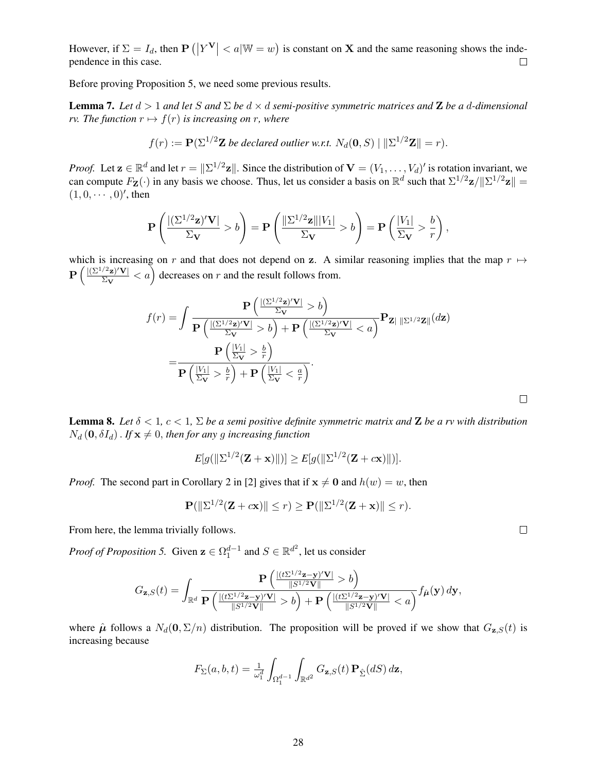However, if  $\Sigma = I_d$ , then  $\mathbf{P}(|Y^V| < a|\mathbb{W} = w)$  is constant on **X** and the same reasoning shows the independence in this case.  $\Box$ 

Before proving Proposition [5,](#page-5-4) we need some previous results.

<span id="page-27-0"></span>**Lemma 7.** Let  $d > 1$  and let S and  $\Sigma$  be  $d \times d$  semi-positive symmetric matrices and **Z** be a d-dimensional *rv. The function*  $r \mapsto f(r)$  *is increasing on* r*, where* 

$$
f(r) := \mathbf{P}(\Sigma^{1/2} \mathbf{Z} \text{ be declared outlier w.r.t. } N_d(\mathbf{0}, S) \mid \|\Sigma^{1/2} \mathbf{Z}\| = r).
$$

*Proof.* Let  $\mathbf{z} \in \mathbb{R}^d$  and let  $r = ||\Sigma^{1/2}\mathbf{z}||$ . Since the distribution of  $\mathbf{V} = (V_1, \dots, V_d)'$  is rotation invariant, we can compute  $F_{\mathbf{Z}}(\cdot)$  in any basis we choose. Thus, let us consider a basis on  $\mathbb{R}^d$  such that  $\Sigma^{1/2} \mathbf{z}/\|\Sigma^{1/2} \mathbf{z}\| =$  $(1, 0, \cdots, 0)$ ', then

$$
\mathbf{P}\left(\frac{\left|(\Sigma^{1/2} \mathbf{z})'\mathbf{V}\right|}{\Sigma_{\mathbf{V}}} > b\right) = \mathbf{P}\left(\frac{\left\|\Sigma^{1/2} \mathbf{z}\right\| |V_1|}{\Sigma_{\mathbf{V}}} > b\right) = \mathbf{P}\left(\frac{|V_1|}{\Sigma_{\mathbf{V}}} > \frac{b}{r}\right),\,
$$

which is increasing on r and that does not depend on z. A similar reasoning implies that the map  $r \mapsto$  $\mathbf{P}\left(\frac{\left|\left(\Sigma^{1/2} \mathbf{z}\right)'\mathbf{V}\right|}{\Sigma \mathbf{V}}\right)$  $\sqrt{\frac{2}{2}\mathbf{v}'\mathbf{V}}$  < a) decreases on r and the result follows from.

$$
f(r) = \int \frac{\mathbf{P}\left(\frac{\left|\left(\sum_{i}^{1/2}z\right)'V\right|}{\sum_{V}} > b\right)}{\mathbf{P}\left(\frac{\left|\left(\sum_{i}^{1/2}z\right)'V\right|}{\sum_{V}} > b\right) + \mathbf{P}\left(\frac{\left|\left(\sum_{i}^{1/2}z\right)'V\right|}{\sum_{V}} < a\right)}\mathbf{P}_{\mathbf{Z}|\ \| \sum_{i}^{1/2} \mathbf{Z} \|}(d\mathbf{z})\right)}{P\left(\frac{\left|V_{1}\right|}{\sum_{V}} > \frac{b}{r}\right)}.
$$

<span id="page-27-1"></span>**Lemma 8.** Let  $\delta < 1$ ,  $c < 1$ ,  $\Sigma$  be a semi positive definite symmetric matrix and **Z** be a rv with distribution  $N_d$  (0,  $\delta I_d$ ). *If*  $\mathbf{x} \neq 0$ , *then for any* g *increasing function* 

$$
E[g(||\Sigma^{1/2}(\mathbf{Z}+\mathbf{x})||)] \ge E[g(||\Sigma^{1/2}(\mathbf{Z}+c\mathbf{x})||)].
$$

*Proof.* The second part in Corollary 2 in [\[2\]](#page-18-10) gives that if  $x \neq 0$  and  $h(w) = w$ , then

$$
\mathbf{P}(\|\Sigma^{1/2}(\mathbf{Z}+c\mathbf{x})\| \leq r) \geq \mathbf{P}(\|\Sigma^{1/2}(\mathbf{Z}+\mathbf{x})\| \leq r).
$$

From here, the lemma trivially follows.

*Proof of Proposition [5.](#page-5-4)* Given  $\mathbf{z} \in \Omega_1^{d-1}$  and  $S \in \mathbb{R}^{d^2}$ , let us consider

$$
G_{\mathbf{z},S}(t) = \int_{\mathbb{R}^d} \frac{\mathbf{P}\left(\frac{|(t\Sigma^{1/2}\mathbf{z}-\mathbf{y})'\mathbf{V}|}{\|S^{1/2}\mathbf{V}\|} > b\right)}{\mathbf{P}\left(\frac{|(t\Sigma^{1/2}\mathbf{z}-\mathbf{y})'\mathbf{V}|}{\|S^{1/2}\mathbf{V}\|} > b\right) + \mathbf{P}\left(\frac{|(t\Sigma^{1/2}\mathbf{z}-\mathbf{y})'\mathbf{V}|}{\|S^{1/2}\mathbf{V}\|} < a\right)} f_{\hat{\mu}}(\mathbf{y}) d\mathbf{y},
$$

where  $\hat{\mu}$  follows a  $N_d(\mathbf{0}, \Sigma/n)$  distribution. The proposition will be proved if we show that  $G_{\mathbf{z},S}(t)$  is increasing because

$$
F_{\Sigma}(a,b,t) = \frac{1}{\omega_1^d} \int_{\Omega_1^{d-1}} \int_{\mathbb{R}^{d^2}} G_{\mathbf{z},S}(t) \, \mathbf{P}_{\hat{\Sigma}}(dS) \, d\mathbf{z},
$$

 $\Box$ 

 $\Box$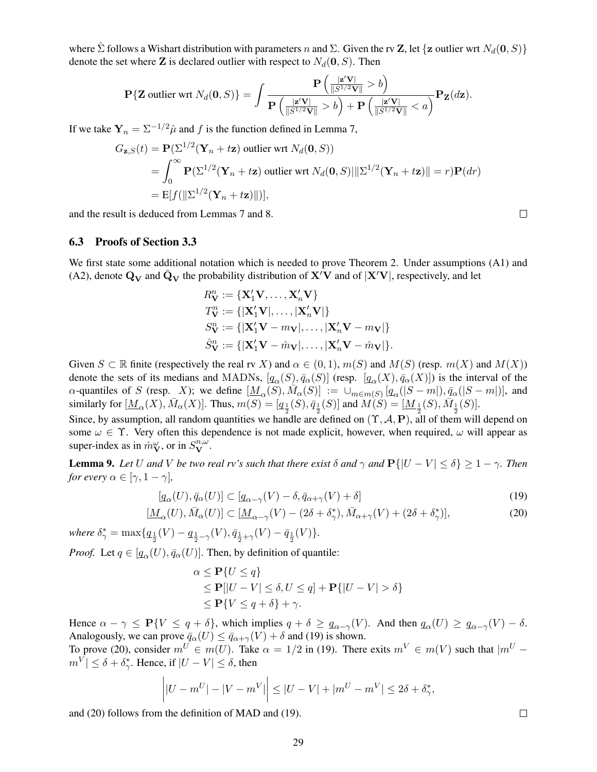where  $\hat{\Sigma}$  follows a Wishart distribution with parameters n and  $\Sigma$ . Given the rv **Z**, let {**z** outlier wrt  $N_d(0, S)$ } denote the set where **Z** is declared outlier with respect to  $N_d(\mathbf{0}, S)$ . Then

$$
\mathbf{P}\{\mathbf{Z} \text{ outlier wrt } N_d(\mathbf{0}, S)\} = \int \frac{\mathbf{P}\left(\frac{|\mathbf{z}'\mathbf{V}|}{\|S^{1/2}\mathbf{V}\|} > b\right)}{\mathbf{P}\left(\frac{|\mathbf{z}'\mathbf{V}|}{\|S^{1/2}\mathbf{V}\|} > b\right) + \mathbf{P}\left(\frac{|\mathbf{z}'\mathbf{V}|}{\|S^{1/2}\mathbf{V}\|} < a\right)} \mathbf{P}_{\mathbf{Z}}(d\mathbf{z}).
$$

If we take  $Y_n = \sum_{n=1}^{\infty} \hat{\mu}$  and f is the function defined in Lemma [7,](#page-27-0)

$$
G_{\mathbf{z},S}(t) = \mathbf{P}(\Sigma^{1/2}(\mathbf{Y}_n + t\mathbf{z}) \text{ outlier wrt } N_d(\mathbf{0}, S))
$$
  
= 
$$
\int_0^\infty \mathbf{P}(\Sigma^{1/2}(\mathbf{Y}_n + t\mathbf{z}) \text{ outlier wrt } N_d(\mathbf{0}, S)||\Sigma^{1/2}(\mathbf{Y}_n + t\mathbf{z})|| = r)\mathbf{P}(dr)
$$
  
= 
$$
\mathbf{E}[f(||\Sigma^{1/2}(\mathbf{Y}_n + t\mathbf{z})||)],
$$

and the result is deduced from Lemmas [7](#page-27-0) and [8.](#page-27-1)

#### 6.3 Proofs of Section [3.3](#page-6-0)

We first state some additional notation which is needed to prove Theorem [2.](#page-6-3) Under assumptions (A1) and (A2), denote  $\mathbf{Q}_{\mathbf{V}}$  and  $\bar{\mathbf{Q}}_{\mathbf{V}}$  the probability distribution of  $\mathbf{X}'\mathbf{V}$  and of  $|\mathbf{X}'\mathbf{V}|$ , respectively, and let

$$
R_V^n := \{ \mathbf{X}_1' \mathbf{V}, \dots, \mathbf{X}_n' \mathbf{V} \}
$$
  
\n
$$
T_V^n := \{ |\mathbf{X}_1' \mathbf{V}|, \dots, |\mathbf{X}_n' \mathbf{V}| \}
$$
  
\n
$$
S_V^n := \{ |\mathbf{X}_1' \mathbf{V} - m_{\mathbf{V}}|, \dots, |\mathbf{X}_n' \mathbf{V} - m_{\mathbf{V}}| \}
$$
  
\n
$$
\hat{S}_V^n := \{ |\mathbf{X}_1' \mathbf{V} - \hat{m}_{\mathbf{V}}|, \dots, |\mathbf{X}_n' \mathbf{V} - \hat{m}_{\mathbf{V}}| \}.
$$

Given  $S \subset \mathbb{R}$  finite (respectively the real rv X) and  $\alpha \in (0,1)$ ,  $m(S)$  and  $M(S)$  (resp.  $m(X)$  and  $M(X)$ ) denote the sets of its medians and MADNs,  $[q_\alpha(S), \bar{q}_\alpha(S)]$  (resp.  $[q_\alpha(X), \bar{q}_\alpha(X)]$ ) is the interval of the  $\alpha$ -quantiles of S (resp. X); we define  $[\underline{M}_{\alpha}(S), \overline{M}_{\alpha}(S)] := \cup_{m \in m(S)} [q_{\alpha}(|S-m|), \overline{q}_{\alpha}(|S-m|)]$ , and similarly for  $[\underline{M}_{\alpha}(X), \overline{M}_{\alpha}(X)]$ . Thus,  $m(S) = [q_{\frac{1}{2}}(S), \overline{q}_{\frac{1}{2}}(S)]$  and  $\overline{M}(S) = [\underline{M}_{\frac{1}{2}}(S), \overline{M}_{\frac{1}{2}}(S)]$ .

Since, by assumption, all random quantities we handle are defined on  $(\Upsilon, \mathcal{A}, P)$ , all of them will depend on some  $\omega \in \Upsilon$ . Very often this dependence is not made explicit, however, when required,  $\omega$  will appear as super-index as in  $\hat{m}_{\mathbf{V}}^{\omega}$ , or in  $S_{\mathbf{V}}^{n,\omega}$ .

<span id="page-28-2"></span>**Lemma 9.** Let U and V be two real rv's such that there exist  $\delta$  and  $\gamma$  and  $P\{|U - V| \leq \delta\} \geq 1 - \gamma$ . Then *for every*  $\alpha \in [\gamma, 1 - \gamma]$ ,

$$
[q_{\alpha}(U), \bar{q}_{\alpha}(U)] \subset [q_{\alpha-\gamma}(V) - \delta, \bar{q}_{\alpha+\gamma}(V) + \delta]
$$
\n(19)

$$
[\underline{M}_{\alpha}(U), \bar{M}_{\alpha}(U)] \subset [\underline{M}_{\alpha-\gamma}(V) - (2\delta + \delta_{\gamma}^{*}), \bar{M}_{\alpha+\gamma}(V) + (2\delta + \delta_{\gamma}^{*})], \tag{20}
$$

 $where \ \delta_{\gamma}^{*} = \max\{ \underline{q}_{\frac{1}{2}}(V) - \underline{q}_{\frac{1}{2}-\gamma}(V), \overline{q}_{\frac{1}{2}+\gamma}(V) - \overline{q}_{\frac{1}{2}}(V) \}.$ 

*Proof.* Let  $q \in [q_\alpha(U), \bar{q}_\alpha(U)]$ . Then, by definition of quantile:

$$
\alpha \le \mathbf{P}\{U \le q\}
$$
  
\n
$$
\le \mathbf{P}[|U - V| \le \delta, U \le q] + \mathbf{P}\{|U - V| > \delta\}
$$
  
\n
$$
\le \mathbf{P}\{V \le q + \delta\} + \gamma.
$$

Hence  $\alpha - \gamma \leq P\{V \leq q + \delta\}$ , which implies  $q + \delta \geq q_{\alpha-\gamma}(V)$ . And then  $q_{\alpha}(U) \geq q_{\alpha-\gamma}(V) - \delta$ . Analogously, we can prove  $\bar{q}_{\alpha}(U) \leq \bar{q}_{\alpha+\gamma}(V) + \delta$  and [\(19\)](#page-28-0) is shown.

To prove [\(20\)](#page-28-1), consider  $m^U \in m(U)$ . Take  $\alpha = 1/2$  in [\(19\)](#page-28-0). There exits  $m^V \in m(V)$  such that  $|m^U |m^V| \le \delta + \delta_{\gamma}^*$ . Hence, if  $|U - V| \le \delta$ , then

$$
\left| |U - m^U| - |V - m^V| \right| \le |U - V| + |m^U - m^V| \le 2\delta + \delta^*_{\gamma},
$$

and [\(20\)](#page-28-1) follows from the definition of MAD and [\(19\)](#page-28-0).

<span id="page-28-1"></span><span id="page-28-0"></span> $\Box$ 

 $\Box$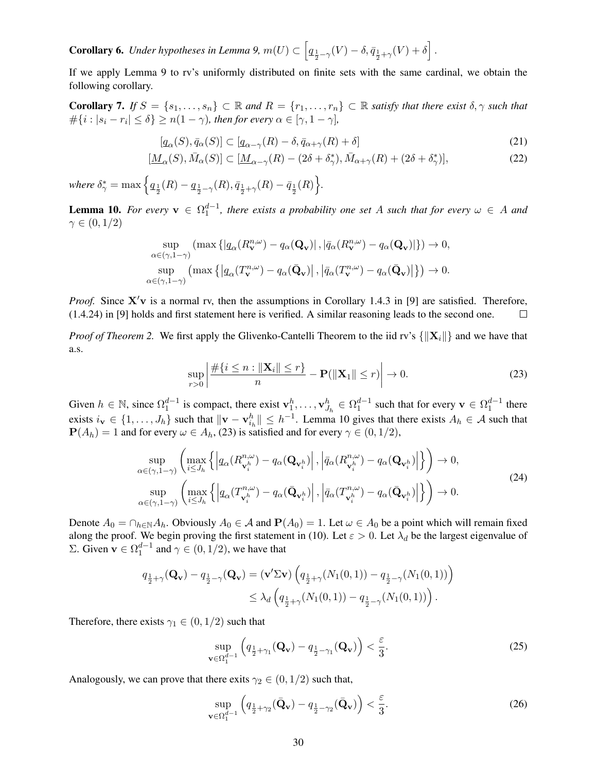**Corollary 6.** *Under hypotheses in Lemma [9,](#page-28-2)*  $m(U) \subset \left[ q_{\frac{1}{2}-\gamma}(V) - \delta, \overline{q}_{\frac{1}{2}+\gamma}(V) + \delta \right]$ .

If we apply Lemma [9](#page-28-2) to rv's uniformly distributed on finite sets with the same cardinal, we obtain the following corollary.

<span id="page-29-3"></span>**Corollary 7.** *If*  $S = \{s_1, \ldots, s_n\} \subset \mathbb{R}$  *and*  $R = \{r_1, \ldots, r_n\} \subset \mathbb{R}$  *satisfy that there exist*  $\delta, \gamma$  *such that*  $\#\{i : |s_i - r_i| \leq \delta\} \geq n(1 - \gamma)$ , then for every  $\alpha \in [\gamma, 1 - \gamma]$ ,

<span id="page-29-5"></span>
$$
[q_{\alpha}(S), \bar{q}_{\alpha}(S)] \subset [q_{\alpha-\gamma}(R) - \delta, \bar{q}_{\alpha+\gamma}(R) + \delta]
$$
\n(21)

$$
[\underline{M}_{\alpha}(S), \bar{M}_{\alpha}(S)] \subset [\underline{M}_{\alpha-\gamma}(R) - (2\delta + \delta_{\gamma}^{*}), \bar{M}_{\alpha+\gamma}(R) + (2\delta + \delta_{\gamma}^{*})], \tag{22}
$$

where  $\delta_\gamma^* = \max\Big\{q_{\frac{1}{2}}(R) - q_{\frac{1}{2}-\gamma}(R), \bar{q}_{\frac{1}{2}+\gamma}(R) - \bar{q}_{\frac{1}{2}}(R)\Big\}.$ 

<span id="page-29-0"></span>**Lemma 10.** For every  $v \in \Omega_1^{d-1}$ , there exists a probability one set A such that for every  $\omega \in A$  and  $\gamma \in (0,1/2)$ 

$$
\sup_{\alpha \in (\gamma, 1 - \gamma)} \left( \max \left\{ \left| \underline{q}_{\alpha} (R_{\mathbf{v}}^{n, \omega}) - \underline{q}_{\alpha} (\mathbf{Q}_{\mathbf{v}}) \right|, \left| \bar{q}_{\alpha} (R_{\mathbf{v}}^{n, \omega}) - \underline{q}_{\alpha} (\mathbf{Q}_{\mathbf{v}}) \right| \right\} \right) \to 0,
$$
  
\n
$$
\sup_{\alpha \in (\gamma, 1 - \gamma)} \left( \max \left\{ \left| \underline{q}_{\alpha} (T_{\mathbf{v}}^{n, \omega}) - \underline{q}_{\alpha} (\bar{\mathbf{Q}}_{\mathbf{v}}) \right|, \left| \bar{q}_{\alpha} (T_{\mathbf{v}}^{n, \omega}) - \underline{q}_{\alpha} (\bar{\mathbf{Q}}_{\mathbf{v}}) \right| \right\} \right) \to 0.
$$

*Proof.* Since  $X'v$  is a normal rv, then the assumptions in Corollary 1.4.3 in [\[9\]](#page-18-11) are satisfied. Therefore, (1.4.24) in [\[9\]](#page-18-11) holds and first statement here is verified. A similar reasoning leads to the second one.  $\Box$ 

*Proof of Theorem* [2.](#page-6-3) We first apply the Glivenko-Cantelli Theorem to the iid rv's  $\{\|\mathbf{X}_i\|\}$  and we have that a.s.

<span id="page-29-2"></span><span id="page-29-1"></span>
$$
\sup_{r>0} \left| \frac{\#\{i \le n : \|\mathbf{X}_i\| \le r\}}{n} - \mathbf{P}(\|\mathbf{X}_1\| \le r) \right| \to 0. \tag{23}
$$

Given  $h \in \mathbb{N}$ , since  $\Omega_1^{d-1}$  is compact, there exist  $\mathbf{v}_1^h, \dots, \mathbf{v}_{J_h}^h \in \Omega_1^{d-1}$  such that for every  $\mathbf{v} \in \Omega_1^{d-1}$  there exists  $i_v \in \{1, ..., J_h\}$  such that  $\|\mathbf{v} - \mathbf{v}_{i_h}^h\| \leq h^{-1}$ . Lemma [10](#page-29-0) gives that there exists  $A_h \in \mathcal{A}$  such that  $P(A_h) = 1$  and for every  $\omega \in A_h$ , [\(23\)](#page-29-1) is satisfied and for every  $\gamma \in (0, 1/2)$ ,

$$
\sup_{\alpha \in (\gamma, 1-\gamma)} \left( \max_{i \le J_h} \left\{ \left| q_{\alpha}(R_{\mathbf{v}_i^h}^{n, \omega}) - q_{\alpha}(\mathbf{Q}_{\mathbf{v}_i^h}) \right|, \left| \bar{q}_{\alpha}(R_{\mathbf{v}_i^h}^{n, \omega}) - q_{\alpha}(\mathbf{Q}_{\mathbf{v}_i^h}) \right| \right\} \right) \to 0,
$$
\n
$$
\sup_{\alpha \in (\gamma, 1-\gamma)} \left( \max_{i \le J_h} \left\{ \left| q_{\alpha}(T_{\mathbf{v}_i^h}^{n, \omega}) - q_{\alpha}(\bar{\mathbf{Q}}_{\mathbf{v}_i^h}) \right|, \left| \bar{q}_{\alpha}(T_{\mathbf{v}_i^h}^{n, \omega}) - q_{\alpha}(\bar{\mathbf{Q}}_{\mathbf{v}_i^h}) \right| \right\} \right) \to 0.
$$
\n(24)

Denote  $A_0 = \bigcap_{h \in \mathbb{N}} A_h$ . Obviously  $A_0 \in \mathcal{A}$  and  $P(A_0) = 1$ . Let  $\omega \in A_0$  be a point which will remain fixed along the proof. We begin proving the first statement in [\(10\)](#page-6-6). Let  $\varepsilon > 0$ . Let  $\lambda_d$  be the largest eigenvalue of Σ. Given **v** ∈  $Ω<sub>1</sub><sup>d-1</sup>$  and  $γ ∈ (0, 1/2)$ , we have that

$$
q_{\frac{1}{2}+\gamma}(\mathbf{Q}_{\mathbf{v}}) - q_{\frac{1}{2}-\gamma}(\mathbf{Q}_{\mathbf{v}}) = (\mathbf{v}'\Sigma \mathbf{v}) \left( q_{\frac{1}{2}+\gamma}(N_1(0,1)) - q_{\frac{1}{2}-\gamma}(N_1(0,1)) \right)
$$
  

$$
\leq \lambda_d \left( q_{\frac{1}{2}+\gamma}(N_1(0,1)) - q_{\frac{1}{2}-\gamma}(N_1(0,1)) \right).
$$

Therefore, there exists  $\gamma_1 \in (0, 1/2)$  such that

<span id="page-29-4"></span>
$$
\sup_{\mathbf{v}\in\Omega_1^{d-1}}\left(q_{\frac{1}{2}+\gamma_1}(\mathbf{Q}_\mathbf{v})-q_{\frac{1}{2}-\gamma_1}(\mathbf{Q}_\mathbf{v})\right)<\frac{\varepsilon}{3}.\tag{25}
$$

Analogously, we can prove that there exits  $\gamma_2 \in (0, 1/2)$  such that,

<span id="page-29-6"></span>
$$
\sup_{\mathbf{v}\in\Omega_1^{d-1}}\left(q_{\frac{1}{2}+\gamma_2}(\bar{\mathbf{Q}}_{\mathbf{v}})-q_{\frac{1}{2}-\gamma_2}(\bar{\mathbf{Q}}_{\mathbf{v}})\right)<\frac{\varepsilon}{3}.\tag{26}
$$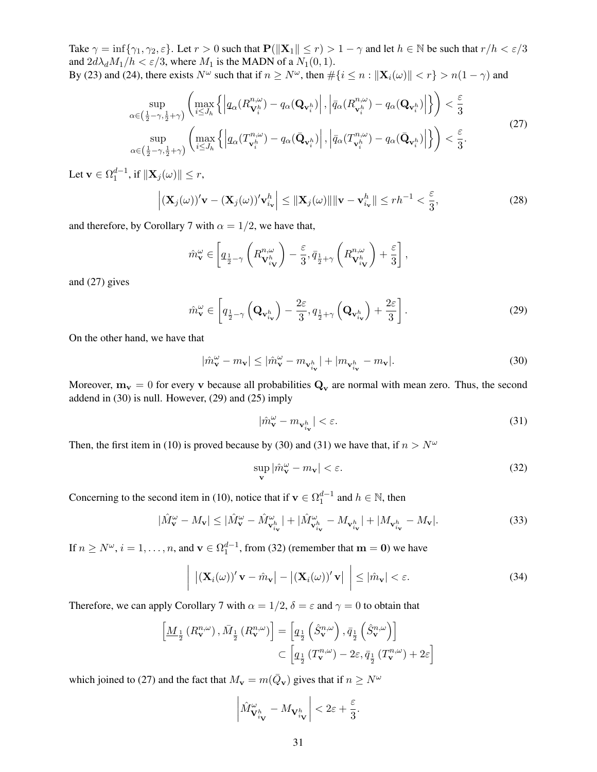Take  $\gamma = \inf \{ \gamma_1, \gamma_2, \varepsilon \}.$  Let  $r > 0$  such that  $P(\|\mathbf{X}_1\| \le r) > 1 - \gamma$  and let  $h \in \mathbb{N}$  be such that  $r/h < \varepsilon/3$ and  $2d\lambda_d M_1/h < \varepsilon/3$ , where  $M_1$  is the MADN of a  $N_1(0, 1)$ . By [\(23\)](#page-29-1) and [\(24\)](#page-29-2), there exists  $N^{\omega}$  such that if  $n \ge N^{\omega}$ , then  $\#\{i \le n : ||\mathbf{X}_i(\omega)|| < r\} > n(1 - \gamma)$  and

$$
\sup_{\alpha \in \left(\frac{1}{2} - \gamma, \frac{1}{2} + \gamma\right)} \left( \max_{i \leq J_h} \left\{ \left| q_\alpha(R_{\mathbf{V}_i^h}^{n,\omega}) - q_\alpha(\mathbf{Q}_{\mathbf{v}_i^h}) \right|, \left| \bar{q}_\alpha(R_{\mathbf{v}_i^h}^{n,\omega}) - q_\alpha(\mathbf{Q}_{\mathbf{v}_i^h}) \right| \right\} \right) < \frac{\varepsilon}{3}
$$
\n
$$
\sup_{\alpha \in \left(\frac{1}{2} - \gamma, \frac{1}{2} + \gamma\right)} \left( \max_{i \leq J_h} \left\{ \left| q_\alpha(T_{\mathbf{v}_i^h}^{n,\omega}) - q_\alpha(\bar{\mathbf{Q}}_{\mathbf{v}_i^h}) \right|, \left| \bar{q}_\alpha(T_{\mathbf{v}_i^h}^{n,\omega}) - q_\alpha(\bar{\mathbf{Q}}_{\mathbf{v}_i^h}) \right| \right\} \right) < \frac{\varepsilon}{3}.
$$
\n(27)

Let  $\mathbf{v} \in \Omega_1^{d-1}$ , if  $\|\mathbf{X}_j(\omega)\| \leq r$ ,

$$
\left| (\mathbf{X}_{j}(\omega))'\mathbf{v} - (\mathbf{X}_{j}(\omega))'\mathbf{v}_{i_{\mathbf{v}}}^{h} \right| \leq \|\mathbf{X}_{j}(\omega)\| \|\mathbf{v} - \mathbf{v}_{i_{\mathbf{v}}}^{h}\| \leq rh^{-1} < \frac{\varepsilon}{3},\tag{28}
$$

and therefore, by Corollary [7](#page-29-3) with  $\alpha = 1/2$ , we have that,

<span id="page-30-6"></span><span id="page-30-0"></span>
$$
\hat{m}_{\mathbf{v}}^{\omega} \in \left[ q_{\frac{1}{2} - \gamma} \left( R_{\mathbf{V}_{i_{\mathbf{v}}}^{h}}^{n, \omega} \right) - \frac{\varepsilon}{3}, \bar{q}_{\frac{1}{2} + \gamma} \left( R_{\mathbf{V}_{i_{\mathbf{v}}}^{h}}^{n, \omega} \right) + \frac{\varepsilon}{3} \right],
$$

and [\(27\)](#page-30-0) gives

$$
\hat{m}_{\mathbf{v}}^{\omega} \in \left[ q_{\frac{1}{2} - \gamma} \left( \mathbf{Q}_{\mathbf{v}_{i_{\mathbf{v}}}^{h}} \right) - \frac{2\varepsilon}{3}, q_{\frac{1}{2} + \gamma} \left( \mathbf{Q}_{\mathbf{v}_{i_{\mathbf{v}}}^{h}} \right) + \frac{2\varepsilon}{3} \right].
$$
\n(29)

On the other hand, we have that

$$
|\hat{m}_{\mathbf{v}}^{\omega} - m_{\mathbf{v}}| \le |\hat{m}_{\mathbf{v}}^{\omega} - m_{\mathbf{v}_{i_{\mathbf{v}}}^{h}}| + |m_{\mathbf{v}_{i_{\mathbf{v}}}^{h}} - m_{\mathbf{v}}|.
$$
\n(30)

Moreover,  $m_v = 0$  for every v because all probabilities  $Q_v$  are normal with mean zero. Thus, the second addend in [\(30\)](#page-30-1) is null. However, [\(29\)](#page-30-2) and [\(25\)](#page-29-4) imply

<span id="page-30-4"></span><span id="page-30-3"></span><span id="page-30-2"></span><span id="page-30-1"></span>
$$
|\hat{m}_{\mathbf{v}}^{\omega} - m_{\mathbf{v}_{i_{\mathbf{v}}}^{h}}| < \varepsilon. \tag{31}
$$

Then, the first item in [\(10\)](#page-6-6) is proved because by [\(30\)](#page-30-1) and [\(31\)](#page-30-3) we have that, if  $n > N^{\omega}$ 

<span id="page-30-5"></span>
$$
\sup_{\mathbf{v}} |\hat{m}_{\mathbf{v}}^{\omega} - m_{\mathbf{v}}| < \varepsilon. \tag{32}
$$

Concerning to the second item in [\(10\)](#page-6-6), notice that if  $\mathbf{v} \in \Omega_1^{d-1}$  and  $h \in \mathbb{N}$ , then

$$
|\hat{M}_{\mathbf{v}}^{\omega} - M_{\mathbf{v}}| \le |\hat{M}_{\mathbf{v}}^{\omega} - \hat{M}_{\mathbf{v}_{i_{\mathbf{v}}}^{h}}^{\omega}| + |\hat{M}_{\mathbf{v}_{i_{\mathbf{v}}}^{h}}^{\omega} - M_{\mathbf{v}_{i_{\mathbf{v}}}^{h}}| + |M_{\mathbf{v}_{i_{\mathbf{v}}}^{h}} - M_{\mathbf{v}}|.
$$
\n(33)

If  $n \ge N^{\omega}$ ,  $i = 1, ..., n$ , and  $\mathbf{v} \in \Omega_1^{d-1}$ , from [\(32\)](#page-30-4) (remember that  $\mathbf{m} = \mathbf{0}$ ) we have

$$
\left| \left( \mathbf{X}_i(\omega) \right)' \mathbf{v} - \hat{m}_{\mathbf{v}} \right| - \left| \left( \mathbf{X}_i(\omega) \right)' \mathbf{v} \right| \right| \leq |\hat{m}_{\mathbf{v}}| < \varepsilon.
$$
 (34)

Therefore, we can apply Corollary [7](#page-29-3) with  $\alpha = 1/2$ ,  $\delta = \varepsilon$  and  $\gamma = 0$  to obtain that

$$
\left[\underline{M}_{\frac{1}{2}}\left(R_{\mathbf{v}}^{n,\omega}\right),\bar{M}_{\frac{1}{2}}\left(R_{\mathbf{v}}^{n,\omega}\right)\right]=\left[q_{\frac{1}{2}}\left(\hat{S}_{\mathbf{v}}^{n,\omega}\right),\bar{q}_{\frac{1}{2}}\left(\hat{S}_{\mathbf{v}}^{n,\omega}\right)\right]
$$

$$
\subset\left[q_{\frac{1}{2}}\left(T_{\mathbf{v}}^{n,\omega}\right)-2\varepsilon,\bar{q}_{\frac{1}{2}}\left(T_{\mathbf{v}}^{n,\omega}\right)+2\varepsilon\right]
$$

which joined to [\(27\)](#page-30-0) and the fact that  $M_{\mathbf{v}} = m(\bar{Q}_{\mathbf{v}})$  gives that if  $n \ge N^{\omega}$ 

 $\overline{\phantom{a}}$ I  $\overline{\phantom{a}}$  $\mid$ 

$$
\left| \hat{M}^{\omega}_{\mathbf{V}_{i_{\mathbf{V}}}^{h}} - M_{\mathbf{V}_{i_{\mathbf{V}}}^{h}} \right| < 2\varepsilon + \frac{\varepsilon}{3}.
$$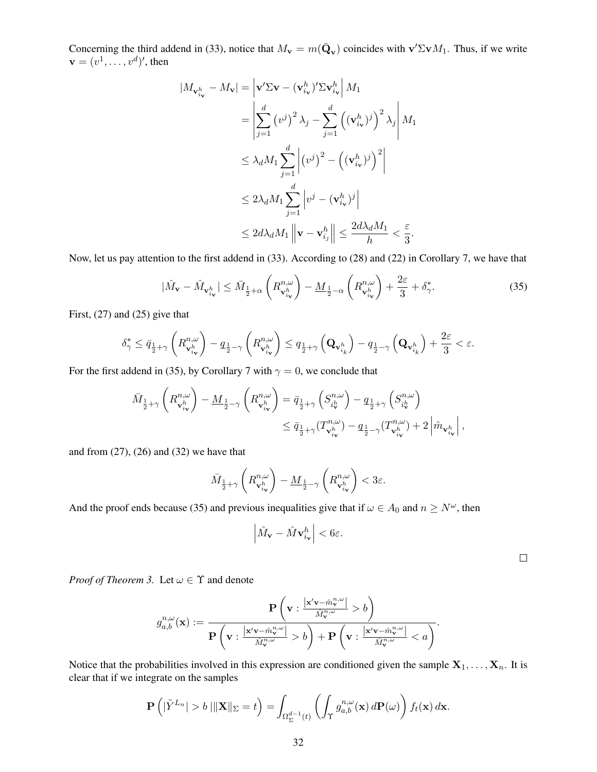Concerning the third addend in [\(33\)](#page-30-5), notice that  $M_{\bf v} = m(\bar{\bf Q}_{\bf v})$  coincides with  ${\bf v}' \Sigma {\bf v} M_1$ . Thus, if we write  $\mathbf{v}=(v^1,\ldots,v^d)'$ , then

$$
|M_{\mathbf{v}_{i_{\mathbf{v}}}^{h}} - M_{\mathbf{v}}| = \left| \mathbf{v}' \Sigma \mathbf{v} - (\mathbf{v}_{i_{\mathbf{v}}}^{h})' \Sigma \mathbf{v}_{i_{\mathbf{v}}}^{h} \right| M_{1}
$$
  
\n
$$
= \left| \sum_{j=1}^{d} (v^{j})^{2} \lambda_{j} - \sum_{j=1}^{d} ((\mathbf{v}_{i_{\mathbf{v}}}^{h})^{j})^{2} \lambda_{j} \right| M_{1}
$$
  
\n
$$
\leq \lambda_{d} M_{1} \sum_{j=1}^{d} \left| (v^{j})^{2} - ((\mathbf{v}_{i_{\mathbf{v}}}^{h})^{j})^{2} \right|
$$
  
\n
$$
\leq 2 \lambda_{d} M_{1} \sum_{j=1}^{d} \left| v^{j} - (\mathbf{v}_{i_{\mathbf{v}}}^{h})^{j} \right|
$$
  
\n
$$
\leq 2 d \lambda_{d} M_{1} \left\| \mathbf{v} - \mathbf{v}_{i_{j}}^{h} \right\| \leq \frac{2 d \lambda_{d} M_{1}}{h} < \frac{\varepsilon}{3}.
$$

Now, let us pay attention to the first addend in [\(33\)](#page-30-5). According to [\(28\)](#page-30-6) and [\(22\)](#page-29-5) in Corollary [7,](#page-29-3) we have that

$$
|\hat{M}_{\mathbf{v}} - \hat{M}_{\mathbf{v}_{i_{\mathbf{v}}}^{h}}| \leq \bar{M}_{\frac{1}{2}+\alpha} \left( R_{\mathbf{v}_{i_{\mathbf{v}}}^{h}}^{n,\omega} \right) - \underline{M}_{\frac{1}{2}-\alpha} \left( R_{\mathbf{v}_{i_{\mathbf{v}}}^{h}}^{n,\omega} \right) + \frac{2\varepsilon}{3} + \delta_{\gamma}^{*}.
$$
 (35)

First, [\(27\)](#page-30-0) and [\(25\)](#page-29-4) give that

$$
\delta_\gamma^* \leq \bar{q}_{\frac{1}{2}+\gamma}\left(R^{n,\omega}_{\mathbf{v}^h_{i_\mathbf{v}}}\right) - q_{\frac{1}{2}-\gamma}\left(R^{n,\omega}_{\mathbf{v}^h_{i_\mathbf{v}}}\right) \leq q_{\frac{1}{2}+\gamma}\left(\mathbf{Q}_{\mathbf{v}^h_{i_k}}\right) - q_{\frac{1}{2}-\gamma}\left(\mathbf{Q}_{\mathbf{v}^h_{i_k}}\right) + \frac{2\varepsilon}{3} < \varepsilon.
$$

For the first addend in [\(35\)](#page-31-0), by Corollary [7](#page-29-3) with  $\gamma = 0$ , we conclude that

$$
\begin{aligned} \bar{M}_{\frac{1}{2}+\gamma}\left(R^{n,\omega}_{\mathbf{v}^h_{i_\mathbf{v}}}\right)-\underline{M}_{\frac{1}{2}-\gamma}\left(R^{n,\omega}_{\mathbf{v}^h_{i_\mathbf{v}}}\right)&=\bar{q}_{\frac{1}{2}+\gamma}\left(S^{n,\omega}_{i_\mathbf{v}^h}\right)-q_{\frac{1}{2}+\gamma}\left(S^{n,\omega}_{i_\mathbf{v}^h}\right)\\ &\leq \bar{q}_{\frac{1}{2}+\gamma}(T^{n,\omega}_{\mathbf{v}^h_{i_\mathbf{v}}})-q_{\frac{1}{2}-\gamma}(T^{n,\omega}_{\mathbf{v}^h_{i_\mathbf{v}}})+2\left|\hat{m}_{\mathbf{v}^h_{i_\mathbf{v}}}\right|, \end{aligned}
$$

and from  $(27)$ ,  $(26)$  and  $(32)$  we have that

$$
\bar{M}_{\frac{1}{2}+\gamma}\left(R^{n,\omega}_{\mathbf{v}^h_{i_{\mathbf{v}}}}\right)-\underline{M}_{\frac{1}{2}-\gamma}\left(R^{n,\omega}_{\mathbf{v}^h_{i_{\mathbf{v}}}}\right)<3\varepsilon.
$$

And the proof ends because [\(35\)](#page-31-0) and previous inequalities give that if  $\omega \in A_0$  and  $n \ge N^{\omega}$ , then

$$
\left|\hat{M}_{\mathbf{v}} - \hat{M}\mathbf{v}_{i_{\mathbf{v}}}^{h}\right| < 6\varepsilon.
$$

<span id="page-31-0"></span> $\Box$ 

*Proof of Theorem [3.](#page-6-2)* Let  $\omega \in \Upsilon$  and denote

$$
g_{a,b}^{n,\omega}(\mathbf{x}):=\frac{\mathbf{P}\left(\mathbf{v}:\frac{\left|\mathbf{x}'\mathbf{v}-\hat{m}_{\mathbf{v}}^{n,\omega}\right|}{\hat{M}_{\mathbf{v}}^{n,\omega}} > b\right)}{\mathbf{P}\left(\mathbf{v}:\frac{\left|\mathbf{x}'\mathbf{v}-\hat{m}_{\mathbf{v}}^{n,\omega}\right|}{\hat{M}_{\mathbf{v}}^{n,\omega}} > b\right)+\mathbf{P}\left(\mathbf{v}:\frac{\left|\mathbf{x}'\mathbf{v}-\hat{m}_{\mathbf{v}}^{n,\omega}\right|}{\hat{M}_{\mathbf{v}}^{n,\omega}} < a\right)}.
$$

Notice that the probabilities involved in this expression are conditioned given the sample  $X_1, \ldots, X_n$ . It is clear that if we integrate on the samples

$$
\mathbf{P}\left(|\tilde{Y}^{L_n}| > b \|\|\mathbf{X}\|_{\Sigma} = t\right) = \int_{\Omega_{\Sigma}^{d-1}(t)} \left(\int_{\Upsilon} g_{a,b}^{n,\omega}(\mathbf{x}) d\mathbf{P}(\omega)\right) f_t(\mathbf{x}) d\mathbf{x}.
$$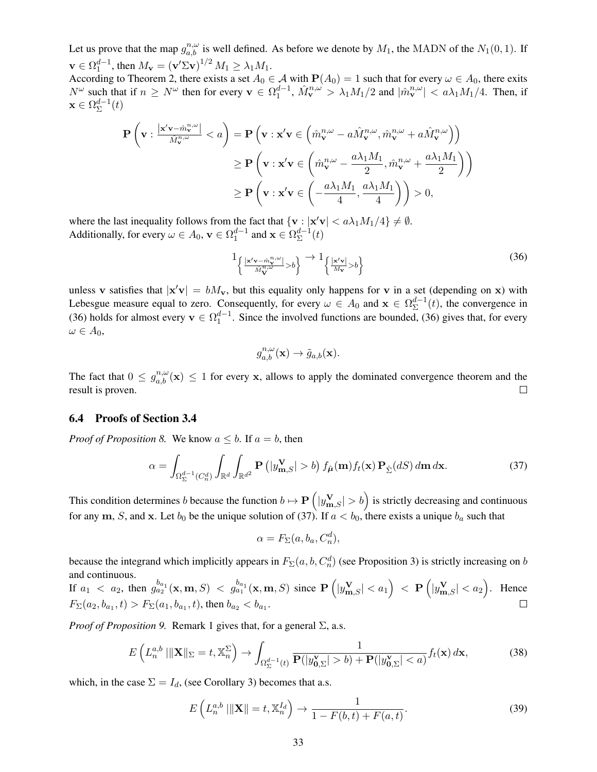Let us prove that the map  $g_{a,b}^{n,\omega}$  is well defined. As before we denote by  $M_1$ , the MADN of the  $N_1(0,1)$ . If  $\mathbf{v} \in \Omega_1^{d-1}$ , then  $M_{\mathbf{v}} = (\mathbf{v}' \Sigma \mathbf{v})^{1/2} M_1 \ge \lambda_1 M_1$ .

 $\mathbf{X} \in \mathbb{R}^n_1$ , then  $M\mathbf{V} = (\mathbf{V} \times \mathbf{V})^n M_1 \le \mathcal{A}_1 M_1$ .<br>According to Theorem [2,](#page-6-3) there exists a set  $A_0 \in \mathcal{A}$  with  $\mathbf{P}(A_0) = 1$  such that for every  $\omega \in A_0$ , there exits  $N^{\omega}$  such that if  $n \ge N^{\omega}$  then for every  $\mathbf{v} \in \Omega_1^{d-1}$ ,  $\hat{M}_{\mathbf{v}}^{n,\omega} > \lambda_1 M_1/2$  and  $|\hat{m}_{\mathbf{v}}^{n,\omega}| < a\lambda_1 M_1/4$ . Then, if  $\mathbf{x}\in \Omega^{d-1}_{\Sigma}$  $\sum_{\Sigma}^{d-1}(t)$ 

$$
\mathbf{P}\left(\mathbf{v}: \frac{|\mathbf{x}'\mathbf{v}-\hat{m}_{\mathbf{v}}^{n,\omega}|}{\hat{M}_{\mathbf{v}}^{n,\omega}} < a\right) = \mathbf{P}\left(\mathbf{v}: \mathbf{x}'\mathbf{v} \in \left(\hat{m}_{\mathbf{v}}^{n,\omega} - a\hat{M}_{\mathbf{v}}^{n,\omega}, \hat{m}_{\mathbf{v}}^{n,\omega} + a\hat{M}_{\mathbf{v}}^{n,\omega}\right)\right)
$$

$$
\geq \mathbf{P}\left(\mathbf{v}: \mathbf{x}'\mathbf{v} \in \left(\hat{m}_{\mathbf{v}}^{n,\omega} - \frac{a\lambda_1 M_1}{2}, \hat{m}_{\mathbf{v}}^{n,\omega} + \frac{a\lambda_1 M_1}{2}\right)\right)
$$

$$
\geq \mathbf{P}\left(\mathbf{v}: \mathbf{x}'\mathbf{v} \in \left(-\frac{a\lambda_1 M_1}{4}, \frac{a\lambda_1 M_1}{4}\right)\right) > 0,
$$

where the last inequality follows from the fact that  $\{v : |x'v| < a\lambda_1M_1/4\} \neq \emptyset$ . Additionally, for every  $\omega \in A_0$ ,  $\mathbf{v} \in \Omega_1^{d-1}$  and  $\mathbf{x} \in \Omega_{\Sigma}^{d-1}$  $\sum_{\Sigma}^{d-1}(t)$ 

$$
1_{\left\{\frac{|\mathbf{x}'\mathbf{v}-\hat{m}_{\mathbf{v}}^{n,\omega}|}{\hat{M}_{\mathbf{v}}^{n,\omega}}>\delta\right\}} \to 1_{\left\{\frac{|\mathbf{x}'\mathbf{v}|}{M_{\mathbf{v}}}>b\right\}}
$$
(36)

unless v satisfies that  $|x'v| = bM_v$ , but this equality only happens for v in a set (depending on x) with Lebesgue measure equal to zero. Consequently, for every  $\omega \in A_0$  and  $\mathbf{x} \in \Omega^{d-1}_{\Sigma}$  $\sum_{k=1}^{d-1}(t)$ , the convergence in [\(36\)](#page-32-0) holds for almost every  $v \in \Omega_1^{d-1}$ . Since the involved functions are bounded, (36) gives that, for every  $\omega \in A_0$ ,

<span id="page-32-0"></span>
$$
g_{a,b}^{n,\omega}(\mathbf{x}) \to \tilde{g}_{a,b}(\mathbf{x}).
$$

The fact that  $0 \leq g_{a,b}^{n,\omega}(\mathbf{x}) \leq 1$  for every x, allows to apply the dominated convergence theorem and the result is proven.  $\Box$ 

### 6.4 Proofs of Section [3.4](#page-7-0)

*Proof of Proposition [8.](#page-7-1)* We know  $a \leq b$ . If  $a = b$ , then

$$
\alpha = \int_{\Omega_{\Sigma}^{d-1}(C_n^d)} \int_{\mathbb{R}^d} \int_{\mathbb{R}^{d^2}} \mathbf{P}\left(|y_{\mathbf{m},S}^{\mathbf{V}}| > b\right) f_{\hat{\boldsymbol{\mu}}}(\mathbf{m}) f_t(\mathbf{x}) \mathbf{P}_{\hat{\Sigma}}(dS) d\mathbf{m} d\mathbf{x}.
$$
 (37)

This condition determines b because the function  $b \mapsto P\left(|y_{\mathbf{m},S}^{\mathbf{V}}| > b\right)$  is strictly decreasing and continuous for any m, S, and x. Let  $b_0$  be the unique solution of [\(37\)](#page-32-1). If  $a < b_0$ , there exists a unique  $b_a$  such that

<span id="page-32-1"></span>
$$
\alpha = F_{\Sigma}(a, b_a, C_n^d),
$$

because the integrand which implicitly appears in  $F_{\Sigma}(a, b, C_n^d)$  (see Proposition [3\)](#page-5-1) is strictly increasing on b and continuous.

If  $a_1 < a_2$ , then  $g_{a_2}^{b_{a_1}}(\mathbf{x}, \mathbf{m}, S) < g_{a_1}^{b_{a_1}}(\mathbf{x}, \mathbf{m}, S)$  since  $\mathbf{P}\left(|y_{\mathbf{m},S}^{\mathbf{V}}| < a_1\right) < \mathbf{P}\left(|y_{\mathbf{m},S}^{\mathbf{V}}| < a_2\right)$ . Hence  $F_{\Sigma}(a_2, b_{a_1}, t) > F_{\Sigma}(a_1, b_{a_1}, t)$ , then  $b_{a_2} < b_{a_1}$ .  $\Box$ 

*Proof of Proposition* [9.](#page-7-2) Remark [1](#page-7-4) gives that, for a general  $\Sigma$ , a.s.

$$
E\left(L_n^{a,b} \left| \left\| \mathbf{X} \right\|_{\Sigma} = t, \mathbb{X}_n^{\Sigma} \right) \to \int_{\Omega_{\Sigma}^{d-1}(t)} \frac{1}{\mathbf{P}(|y_{0,\Sigma}^{\mathbf{v}}| > b) + \mathbf{P}(|y_{0,\Sigma}^{\mathbf{v}}| < a)} f_t(\mathbf{x}) d\mathbf{x},\tag{38}
$$

which, in the case  $\Sigma = I_d$ , (see Corollary [3\)](#page-6-1) becomes that a.s.

$$
E\left(L_n^{a,b} \|\mathbf{X}\| = t, \mathbb{X}_n^{I_d}\right) \to \frac{1}{1 - F(b,t) + F(a,t)}.\tag{39}
$$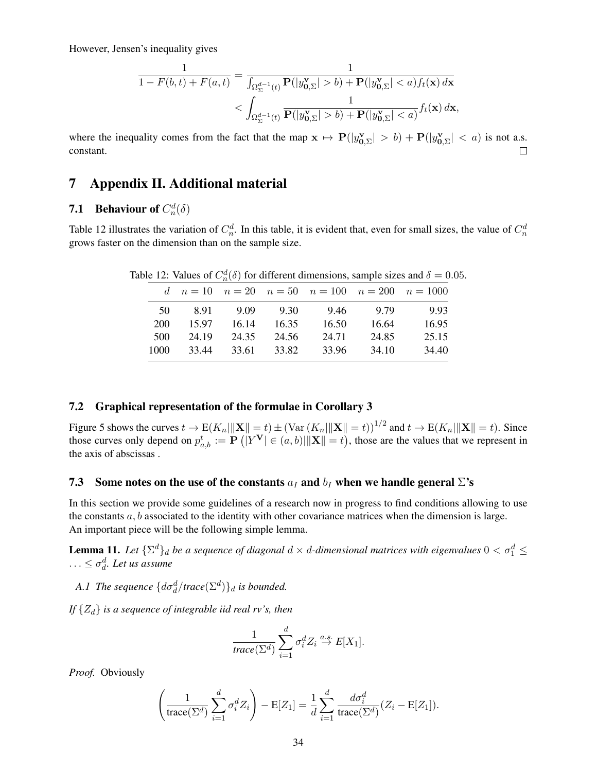However, Jensen's inequality gives

$$
\frac{1}{1 - F(b, t) + F(a, t)} = \frac{1}{\int_{\Omega_{\Sigma}^{d-1}(t)} \mathbf{P}(|y_{0,\Sigma}^{\mathbf{v}}| > b) + \mathbf{P}(|y_{0,\Sigma}^{\mathbf{v}}| < a) f_t(\mathbf{x}) d\mathbf{x}} < \int_{\Omega_{\Sigma}^{d-1}(t)} \frac{1}{\mathbf{P}(|y_{0,\Sigma}^{\mathbf{v}}| > b) + \mathbf{P}(|y_{0,\Sigma}^{\mathbf{v}}| < a)} f_t(\mathbf{x}) d\mathbf{x},
$$

where the inequality comes from the fact that the map  $x \mapsto P(|y_{0,\Sigma}^{\mathbf{v}}| > b) + P(|y_{0,\Sigma}^{\mathbf{v}}| < a)$  is not a.s. constant.  $\Box$ 

# 7 Appendix II. Additional material

# <span id="page-33-2"></span>**7.1** Behaviour of  $C_n^d(\delta)$

Table [12](#page-33-1) illustrates the variation of  $C_n^d$ . In this table, it is evident that, even for small sizes, the value of  $C_n^d$ grows faster on the dimension than on the sample size.

<span id="page-33-1"></span>d  $n = 10$   $n = 20$   $n = 50$   $n = 100$   $n = 200$   $n = 1000$ 50 8.91 9.09 9.30 9.46 9.79 9.93 200 15.97 16.14 16.35 16.50 16.64 16.95 500 24.19 24.35 24.56 24.71 24.85 25.15 1000 33.44 33.61 33.82 33.96 34.10 34.40

Table 12: Values of  $C_n^d(\delta)$  for different dimensions, sample sizes and  $\delta = 0.05$ .

#### <span id="page-33-3"></span>7.2 Graphical representation of the formulae in Corollary [3](#page-6-1)

Figure [5](#page-34-0) shows the curves  $t \to E(K_n||\mathbf{X}|| = t) \pm (\text{Var}(K_n||\mathbf{X}|| = t))^{1/2}$  and  $t \to E(K_n||\mathbf{X}|| = t)$ . Since those curves only depend on  $p_{a,b}^t := \mathbf{P}\left( |Y^{\mathbf{V}}| \in (a,b) | ||\mathbf{X}|| = t \right)$ , those are the values that we represent in the axis of abscissas .

### <span id="page-33-0"></span>7.3 Some notes on the use of the constants  $a_I$  and  $b_I$  when we handle general  $\Sigma$ 's

In this section we provide some guidelines of a research now in progress to find conditions allowing to use the constants  $a, b$  associated to the identity with other covariance matrices when the dimension is large. An important piece will be the following simple lemma.

<span id="page-33-4"></span>**Lemma 11.** Let  $\{\Sigma^d\}_d$  be a sequence of diagonal  $d \times d$ -dimensional matrices with eigenvalues  $0 < \sigma_1^d \le$  $\ldots \leq \sigma_d^d$ . Let us assume

*A.1 The sequence*  $\{d\sigma_d^d/\text{trace}(\Sigma^d)\}_d$  *is bounded.* 

*If*  $\{Z_d\}$  *is a sequence of integrable iid real rv's, then* 

$$
\frac{1}{trace(\Sigma^d)}\sum_{i=1}^d \sigma_i^d Z_i \stackrel{a.s.}{\to} E[X_1].
$$

*Proof.* Obviously

$$
\left(\frac{1}{\operatorname{trace}(\Sigma^d)}\sum_{i=1}^d \sigma_i^d Z_i\right) - \operatorname{E}[Z_1] = \frac{1}{d} \sum_{i=1}^d \frac{d\sigma_i^d}{\operatorname{trace}(\Sigma^d)} (Z_i - \operatorname{E}[Z_1]).
$$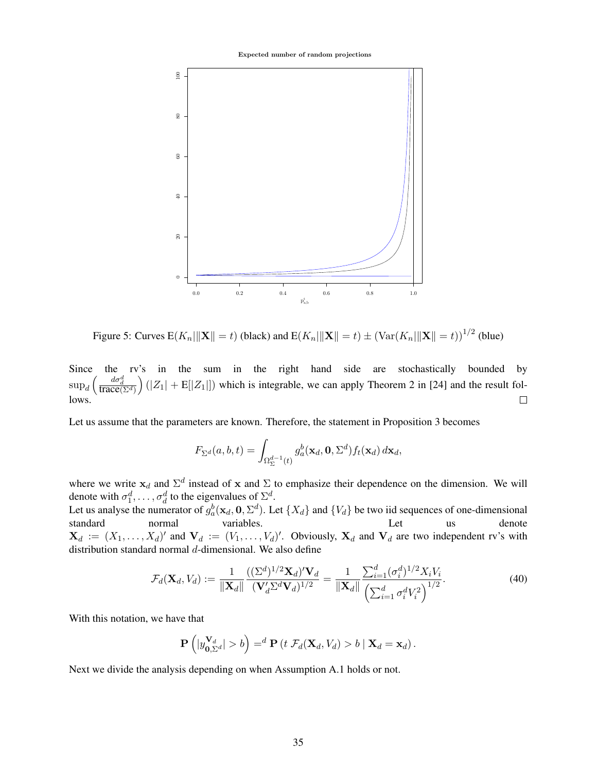Expected number of random projections



<span id="page-34-0"></span>Figure 5: Curves  $E(K_n||\mathbf{X}|| = t)$  (black) and  $E(K_n||\mathbf{X}|| = t) \pm (\text{Var}(K_n||\mathbf{X}|| = t))^{1/2}$  (blue)

Since the rv's in the sum in the right hand side are stochastically bounded by  $\sup_d \Big($  $\frac{d\sigma_d^d}{\text{trace}(\Sigma^d)}$  $\Big(|Z_1| + \mathbb{E}[|Z_1|])\Big|$  which is integrable, we can apply Theorem 2 in [\[24\]](#page-19-19) and the result follows.  $\Box$ 

Let us assume that the parameters are known. Therefore, the statement in Proposition [3](#page-5-1) becomes

$$
F_{\Sigma^d}(a,b,t) = \int_{\Omega_{\Sigma}^{d-1}(t)} g_a^b(\mathbf{x}_d,\mathbf{0},\Sigma^d) f_t(\mathbf{x}_d) d\mathbf{x}_d,
$$

where we write  $x_d$  and  $\Sigma^d$  instead of x and  $\Sigma$  to emphasize their dependence on the dimension. We will denote with  $\sigma_1^d, \ldots, \sigma_d^d$  to the eigenvalues of  $\Sigma^d$ .

Let us analyse the numerator of  $g_a^b(\mathbf{x}_d, \mathbf{0}, \Sigma^d)$ . Let  $\{X_d\}$  and  $\{V_d\}$  be two iid sequences of one-dimensional standard normal variables. Let us denote  $\mathbf{X}_d := (X_1, \dots, X_d)'$  and  $\mathbf{V}_d := (V_1, \dots, V_d)'$ . Obviously,  $\mathbf{X}_d$  and  $\mathbf{V}_d$  are two independent rv's with distribution standard normal d-dimensional. We also define

<span id="page-34-1"></span>
$$
\mathcal{F}_d(\mathbf{X}_d, V_d) := \frac{1}{\|\mathbf{X}_d\|} \frac{((\Sigma^d)^{1/2} \mathbf{X}_d)' \mathbf{V}_d}{(\mathbf{V}_d' \Sigma^d \mathbf{V}_d)^{1/2}} = \frac{1}{\|\mathbf{X}_d\|} \frac{\sum_{i=1}^d (\sigma_i^d)^{1/2} X_i V_i}{\left(\sum_{i=1}^d \sigma_i^d V_i^2\right)^{1/2}}.
$$
\n(40)

With this notation, we have that

$$
\mathbf{P}\left(|y_{\mathbf{0},\Sigma^d}^{\mathbf{V}_d}| > b\right) = ^d \mathbf{P}\left(t \ \mathcal{F}_d(\mathbf{X}_d,V_d) > b \mid \mathbf{X}_d = \mathbf{x}_d\right).
$$

Next we divide the analysis depending on when Assumption A.1 holds or not.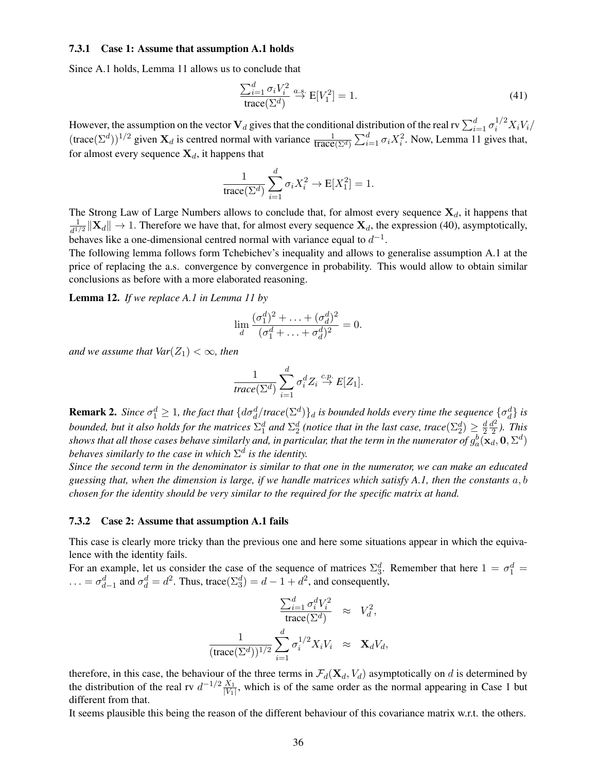#### 7.3.1 Case 1: Assume that assumption A.1 holds

Since A.1 holds, Lemma [11](#page-33-4) allows us to conclude that

$$
\frac{\sum_{i=1}^{d} \sigma_i V_i^2}{\text{trace}(\Sigma^d)} \xrightarrow{a.s.} E[V_1^2] = 1.
$$
\n(41)

However, the assumption on the vector  $V_d$  gives that the conditional distribution of the real rv  $\sum_{i=1}^d \sigma_i^{1/2} X_i V_i$ /  $(\text{trace}(\Sigma^d))^{1/2}$  given  $\mathbf{X}_d$  is centred normal with variance  $\frac{1}{\text{trace}(\Sigma^d)} \sum_{i=1}^d \sigma_i X_i^2$ . Now, Lemma [11](#page-33-4) gives that, for almost every sequence  $X_d$ , it happens that

$$
\frac{1}{\text{trace}(\Sigma^d)} \sum_{i=1}^d \sigma_i X_i^2 \to \text{E}[X_1^2] = 1.
$$

The Strong Law of Large Numbers allows to conclude that, for almost every sequence  $X_d$ , it happens that 1  $\frac{1}{d^{1/2}}\|\mathbf{X}_d\| \to 1$ . Therefore we have that, for almost every sequence  $\mathbf{X}_d$ , the expression [\(40\)](#page-34-1), asymptotically, behaves like a one-dimensional centred normal with variance equal to  $d^{-1}$ .

The following lemma follows form Tchebichev's inequality and allows to generalise assumption A.1 at the price of replacing the a.s. convergence by convergence in probability. This would allow to obtain similar conclusions as before with a more elaborated reasoning.

Lemma 12. *If we replace A.1 in Lemma [11](#page-33-4) by*

$$
\lim_{d} \frac{(\sigma_1^d)^2 + \ldots + (\sigma_d^d)^2}{(\sigma_1^d + \ldots + \sigma_d^d)^2} = 0.
$$

*and we assume that*  $Var(Z_1) < \infty$ *, then* 

$$
\frac{1}{\text{trace}(\Sigma^d)}\sum_{i=1}^d \sigma_i^d Z_i \stackrel{c.p.}{\to} E[Z_1].
$$

<span id="page-35-0"></span>**Remark 2.** Since  $\sigma_1^d \geq 1$ , the fact that  $\{d\sigma_d^d / trace(\Sigma^d)\}_d$  is bounded holds every time the sequence  $\{\sigma_d^d\}$  is bounded, but it also holds for the matrices  $\Sigma_1^d$  and  $\Sigma_2^d$  (notice that in the last case, trace $(\Sigma_2^d)\geq \frac{d}{2}$ 2  $d^2$  $\frac{d^2}{2}$ ). *This* shows that all those cases behave similarly and, in particular, that the term in the numerator of  $g_a^b(\mathbf{x}_d,\mathbf{0},\Sigma^d)$ behaves similarly to the case in which  $\Sigma^d$  is the identity.

*Since the second term in the denominator is similar to that one in the numerator, we can make an educated guessing that, when the dimension is large, if we handle matrices which satisfy A.1, then the constants* a, b *chosen for the identity should be very similar to the required for the specific matrix at hand.*

#### 7.3.2 Case 2: Assume that assumption A.1 fails

This case is clearly more tricky than the previous one and here some situations appear in which the equivalence with the identity fails.

For an example, let us consider the case of the sequence of matrices  $\Sigma_3^d$ . Remember that here  $1 = \sigma_1^d =$ ... =  $\sigma_{d-1}^d$  and  $\sigma_d^d = d^2$ . Thus, trace( $\Sigma_3^d$ ) =  $d-1+d^2$ , and consequently,

$$
\frac{\sum_{i=1}^{d} \sigma_i^d V_i^2}{\text{trace}(\Sigma^d)} \approx V_d^2,
$$

$$
\frac{1}{(\text{trace}(\Sigma^d))^{1/2}} \sum_{i=1}^{d} \sigma_i^{1/2} X_i V_i \approx \mathbf{X}_d V_d,
$$

therefore, in this case, the behaviour of the three terms in  $\mathcal{F}_d(\mathbf{X}_d, V_d)$  asymptotically on d is determined by the distribution of the real rv  $d^{-1/2} \frac{X_1}{W_1}$  $\frac{X_1}{|V_1|}$ , which is of the same order as the normal appearing in Case 1 but different from that.

It seems plausible this being the reason of the different behaviour of this covariance matrix w.r.t. the others.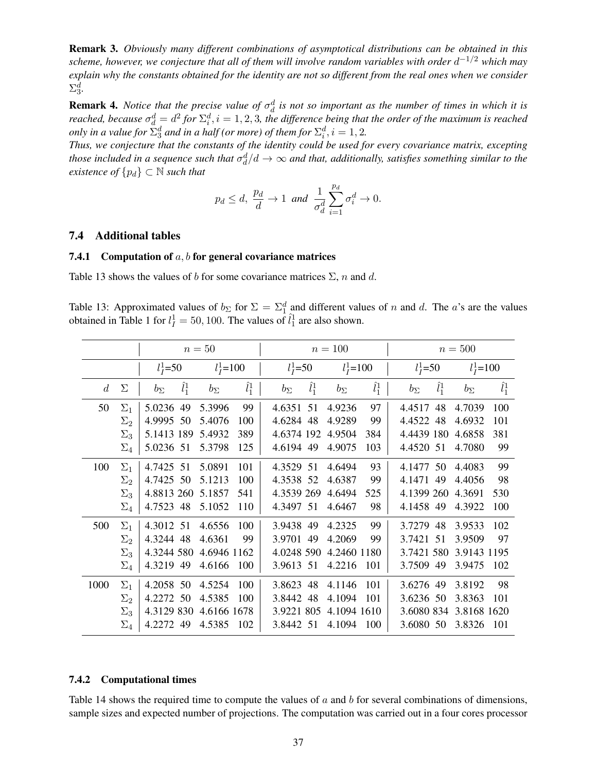Remark 3. *Obviously many different combinations of asymptotical distributions can be obtained in this scheme, however, we conjecture that all of them will involve random variables with order* d <sup>−</sup>1/<sup>2</sup> *which may explain why the constants obtained for the identity are not so different from the real ones when we consider*  $\Sigma_3^d$ .

<span id="page-36-0"></span>**Remark 4.** *Notice that the precise value of*  $\sigma_d^d$  *is not so important as the number of times in which it is reached, because*  $\sigma_d^d = d^2$  for  $\Sigma_i^d$ ,  $i = 1, 2, 3$ , the difference being that the order of the maximum is reached *only in a value for*  $\sum_{3}^{d}$  *and in a half (or more) of them for*  $\sum_{i}^{d}$ ,  $i = 1, 2$ .

*Thus, we conjecture that the constants of the identity could be used for every covariance matrix, excepting* those included in a sequence such that  $\sigma_d^d/d\to\infty$  and that, additionally, satisfies something similar to the *existence of*  $\{p_d\} \subset \mathbb{N}$  *such that* 

$$
p_d \leq d
$$
,  $\frac{p_d}{d} \to 1$  and  $\frac{1}{\sigma_d^d} \sum_{i=1}^{p_d} \sigma_i^d \to 0$ .

#### 7.4 Additional tables

#### <span id="page-36-2"></span>7.4.1 Computation of  $a, b$  for general covariance matrices

Table [13](#page-36-1) shows the values of b for some covariance matrices  $\Sigma$ , n and d.

<span id="page-36-1"></span>Table 13: Approximated values of  $b_{\Sigma}$  for  $\Sigma = \Sigma_1^d$  and different values of n and d. The a's are the values obtained in Table [1](#page-9-1) for  $l_I^1 = 50, 100$ . The values of  $\hat{l}_1^1$  are also shown.

|                |            | $n=50$       |               |              |               |              |                 | $n = 100$    |               |              |               | $n = 500$    |               |
|----------------|------------|--------------|---------------|--------------|---------------|--------------|-----------------|--------------|---------------|--------------|---------------|--------------|---------------|
|                |            | $l_I^1 = 50$ |               | $l_I^1$ =100 |               | $l_I^1 = 50$ |                 | $l_I^1$ =100 |               | $l_I^1 = 50$ |               | $l_I^1$ =100 |               |
| $\overline{d}$ | Σ          | $b_{\Sigma}$ | $\hat{l}_1^1$ | $b_{\Sigma}$ | $\hat{l}^1_1$ | $b_{\Sigma}$ | $\tilde{l}_1^1$ | $b_{\Sigma}$ | $\hat{l}_1^1$ | $b_{\Sigma}$ | $\hat{l}_1^1$ | $b_{\Sigma}$ | $\hat{l}_1^1$ |
| 50             | $\Sigma_1$ | 5.0236       | 49            | 5.3996       | 99            | 4.6351       | 51              | 4.9236       | 97            | 4.4517       | 48            | 4.7039       | 100           |
|                | $\Sigma_2$ | 4.9995       | 50            | 5.4076       | 100           | 4.6284       | 48              | 4.9289       | 99            | 4.4522       | 48            | 4.6932       | 101           |
|                | $\Sigma_3$ | 5.1413 189   |               | 5.4932       | 389           | 4.6374 192   |                 | 4.9504       | 384           | 4.4439 180   |               | 4.6858       | 381           |
|                | $\Sigma_4$ | 5.0236 51    |               | 5.3798       | 125           | 4.6194 49    |                 | 4.9075       | 103           | 4.4520 51    |               | 4.7080       | 99            |
| 100            | $\Sigma_1$ | 4.7425 51    |               | 5.0891       | 101           | 4.3529 51    |                 | 4.6494       | 93            | 4.1477 50    |               | 4.4083       | 99            |
|                | $\Sigma_2$ | 4.7425 50    |               | 5.1213       | 100           | 4.3538 52    |                 | 4.6387       | 99            | 4.1471       | 49            | 4.4056       | 98            |
|                | $\Sigma_3$ | 4.8813 260   |               | 5.1857       | 541           | 4.3539 269   |                 | 4.6494       | 525           | 4.1399 260   |               | 4.3691       | 530           |
|                | $\Sigma_4$ | 4.7523       | 48            | 5.1052       | 110           | 4.3497 51    |                 | 4.6467       | 98            | 4.1458 49    |               | 4.3922       | 100           |
| 500            | $\Sigma_1$ | 4.3012 51    |               | 4.6556       | 100           | 3.9438 49    |                 | 4.2325       | 99            | 3.7279       | 48            | 3.9533       | 102           |
|                | $\Sigma_2$ | 4.3244 48    |               | 4.6361       | 99            | 3.9701       | 49              | 4.2069       | 99            | 3.7421       | 51            | 3.9509       | 97            |
|                | $\Sigma_3$ | 4.3244 580   |               | 4.6946 1162  |               | 4.0248 590   |                 | 4.2460 1180  |               | 3.7421 580   |               | 3.9143 1195  |               |
|                | $\Sigma_4$ | 4.3219 49    |               | 4.6166       | 100           | 3.9613 51    |                 | 4.2216       | 101           | 3.7509 49    |               | 3.9475       | 102           |
| 1000           | $\Sigma_1$ | 4.2058 50    |               | 4.5254       | 100           | 3.8623 48    |                 | 4.1146       | 101           | 3.6276       | 49            | 3.8192       | 98            |
|                | $\Sigma_2$ | 4.2272 50    |               | 4.5385       | 100           | 3.8442 48    |                 | 4.1094       | 101           | 3.6236       | 50            | 3.8363       | 101           |
|                | $\Sigma_3$ | 4.3129 830   |               | 4.6166 1678  |               | 3.9221 805   |                 | 4.1094 1610  |               | 3.6080 834   |               | 3.8168 1620  |               |
|                | $\Sigma_4$ | 4.2272 49    |               | 4.5385       | 102           | 3.8442 51    |                 | 4.1094       | 100           | 3.6080 50    |               | 3.8326       | 101           |

#### <span id="page-36-3"></span>7.4.2 Computational times

Table [14](#page-37-0) shows the required time to compute the values of a and b for several combinations of dimensions, sample sizes and expected number of projections. The computation was carried out in a four cores processor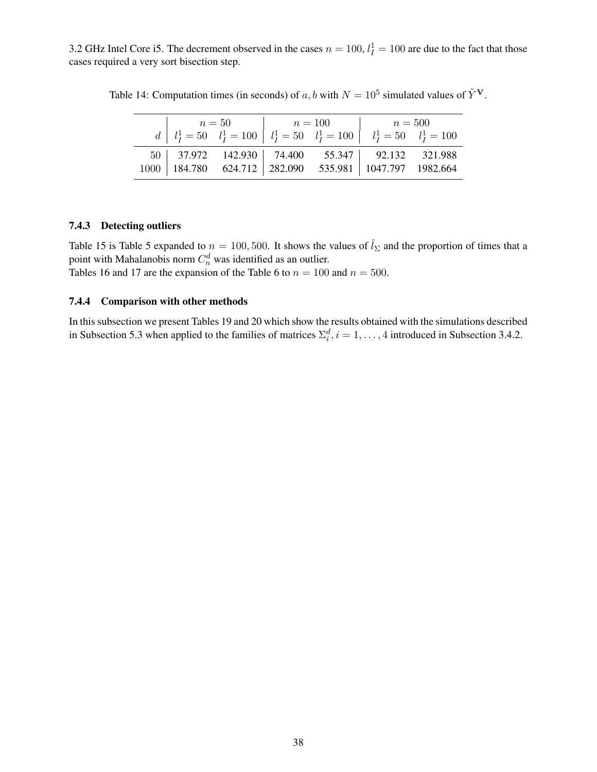3.2 GHz Intel Core i5. The decrement observed in the cases  $n = 100$ ,  $l_I^1 = 100$  are due to the fact that those cases required a very sort bisection step.

<span id="page-37-0"></span>

|  |  | $\begin{array}{c c c c c c c c} & n=50 & n=100 & n=500 \\ d & l_I^1 = 50 & l_I^1 = 100 & l_I^1 = 100 & l_I^1 = 50 & l_I^1 = 100 \end{array}$                                  |  |  |
|--|--|-------------------------------------------------------------------------------------------------------------------------------------------------------------------------------|--|--|
|  |  |                                                                                                                                                                               |  |  |
|  |  | $\begin{array}{c c c c c c c c} 50 & 37.972 & 142.930 & 74.400 & 55.347 & 92.132 & 321.988 \\ 1000 & 184.780 & 624.712 & 282.090 & 535.981 & 1047.797 & 1982.664 \end{array}$ |  |  |
|  |  |                                                                                                                                                                               |  |  |

Table 14: Computation times (in seconds) of a, b with  $N = 10^5$  simulated values of  $\tilde{Y}^V$ .

### <span id="page-37-1"></span>7.4.3 Detecting outliers

Table [15](#page-38-0) is Table [5](#page-12-0) expanded to  $n = 100, 500$ . It shows the values of  $\hat{l}_{\Sigma}$  and the proportion of times that a point with Mahalanobis norm  $C_n^d$  was identified as an outlier. Tables [16](#page-39-0) and [17](#page-40-0) are the expansion of the Table [6](#page-12-1) to  $n = 100$  and  $n = 500$ .

#### <span id="page-37-2"></span>7.4.4 Comparison with other methods

In this subsection we present Tables [19](#page-41-1) and [20](#page-42-0) which show the results obtained with the simulations described in Subsection [5.3](#page-13-0) when applied to the families of matrices  $\Sigma_i^d$ ,  $i = 1, ..., 4$  introduced in Subsection [3.4.2.](#page-8-1)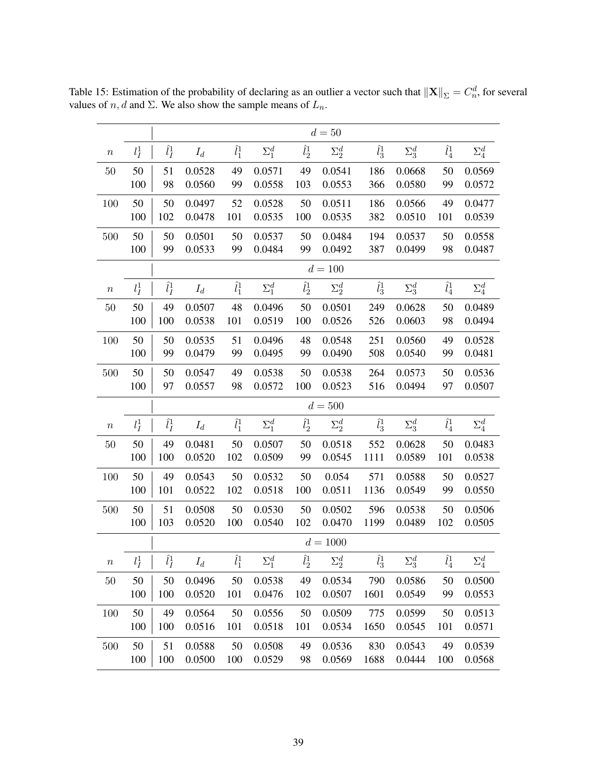|                  |         |                       |        |               |              |               | $d=50$                     |               |              |                         |              |
|------------------|---------|-----------------------|--------|---------------|--------------|---------------|----------------------------|---------------|--------------|-------------------------|--------------|
| $\boldsymbol{n}$ | $l_I^1$ | $\hat{l}^1_I$         | $I_d$  | $\hat{l}^1_1$ | $\Sigma_1^d$ | $\hat{l}^1_2$ | $\Sigma_2^d$               | $\hat{l}_3^1$ | $\Sigma_3^d$ | $\hat l_4^1$            | $\Sigma_4^d$ |
| 50               | 50      | 51                    | 0.0528 | 49            | 0.0571       | 49            | 0.0541                     | 186           | 0.0668       | 50                      | 0.0569       |
|                  | 100     | 98                    | 0.0560 | 99            | 0.0558       | 103           | 0.0553                     | 366           | 0.0580       | 99                      | 0.0572       |
| 100              | 50      | 50                    | 0.0497 | 52            | 0.0528       | 50            | 0.0511                     | 186           | 0.0566       | 49                      | 0.0477       |
|                  | 100     | 102                   | 0.0478 | 101           | 0.0535       | 100           | 0.0535                     | 382           | 0.0510       | 101                     | 0.0539       |
| 500              | 50      | 50                    | 0.0501 | 50            | 0.0537       | 50            | 0.0484                     | 194           | 0.0537       | 50                      | 0.0558       |
|                  | 100     | 99                    | 0.0533 | 99            | 0.0484       | 99            | 0.0492                     | 387           | 0.0499       | 98                      | 0.0487       |
|                  |         |                       |        |               |              |               | $d = 100$                  |               |              |                         |              |
| $\boldsymbol{n}$ | $l_I^1$ | $\hat{l}^1_I$         | $I_d$  | $\hat{l}^1_1$ | $\Sigma_1^d$ | $\hat{l}^1_2$ | $\Sigma_2^d$               | $\hat{l}^1_3$ | $\Sigma_3^d$ | $\hat{l}_4^1$           | $\Sigma_4^d$ |
| 50               | 50      | 49                    | 0.0507 | 48            | 0.0496       | 50            | 0.0501                     | 249           | 0.0628       | 50                      | 0.0489       |
|                  | 100     | 100                   | 0.0538 | 101           | 0.0519       | 100           | 0.0526                     | 526           | 0.0603       | 98                      | 0.0494       |
| 100              | 50      | 50                    | 0.0535 | 51            | 0.0496       | 48            | 0.0548                     | 251           | 0.0560       | 49                      | 0.0528       |
|                  | 100     | 99                    | 0.0479 | 99            | 0.0495       | 99            | 0.0490                     | 508           | 0.0540       | 99                      | 0.0481       |
| 500              | 50      | 50                    | 0.0547 | 49            | 0.0538       | 50            | 0.0538                     | 264           | 0.0573       | 50                      | 0.0536       |
|                  | 100     | 97                    | 0.0557 | 98            | 0.0572       | 100           | 0.0523                     | 516           | 0.0494       | 97                      | 0.0507       |
|                  |         |                       |        |               |              |               | $d = 500$                  |               |              |                         |              |
| $\, n$           | $l_I^1$ | $\hat{l}^1_I$         | $I_d$  | $\hat{l}^1_1$ | $\Sigma_1^d$ | $\hat{l}_2^1$ | $\Sigma_2^d$               | $\hat{l}^1_3$ | $\Sigma_3^d$ | $\hat{l}_4^1$           | $\Sigma_4^d$ |
| 50               | 50      | 49                    | 0.0481 | 50            | 0.0507       | 50            | 0.0518                     | 552           | 0.0628       | 50                      | 0.0483       |
|                  | 100     | 100                   | 0.0520 | 102           | 0.0509       | 99            | 0.0545                     | 1111          | 0.0589       | 101                     | 0.0538       |
| 100              | 50      | 49                    | 0.0543 | 50            | 0.0532       | 50            | 0.054                      | 571           | 0.0588       | 50                      | 0.0527       |
|                  | 100     | 101                   | 0.0522 | 102           | 0.0518       | 100           | 0.0511                     | 1136          | 0.0549       | 99                      | 0.0550       |
| 500              | 50      | 51                    | 0.0508 | 50            | 0.0530       | 50            | 0.0502                     | 596           | 0.0538       | 50                      | 0.0506       |
|                  | 100     | 103                   | 0.0520 | 100           | 0.0540       | 102           | 0.0470                     | 1199          | 0.0489       | 102                     | 0.0505       |
|                  |         |                       |        |               |              |               | $d = 1000$                 |               |              |                         |              |
| $\boldsymbol{n}$ | $l_I^1$ | $\hat{l}^1_{\bar{I}}$ | $I_d$  | $\hat{l}^1_1$ | $\Sigma_1^d$ |               | $\hat{l}^1_2$ $\Sigma^d_2$ | $\hat{l}^1_3$ | $\Sigma_3^d$ | $\bar{\hat{l}}_{4}^{1}$ | $\Sigma_4^d$ |
| $50\,$           | 50      | 50                    | 0.0496 | 50            | 0.0538       | 49            | 0.0534                     | 790           | 0.0586       | 50                      | 0.0500       |
|                  | 100     | 100                   | 0.0520 | 101           | 0.0476       | 102           | 0.0507                     | 1601          | 0.0549       | 99                      | 0.0553       |
| 100              | 50      | 49                    | 0.0564 | 50            | 0.0556       | 50            | 0.0509                     | 775           | 0.0599       | 50                      | 0.0513       |
|                  | 100     | 100                   | 0.0516 | 101           | 0.0518       | 101           | 0.0534                     | 1650          | 0.0545       | 101                     | 0.0571       |
| 500              | 50      | 51                    | 0.0588 | 50            | 0.0508       | 49            | 0.0536                     | 830           | 0.0543       | 49                      | 0.0539       |
|                  | 100     | 100                   | 0.0500 | 100           | 0.0529       | 98            | 0.0569                     | 1688          | 0.0444       | 100                     | 0.0568       |

<span id="page-38-0"></span>Table 15: Estimation of the probability of declaring as an outlier a vector such that  $\|\mathbf{X}\|_{\Sigma} = C_n^d$ , for several values of  $n, d$  and  $\Sigma$ . We also show the sample means of  $L_n$ .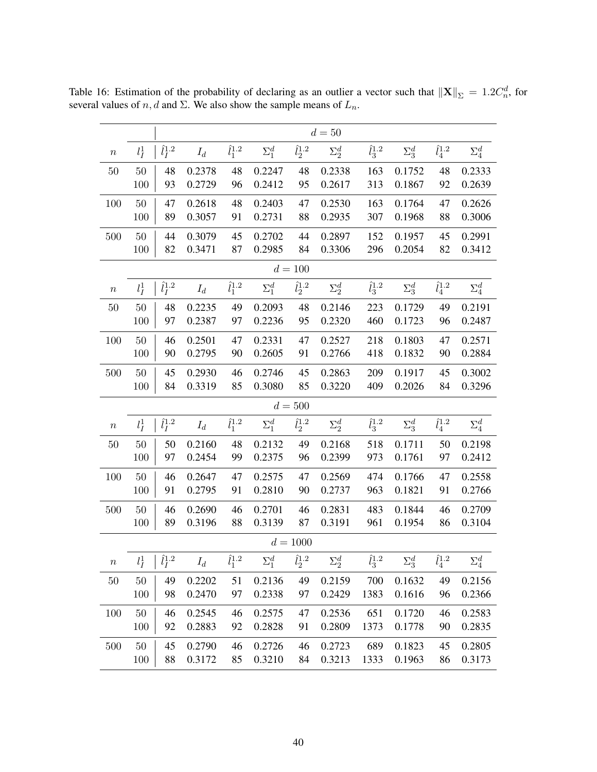<span id="page-39-0"></span>

|                  |           | $d=50$                       |        |                     |              |                   |              |                   |              |                   |              |  |  |
|------------------|-----------|------------------------------|--------|---------------------|--------------|-------------------|--------------|-------------------|--------------|-------------------|--------------|--|--|
| $\boldsymbol{n}$ | $l_I^1$   | $\hat{l}^{1.2}_I$            | $I_d$  | $\hat{l}_{1}^{1.2}$ | $\Sigma_1^d$ | $\hat{l}_2^{1.2}$ | $\Sigma_2^d$ | $\hat{l}_3^{1.2}$ | $\Sigma_3^d$ | $\hat{l}_4^{1.2}$ | $\Sigma_4^d$ |  |  |
| 50               | 50        | 48                           | 0.2378 | 48                  | 0.2247       | 48                | 0.2338       | 163               | 0.1752       | 48                | 0.2333       |  |  |
|                  | 100       | 93                           | 0.2729 | 96                  | 0.2412       | 95                | 0.2617       | 313               | 0.1867       | 92                | 0.2639       |  |  |
| 100              | 50        | 47                           | 0.2618 | 48                  | 0.2403       | 47                | 0.2530       | 163               | 0.1764       | 47                | 0.2626       |  |  |
|                  | 100       | 89                           | 0.3057 | 91                  | 0.2731       | 88                | 0.2935       | 307               | 0.1968       | 88                | 0.3006       |  |  |
| 500              | 50        | 44                           | 0.3079 | 45                  | 0.2702       | 44                | 0.2897       | 152               | 0.1957       | 45                | 0.2991       |  |  |
|                  | 100       | 82                           | 0.3471 | 87                  | 0.2985       | 84                | 0.3306       | 296               | 0.2054       | 82                | 0.3412       |  |  |
|                  |           |                              |        |                     |              | $d = 100$         |              |                   |              |                   |              |  |  |
| $\boldsymbol{n}$ | $l_I^1$   | $\hat{l}_I^{1.2}$            | $I_d$  | $\hat{l}_1^{1.2}$   | $\Sigma_1^d$ | $\hat{l}_2^{1.2}$ | $\Sigma_2^d$ | $\hat{l}_3^{1.2}$ | $\Sigma_3^d$ | $\hat{l}_4^{1.2}$ | $\Sigma_4^d$ |  |  |
| 50               | 50        | 48                           | 0.2235 | 49                  | 0.2093       | 48                | 0.2146       | 223               | 0.1729       | 49                | 0.2191       |  |  |
|                  | 100       | 97                           | 0.2387 | 97                  | 0.2236       | 95                | 0.2320       | 460               | 0.1723       | 96                | 0.2487       |  |  |
| 100              | 50        | 46                           | 0.2501 | 47                  | 0.2331       | 47                | 0.2527       | 218               | 0.1803       | 47                | 0.2571       |  |  |
|                  | 100       | 90                           | 0.2795 | 90                  | 0.2605       | 91                | 0.2766       | 418               | 0.1832       | 90                | 0.2884       |  |  |
| 500              | 50        | 45                           | 0.2930 | 46                  | 0.2746       | 45                | 0.2863       | 209               | 0.1917       | 45                | 0.3002       |  |  |
|                  | 100       | 84                           | 0.3319 | 85                  | 0.3080       | 85                | 0.3220       | 409               | 0.2026       | 84                | 0.3296       |  |  |
|                  | $d = 500$ |                              |        |                     |              |                   |              |                   |              |                   |              |  |  |
| $\boldsymbol{n}$ | $l_I^1$   | $\hat{l}_I^{1.2}$            | $I_d$  | $\hat{l}_1^{1.2}$   | $\Sigma_1^d$ | $\hat{l}^{1.2}_2$ | $\Sigma_2^d$ | $\hat{l}_3^{1.2}$ | $\Sigma_3^d$ | $\hat{l}_4^{1.2}$ | $\Sigma_4^d$ |  |  |
| 50               | 50        | 50                           | 0.2160 | 48                  | 0.2132       | 49                | 0.2168       | 518               | 0.1711       | 50                | 0.2198       |  |  |
|                  | 100       | 97                           | 0.2454 | 99                  | 0.2375       | 96                | 0.2399       | 973               | 0.1761       | 97                | 0.2412       |  |  |
| 100              | 50        | 46                           | 0.2647 | 47                  | 0.2575       | 47                | 0.2569       | 474               | 0.1766       | 47                | 0.2558       |  |  |
|                  | 100       | 91                           | 0.2795 | 91                  | 0.2810       | 90                | 0.2737       | 963               | 0.1821       | 91                | 0.2766       |  |  |
| 500              | 50        | 46                           | 0.2690 | 46                  | 0.2701       | 46                | 0.2831       | 483               | 0.1844       | 46                | 0.2709       |  |  |
|                  | 100       | 89                           | 0.3196 | 88                  | 0.3139       | 87                | 0.3191       | 961               | 0.1954       | 86                | 0.3104       |  |  |
|                  |           |                              |        |                     |              | $d = 1000$        |              |                   |              |                   |              |  |  |
| $\, n$           |           | $l_I^1 \mid \hat{l}_I^{1.2}$ | $I_d$  | $\hat{l}_1^{1.2}$   | $\Sigma_1^d$ | $\hat{l}_2^{1.2}$ | $\Sigma_2^d$ | $\hat{l}_3^{1.2}$ | $\Sigma_3^d$ | $\hat{l}_4^{1.2}$ | $\Sigma_4^d$ |  |  |
| $50\,$           | 50        | 49                           | 0.2202 | 51                  | 0.2136       | 49                | 0.2159       | 700               | 0.1632       | 49                | 0.2156       |  |  |
|                  | 100       | 98                           | 0.2470 | 97                  | 0.2338       | 97                | 0.2429       | 1383              | 0.1616       | 96                | 0.2366       |  |  |
| 100              | 50        | 46                           | 0.2545 | 46                  | 0.2575       | 47                | 0.2536       | 651               | 0.1720       | 46                | 0.2583       |  |  |
|                  | 100       | 92                           | 0.2883 | 92                  | 0.2828       | 91                | 0.2809       | 1373              | 0.1778       | 90                | 0.2835       |  |  |
| 500              | 50        | 45                           | 0.2790 | 46                  | 0.2726       | 46                | 0.2723       | 689               | 0.1823       | 45                | 0.2805       |  |  |
|                  | 100       | 88                           | 0.3172 | 85                  | 0.3210       | 84                | 0.3213       | 1333              | 0.1963       | 86                | 0.3173       |  |  |

Table 16: Estimation of the probability of declaring as an outlier a vector such that  $\|\mathbf{X}\|_{\Sigma} = 1.2C_n^d$ , for several values of  $n, d$  and  $\Sigma$ . We also show the sample means of  $L_n$ .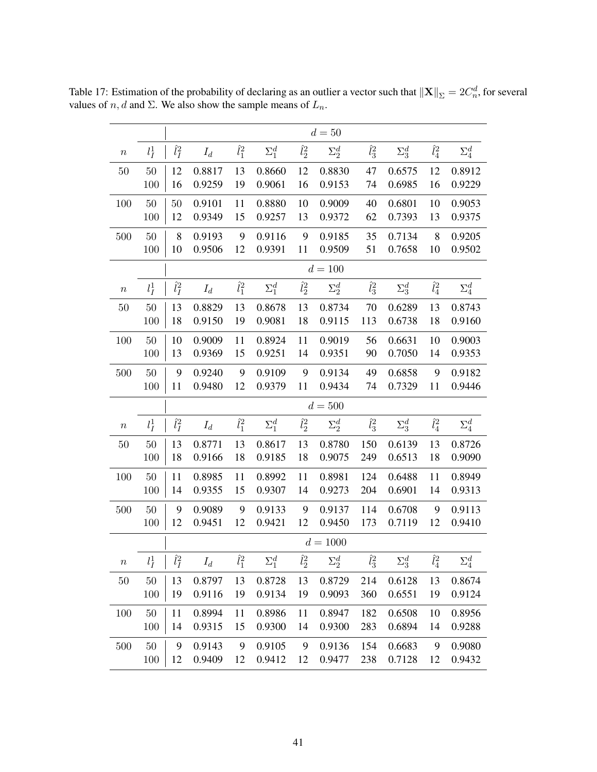<span id="page-40-0"></span>

|                  |         |               |        |               |              |               | $d=50$       |               |              |               |              |
|------------------|---------|---------------|--------|---------------|--------------|---------------|--------------|---------------|--------------|---------------|--------------|
| $\boldsymbol{n}$ | $l_I^1$ | $\hat{l}_I^2$ | $I_d$  | $\hat{l}_1^2$ | $\Sigma_1^d$ | $\hat l_2^2$  | $\Sigma_2^d$ | $\hat{l}_3^2$ | $\Sigma_3^d$ | $\hat{l}_4^2$ | $\Sigma_4^d$ |
| $50\,$           | 50      | 12            | 0.8817 | 13            | 0.8660       | 12            | 0.8830       | 47            | 0.6575       | 12            | 0.8912       |
|                  | 100     | 16            | 0.9259 | 19            | 0.9061       | 16            | 0.9153       | 74            | 0.6985       | 16            | 0.9229       |
| 100              | $50\,$  | 50            | 0.9101 | 11            | 0.8880       | 10            | 0.9009       | 40            | 0.6801       | 10            | 0.9053       |
|                  | 100     | 12            | 0.9349 | 15            | 0.9257       | 13            | 0.9372       | 62            | 0.7393       | 13            | 0.9375       |
| 500              | $50\,$  | 8             | 0.9193 | 9             | 0.9116       | 9             | 0.9185       | 35            | 0.7134       | 8             | 0.9205       |
|                  | 100     | 10            | 0.9506 | 12            | 0.9391       | 11            | 0.9509       | 51            | 0.7658       | 10            | 0.9502       |
|                  |         |               |        |               |              |               | $d = 100$    |               |              |               |              |
| $\boldsymbol{n}$ | $l_I^1$ | $\hat{l}_I^2$ | $I_d$  | $\hat{l}_1^2$ | $\Sigma_1^d$ | $\hat{l}_2^2$ | $\Sigma_2^d$ | $\hat{l}_3^2$ | $\Sigma_3^d$ | $\hat{l}_4^2$ | $\Sigma_4^d$ |
| $50\,$           | $50\,$  | 13            | 0.8829 | 13            | 0.8678       | 13            | 0.8734       | 70            | 0.6289       | 13            | 0.8743       |
|                  | 100     | 18            | 0.9150 | 19            | 0.9081       | 18            | 0.9115       | 113           | 0.6738       | 18            | 0.9160       |
| 100              | $50\,$  | 10            | 0.9009 | 11            | 0.8924       | 11            | 0.9019       | 56            | 0.6631       | 10            | 0.9003       |
|                  | 100     | 13            | 0.9369 | 15            | 0.9251       | 14            | 0.9351       | 90            | 0.7050       | 14            | 0.9353       |
| 500              | 50      | 9             | 0.9240 | 9             | 0.9109       | 9             | 0.9134       | 49            | 0.6858       | 9             | 0.9182       |
|                  | 100     | 11            | 0.9480 | 12            | 0.9379       | 11            | 0.9434       | 74            | 0.7329       | 11            | 0.9446       |
|                  |         |               |        |               |              |               | $d = 500$    |               |              |               |              |
| $\boldsymbol{n}$ | $l_I^1$ | $\hat{l}_I^2$ | $I_d$  | $\hat{l}_1^2$ | $\Sigma_1^d$ | $\hat{l}^2_2$ | $\Sigma_2^d$ | $\hat{l}_3^2$ | $\Sigma_3^d$ | $\hat{l}_4^2$ | $\Sigma_4^d$ |
| 50               | 50      | 13            | 0.8771 | 13            | 0.8617       | 13            | 0.8780       | 150           | 0.6139       | 13            | 0.8726       |
|                  | 100     | 18            | 0.9166 | 18            | 0.9185       | 18            | 0.9075       | 249           | 0.6513       | 18            | 0.9090       |
| 100              | $50\,$  | 11            | 0.8985 | 11            | 0.8992       | 11            | 0.8981       | 124           | 0.6488       | 11            | 0.8949       |
|                  | 100     | 14            | 0.9355 | 15            | 0.9307       | 14            | 0.9273       | 204           | 0.6901       | 14            | 0.9313       |
| 500              | 50      | 9             | 0.9089 | 9             | 0.9133       | 9             | 0.9137       | 114           | 0.6708       | 9             | 0.9113       |
|                  | 100     | 12            | 0.9451 | 12            | 0.9421       | 12            | 0.9450       | 173           | 0.7119       | 12            | 0.9410       |
|                  |         |               |        |               |              |               | $d = 1000$   |               |              |               |              |
| $\, n$           | $l_I^1$ | $\hat{l}_I^2$ | $I_d$  | $\hat l_1^2$  | $\Sigma_1^d$ | $\hat l_2^2$  | $\Sigma_2^d$ | $\hat l_3^2$  | $\Sigma_3^d$ | $\hat l_4^2$  | $\Sigma_4^d$ |
| $50\,$           | $50\,$  | 13            | 0.8797 | 13            | 0.8728       | 13            | 0.8729       | 214           | 0.6128       | 13            | 0.8674       |
|                  | 100     | 19            | 0.9116 | 19            | 0.9134       | 19            | 0.9093       | 360           | 0.6551       | 19            | 0.9124       |
| 100              | $50\,$  | 11            | 0.8994 | 11            | 0.8986       | 11            | 0.8947       | 182           | 0.6508       | 10            | 0.8956       |
|                  | 100     | 14            | 0.9315 | 15            | 0.9300       | 14            | 0.9300       | 283           | 0.6894       | 14            | 0.9288       |
| 500              | $50\,$  | 9             | 0.9143 | 9             | 0.9105       | 9             | 0.9136       | 154           | 0.6683       | 9             | 0.9080       |
|                  | 100     | 12            | 0.9409 | 12            | 0.9412       | 12            | 0.9477       | 238           | 0.7128       | 12            | 0.9432       |

Table 17: Estimation of the probability of declaring as an outlier a vector such that  $\|\mathbf{X}\|_{\Sigma} = 2C_n^d$ , for several values of  $n, d$  and  $\Sigma$ . We also show the sample means of  $L_n$ .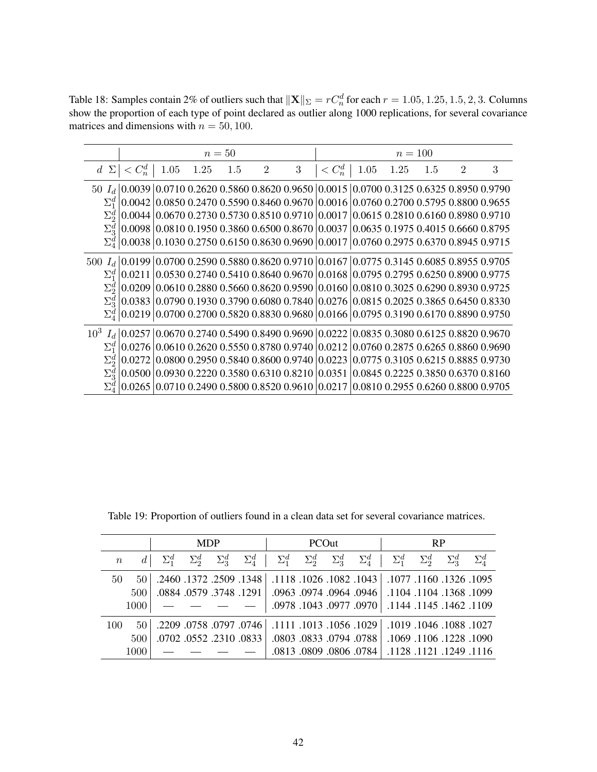<span id="page-41-0"></span>Table 18: Samples contain 2% of outliers such that  $\|\mathbf{X}\|_{\Sigma} = rC_n^d$  for each  $r = 1.05, 1.25, 1.5, 2, 3$ . Columns show the proportion of each type of point declared as outlier along 1000 replications, for several covariance matrices and dimensions with  $n = 50, 100$ .

|              |                         |      |      | $n=50$ |                |                  | $n = 100$                                                                                                                                                     |      |      |     |                |   |
|--------------|-------------------------|------|------|--------|----------------|------------------|---------------------------------------------------------------------------------------------------------------------------------------------------------------|------|------|-----|----------------|---|
| $d \Sigma$   | $\langle C_n^d \rangle$ | 1.05 | 1.25 | 1.5    | $\overline{2}$ | $\boldsymbol{3}$ | $\langle C_n^d \rangle$                                                                                                                                       | 1.05 | 1.25 | 1.5 | $\overline{2}$ | 3 |
|              |                         |      |      |        |                |                  | $50\ \ I_{d}\, 0.0039\, 0.0710\;0.2620\;0.5860\;0.8620\;0.9650\, 0.0015\, 0.0700\;0.3125\;0.6325\;0.8950\;0.9790$                                             |      |      |     |                |   |
| $\Sigma_1^d$ |                         |      |      |        |                |                  | $\vert 0.0042 \vert 0.0850$ 0.2470 0.5590 0.8460 0.9670 $\vert 0.0016 \vert 0.0760$ 0.2700 0.5795 0.8800 0.9655                                               |      |      |     |                |   |
| $\Sigma^d_2$ |                         |      |      |        |                |                  | $\vert 0.0044 \, \vert 0.0670 \, 0.2730 \, 0.5730 \, 0.8510 \, 0.9710 \, \vert 0.0017 \, \vert 0.0615 \, 0.2810 \, 0.6160 \, 0.8980 \, 0.9710$                |      |      |     |                |   |
| $\Sigma^d_3$ |                         |      |      |        |                |                  | $ 0.0098 0.0810 0.1950 0.3860 0.6500 0.8670 0.0037 0.0635 0.1975 0.4015 0.6660 0.8795$                                                                        |      |      |     |                |   |
|              |                         |      |      |        |                |                  | $\Sigma_4^d$ 0.0038 0.1030 0.2750 0.6150 0.8630 0.9690 0.0017 0.0760 0.2975 0.6370 0.8945 0.9715                                                              |      |      |     |                |   |
|              |                         |      |      |        |                |                  | 500 $I_d$ 0.0199 0.0700 0.2590 0.5880 0.8620 0.9710 0.0167 0.0775 0.3145 0.6085 0.8955 0.9705                                                                 |      |      |     |                |   |
| $\Sigma^d_1$ |                         |      |      |        |                |                  | $0.0211$ $0.0530$ 0.2740 0.5410 0.8640 0.9670 0.0168 0.0795 0.2795 0.6250 0.8900 0.9775                                                                       |      |      |     |                |   |
|              |                         |      |      |        |                |                  | $\vert 0.0209 \vert 0.0610 \vert 0.2880 \vert 0.5660 \vert 0.8620 \vert 0.9590 \vert 0.0160 \vert 0.0810 \vert 0.3025 \vert 0.6290 \vert 0.8930 \vert 0.9725$ |      |      |     |                |   |
|              |                         |      |      |        |                |                  | $\Sigma_3^d$ 0.0383 0.0790 0.1930 0.3790 0.6080 0.7840 0.0276 0.0815 0.2025 0.3865 0.6450 0.8330                                                              |      |      |     |                |   |
|              |                         |      |      |        |                |                  | $\Sigma_4^d$   0.0219   0.0700 0.2700 0.5820 0.8830 0.9680   0.0166   0.0795 0.3190 0.6170 0.8890 0.9750                                                      |      |      |     |                |   |
|              |                         |      |      |        |                |                  | $10^3 \ \ I_{d} \   0.0257 \   0.0670 \ 0.2740 \ 0.5490 \ 0.8490 \ 0.9690 \   0.0222 \   0.0835 \ 0.3080 \ 0.6125 \ 0.8820 \ 0.9670$                          |      |      |     |                |   |
| $\Sigma^d_1$ | 0.0276                  |      |      |        |                |                  | $0.0610$ 0.2620 0.5550 0.8780 0.9740 $0.0212$ 0.0760 0.2875 0.6265 0.8860 0.9690                                                                              |      |      |     |                |   |
|              | 0.0272                  |      |      |        |                |                  | $0.080000.29500058400.86000.97400002230007750.31050.62150.88850.9730$                                                                                         |      |      |     |                |   |
|              | 0.0500                  |      |      |        |                |                  | 0.0930 0.2220 0.3580 0.6310 0.8210 0.0351 0.0845 0.2225 0.3850 0.6370 0.8160                                                                                  |      |      |     |                |   |
|              |                         |      |      |        |                |                  | 0.0710 0.2490 0.5800 0.8520 0.9610 0.0217 0.0810 0.2955 0.6260 0.8800 0.9705                                                                                  |      |      |     |                |   |

|                  |      | <b>MDP</b>   |              |                         |                                                                                   | <b>PCOut</b> |                         | <b>RP</b>                                            |              |              |              |
|------------------|------|--------------|--------------|-------------------------|-----------------------------------------------------------------------------------|--------------|-------------------------|------------------------------------------------------|--------------|--------------|--------------|
| $\boldsymbol{n}$ |      | $\Sigma_2^d$ | $\Sigma_3^d$ |                         | $\Sigma_4^d$   $\Sigma_1^d$ $\Sigma_2^d$ $\Sigma_3^d$ $\Sigma_4^d$   $\Sigma_1^d$ |              |                         |                                                      | $\Sigma_2^d$ | $\Sigma_2^d$ | $\Sigma^d_4$ |
| 50               | 50   |              |              | .2460.1372.2509.1348    |                                                                                   |              |                         | .1095. 1326. 1118. 1077.   1043.   1053. 1095. 1118. |              |              |              |
|                  | 500  |              |              | .0884 .0579 .3748 .1291 |                                                                                   |              |                         | .0961. 1104. 1104. 1104. 1368. 0944. 0944. 0944.     |              |              |              |
|                  | 1000 |              |              |                         |                                                                                   |              |                         | .0978. 1462. 1144. 1144. 0970. 0970. 1043. 0978.     |              |              |              |
| 100              | 50   |              |              |                         | .1027, 1038, 1046, 1019, 1019, 1029, 1056, 1013, 1011, 2209, 757, 797, 758, 2209, |              |                         |                                                      |              |              |              |
|                  | 500  |              |              | .0702.0552.2310.0833    |                                                                                   |              | .0803.0833.0794.0788    | .1069.1106.1228.1090                                 |              |              |              |
|                  | 1000 |              |              |                         |                                                                                   |              | .0813 .0809 .0806 .0784 | .1116 .1249 .1128 .1121                              |              |              |              |

<span id="page-41-1"></span>Table 19: Proportion of outliers found in a clean data set for several covariance matrices.